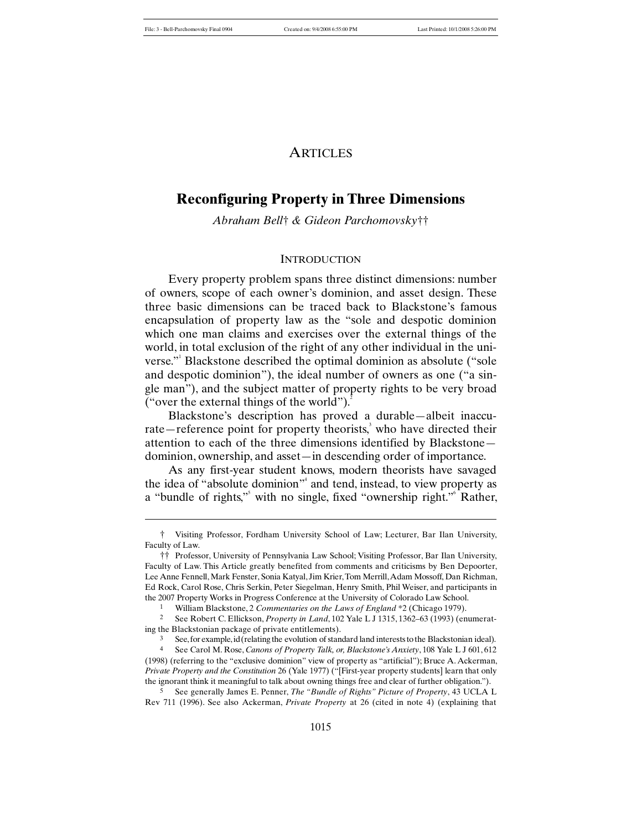$\overline{a}$ 

# ARTICLES

# **Reconfiguring Property in Three Dimensions**

*Abraham Bell*† *& Gideon Parchomovsky*††

## **INTRODUCTION**

Every property problem spans three distinct dimensions: number of owners, scope of each owner's dominion, and asset design. These three basic dimensions can be traced back to Blackstone's famous encapsulation of property law as the "sole and despotic dominion which one man claims and exercises over the external things of the world, in total exclusion of the right of any other individual in the universe." Blackstone described the optimal dominion as absolute ("sole and despotic dominion"), the ideal number of owners as one ("a single man"), and the subject matter of property rights to be very broad ("over the external things of the world"). $\frac{3}{2}$ 

Blackstone's description has proved a durable—albeit inaccurate—reference point for property theorists,<sup>3</sup> who have directed their attention to each of the three dimensions identified by Blackstone dominion, ownership, and asset—in descending order of importance.

As any first-year student knows, modern theorists have savaged the idea of "absolute dominion" and tend, instead, to view property as a "bundle of rights," with no single, fixed "ownership right." Rather,

 <sup>†</sup> Visiting Professor, Fordham University School of Law; Lecturer, Bar Ilan University, Faculty of Law.

 <sup>††</sup> Professor, University of Pennsylvania Law School; Visiting Professor, Bar Ilan University, Faculty of Law. This Article greatly benefited from comments and criticisms by Ben Depoorter, Lee Anne Fennell, Mark Fenster, Sonia Katyal, Jim Krier, Tom Merrill, Adam Mossoff, Dan Richman, Ed Rock, Carol Rose, Chris Serkin, Peter Siegelman, Henry Smith, Phil Weiser, and participants in the 2007 Property Works in Progress Conference at the University of Colorado Law School.

<sup>1</sup> William Blackstone, 2 *Commentaries on the Laws of England* \*2 (Chicago 1979).

<sup>2</sup> See Robert C. Ellickson, *Property in Land*, 102 Yale L J 1315, 1362–63 (1993) (enumerating the Blackstonian package of private entitlements).

<sup>3</sup> See, for example, id (relating the evolution of standard land interests to the Blackstonian ideal).<br> $\frac{1}{2}$  See Carol M, Rose Canons of Property Talk, or Blackstone's Anxiety 108 Yale L, L601, 612

<sup>4</sup> See Carol M. Rose, *Canons of Property Talk, or, Blackstone's Anxiety*, 108 Yale L J 601, 612 (1998) (referring to the "exclusive dominion" view of property as "artificial"); Bruce A. Ackerman, *Private Property and the Constitution* 26 (Yale 1977) ("[First-year property students] learn that only the ignorant think it meaningful to talk about owning things free and clear of further obligation.").

<sup>5</sup> See generally James E. Penner, *The "Bundle of Rights" Picture of Property*, 43 UCLA L Rev 711 (1996). See also Ackerman, *Private Property* at 26 (cited in note 4) (explaining that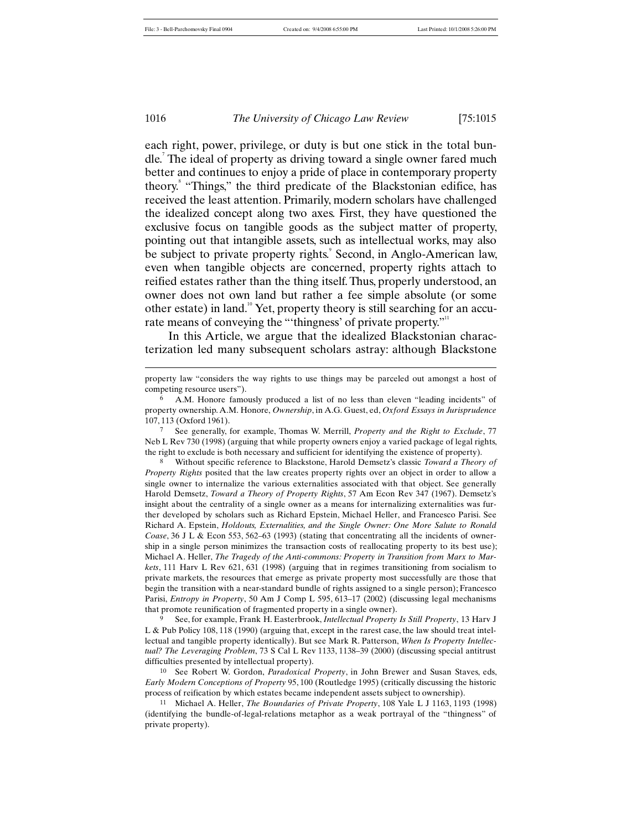$\overline{a}$ 

1016 *The University of Chicago Law Review* [75:1015

each right, power, privilege, or duty is but one stick in the total bundle.<sup>7</sup> The ideal of property as driving toward a single owner fared much better and continues to enjoy a pride of place in contemporary property theory.<sup>8</sup> "Things," the third predicate of the Blackstonian edifice, has received the least attention. Primarily, modern scholars have challenged the idealized concept along two axes. First, they have questioned the exclusive focus on tangible goods as the subject matter of property, pointing out that intangible assets, such as intellectual works, may also be subject to private property rights. Second, in Anglo-American law, even when tangible objects are concerned, property rights attach to reified estates rather than the thing itself. Thus, properly understood, an owner does not own land but rather a fee simple absolute (or some other estate) in land.<sup>10</sup> Yet, property theory is still searching for an accurate means of conveying the "'thingness' of private property."

In this Article, we argue that the idealized Blackstonian characterization led many subsequent scholars astray: although Blackstone

9 See, for example, Frank H. Easterbrook, *Intellectual Property Is Still Property*, 13 Harv J L & Pub Policy 108, 118 (1990) (arguing that, except in the rarest case, the law should treat intellectual and tangible property identically). But see Mark R. Patterson, *When Is Property Intellectual? The Leveraging Problem*, 73 S Cal L Rev 1133, 1138–39 (2000) (discussing special antitrust difficulties presented by intellectual property).

10 See Robert W. Gordon, *Paradoxical Property*, in John Brewer and Susan Staves, eds, *Early Modern Conceptions of Property* 95, 100 (Routledge 1995) (critically discussing the historic process of reification by which estates became independent assets subject to ownership).

11 Michael A. Heller, *The Boundaries of Private Property*, 108 Yale L J 1163, 1193 (1998) (identifying the bundle-of-legal-relations metaphor as a weak portrayal of the "thingness" of private property).

property law "considers the way rights to use things may be parceled out amongst a host of competing resource users").

<sup>6</sup> A.M. Honore famously produced a list of no less than eleven "leading incidents" of property ownership. A.M. Honore, *Ownership*, in A.G. Guest, ed, *Oxford Essays in Jurisprudence* 107, 113 (Oxford 1961).

<sup>7</sup> See generally, for example, Thomas W. Merrill, *Property and the Right to Exclude*, 77 Neb L Rev 730 (1998) (arguing that while property owners enjoy a varied package of legal rights, the right to exclude is both necessary and sufficient for identifying the existence of property).

<sup>8</sup> Without specific reference to Blackstone, Harold Demsetz's classic *Toward a Theory of Property Rights* posited that the law creates property rights over an object in order to allow a single owner to internalize the various externalities associated with that object. See generally Harold Demsetz, *Toward a Theory of Property Rights*, 57 Am Econ Rev 347 (1967). Demsetz's insight about the centrality of a single owner as a means for internalizing externalities was further developed by scholars such as Richard Epstein, Michael Heller, and Francesco Parisi. See Richard A. Epstein, *Holdouts, Externalities, and the Single Owner: One More Salute to Ronald Coase*, 36 J L & Econ 553, 562–63 (1993) (stating that concentrating all the incidents of ownership in a single person minimizes the transaction costs of reallocating property to its best use); Michael A. Heller, *The Tragedy of the Anti-commons: Property in Transition from Marx to Markets*, 111 Harv L Rev 621, 631 (1998) (arguing that in regimes transitioning from socialism to private markets, the resources that emerge as private property most successfully are those that begin the transition with a near-standard bundle of rights assigned to a single person); Francesco Parisi, *Entropy in Property*, 50 Am J Comp L 595, 613–17 (2002) (discussing legal mechanisms that promote reunification of fragmented property in a single owner).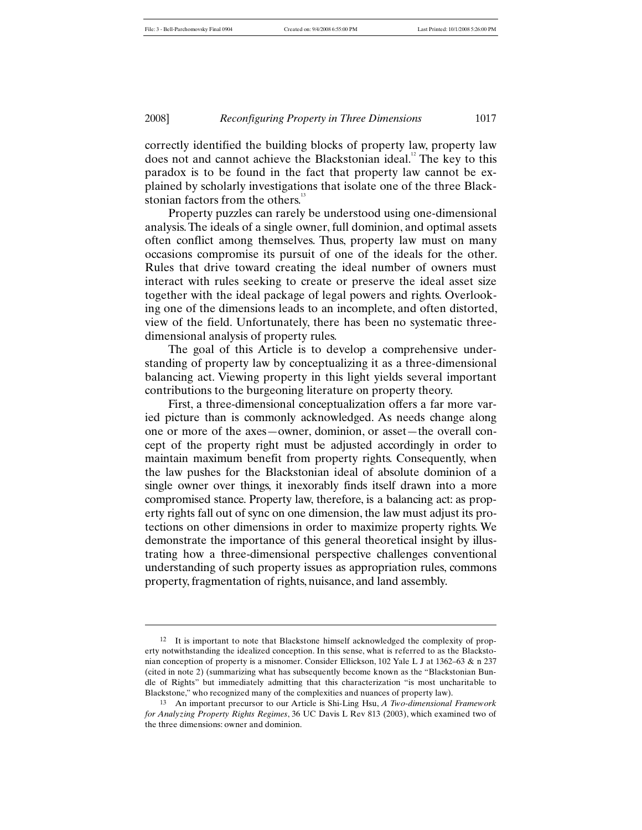2008] *Reconfiguring Property in Three Dimensions* 1017

correctly identified the building blocks of property law, property law does not and cannot achieve the Blackstonian ideal.<sup>12</sup> The key to this paradox is to be found in the fact that property law cannot be explained by scholarly investigations that isolate one of the three Blackstonian factors from the others.<sup>13</sup>

Property puzzles can rarely be understood using one-dimensional analysis. The ideals of a single owner, full dominion, and optimal assets often conflict among themselves. Thus, property law must on many occasions compromise its pursuit of one of the ideals for the other. Rules that drive toward creating the ideal number of owners must interact with rules seeking to create or preserve the ideal asset size together with the ideal package of legal powers and rights. Overlooking one of the dimensions leads to an incomplete, and often distorted, view of the field. Unfortunately, there has been no systematic threedimensional analysis of property rules.

The goal of this Article is to develop a comprehensive understanding of property law by conceptualizing it as a three-dimensional balancing act. Viewing property in this light yields several important contributions to the burgeoning literature on property theory.

First, a three-dimensional conceptualization offers a far more varied picture than is commonly acknowledged. As needs change along one or more of the axes—owner, dominion, or asset—the overall concept of the property right must be adjusted accordingly in order to maintain maximum benefit from property rights. Consequently, when the law pushes for the Blackstonian ideal of absolute dominion of a single owner over things, it inexorably finds itself drawn into a more compromised stance. Property law, therefore, is a balancing act: as property rights fall out of sync on one dimension, the law must adjust its protections on other dimensions in order to maximize property rights. We demonstrate the importance of this general theoretical insight by illustrating how a three-dimensional perspective challenges conventional understanding of such property issues as appropriation rules, commons property, fragmentation of rights, nuisance, and land assembly.

<sup>12</sup> It is important to note that Blackstone himself acknowledged the complexity of property notwithstanding the idealized conception. In this sense, what is referred to as the Blackstonian conception of property is a misnomer. Consider Ellickson, 102 Yale L J at 1362–63 & n 237 (cited in note 2) (summarizing what has subsequently become known as the "Blackstonian Bundle of Rights" but immediately admitting that this characterization "is most uncharitable to Blackstone," who recognized many of the complexities and nuances of property law).

<sup>13</sup> An important precursor to our Article is Shi-Ling Hsu, *A Two-dimensional Framework for Analyzing Property Rights Regimes*, 36 UC Davis L Rev 813 (2003), which examined two of the three dimensions: owner and dominion.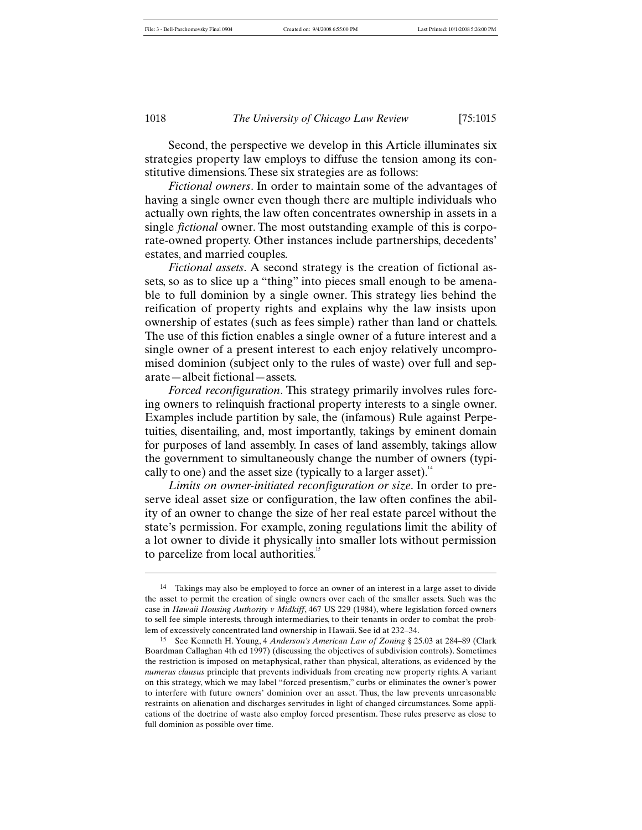1

Second, the perspective we develop in this Article illuminates six strategies property law employs to diffuse the tension among its constitutive dimensions. These six strategies are as follows:

*Fictional owners*. In order to maintain some of the advantages of having a single owner even though there are multiple individuals who actually own rights, the law often concentrates ownership in assets in a single *fictional* owner. The most outstanding example of this is corporate-owned property. Other instances include partnerships, decedents' estates, and married couples.

*Fictional assets*. A second strategy is the creation of fictional assets, so as to slice up a "thing" into pieces small enough to be amenable to full dominion by a single owner. This strategy lies behind the reification of property rights and explains why the law insists upon ownership of estates (such as fees simple) rather than land or chattels. The use of this fiction enables a single owner of a future interest and a single owner of a present interest to each enjoy relatively uncompromised dominion (subject only to the rules of waste) over full and separate—albeit fictional—assets.

*Forced reconfiguration*. This strategy primarily involves rules forcing owners to relinquish fractional property interests to a single owner. Examples include partition by sale, the (infamous) Rule against Perpetuities, disentailing, and, most importantly, takings by eminent domain for purposes of land assembly. In cases of land assembly, takings allow the government to simultaneously change the number of owners (typically to one) and the asset size (typically to a larger asset).<sup>14</sup>

*Limits on owner-initiated reconfiguration or size*. In order to preserve ideal asset size or configuration, the law often confines the ability of an owner to change the size of her real estate parcel without the state's permission. For example, zoning regulations limit the ability of a lot owner to divide it physically into smaller lots without permission to parcelize from local authorities.<sup>15</sup>

<sup>14</sup> Takings may also be employed to force an owner of an interest in a large asset to divide the asset to permit the creation of single owners over each of the smaller assets. Such was the case in *Hawaii Housing Authority v Midkiff*, 467 US 229 (1984), where legislation forced owners to sell fee simple interests, through intermediaries, to their tenants in order to combat the problem of excessively concentrated land ownership in Hawaii. See id at 232–34.

<sup>15</sup> See Kenneth H. Young, 4 *Anderson's American Law of Zoning* § 25.03 at 284–89 (Clark Boardman Callaghan 4th ed 1997) (discussing the objectives of subdivision controls). Sometimes the restriction is imposed on metaphysical, rather than physical, alterations, as evidenced by the *numerus clausus* principle that prevents individuals from creating new property rights. A variant on this strategy, which we may label "forced presentism," curbs or eliminates the owner's power to interfere with future owners' dominion over an asset. Thus, the law prevents unreasonable restraints on alienation and discharges servitudes in light of changed circumstances. Some applications of the doctrine of waste also employ forced presentism. These rules preserve as close to full dominion as possible over time.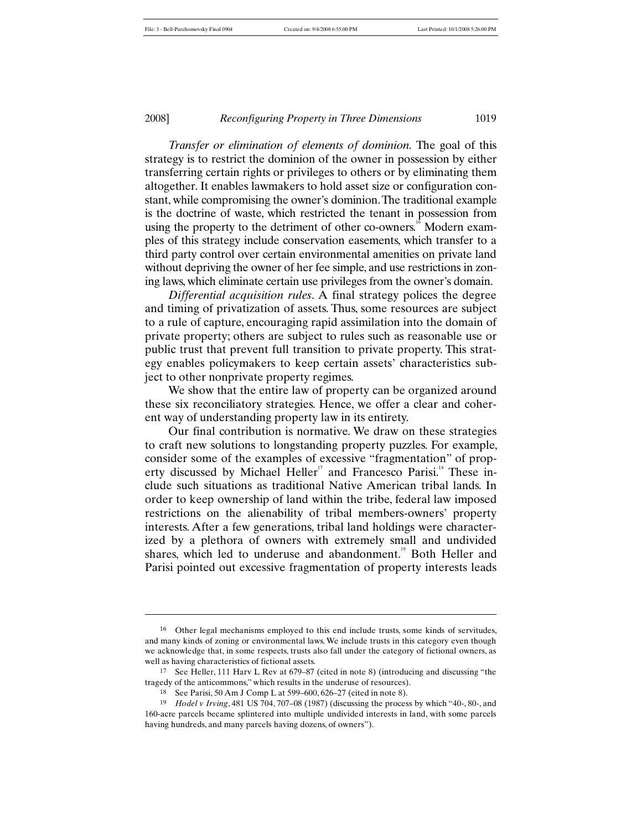*Transfer or elimination of elements of dominion.* The goal of this strategy is to restrict the dominion of the owner in possession by either transferring certain rights or privileges to others or by eliminating them altogether. It enables lawmakers to hold asset size or configuration constant, while compromising the owner's dominion. The traditional example is the doctrine of waste, which restricted the tenant in possession from using the property to the detriment of other co-owners.<sup>16</sup> Modern examples of this strategy include conservation easements, which transfer to a third party control over certain environmental amenities on private land without depriving the owner of her fee simple, and use restrictions in zoning laws, which eliminate certain use privileges from the owner's domain.

*Differential acquisition rules*. A final strategy polices the degree and timing of privatization of assets. Thus, some resources are subject to a rule of capture, encouraging rapid assimilation into the domain of private property; others are subject to rules such as reasonable use or public trust that prevent full transition to private property. This strategy enables policymakers to keep certain assets' characteristics subject to other nonprivate property regimes.

We show that the entire law of property can be organized around these six reconciliatory strategies. Hence, we offer a clear and coherent way of understanding property law in its entirety.

Our final contribution is normative. We draw on these strategies to craft new solutions to longstanding property puzzles. For example, consider some of the examples of excessive "fragmentation" of property discussed by Michael Heller<sup>17</sup> and Francesco Parisi.<sup>18</sup> These include such situations as traditional Native American tribal lands. In order to keep ownership of land within the tribe, federal law imposed restrictions on the alienability of tribal members-owners' property interests. After a few generations, tribal land holdings were characterized by a plethora of owners with extremely small and undivided shares, which led to underuse and abandonment.<sup>19</sup> Both Heller and Parisi pointed out excessive fragmentation of property interests leads

<sup>16</sup> Other legal mechanisms employed to this end include trusts, some kinds of servitudes, and many kinds of zoning or environmental laws. We include trusts in this category even though we acknowledge that, in some respects, trusts also fall under the category of fictional owners, as well as having characteristics of fictional assets.

<sup>17</sup> See Heller, 111 Harv L Rev at 679–87 (cited in note 8) (introducing and discussing "the tragedy of the anticommons," which results in the underuse of resources).

<sup>18</sup> See Parisi, 50 Am J Comp L at 599–600, 626–27 (cited in note 8).

<sup>19</sup> *Hodel v Irving*, 481 US 704, 707–08 (1987) (discussing the process by which "40-, 80-, and 160-acre parcels became splintered into multiple undivided interests in land, with some parcels having hundreds, and many parcels having dozens, of owners").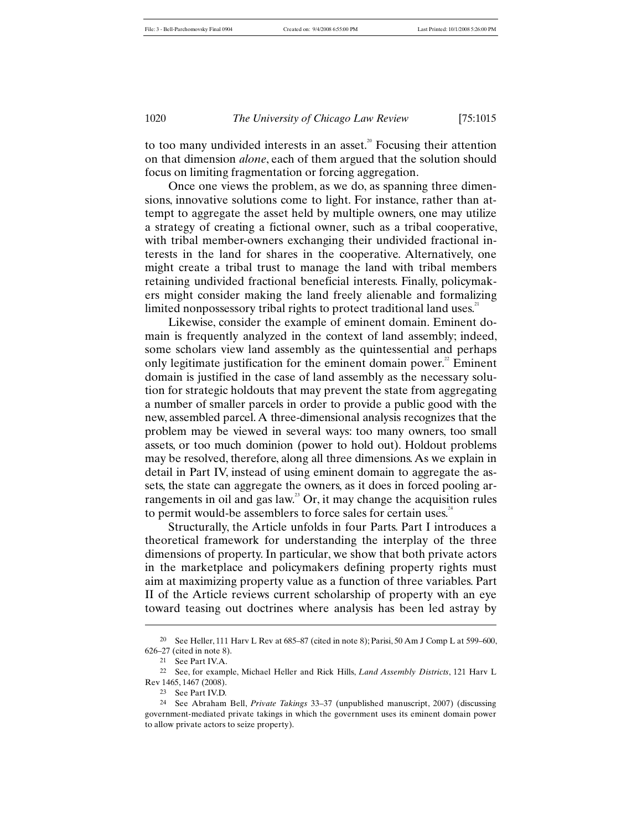to too many undivided interests in an asset.<sup>20</sup> Focusing their attention on that dimension *alone*, each of them argued that the solution should focus on limiting fragmentation or forcing aggregation.

Once one views the problem, as we do, as spanning three dimensions, innovative solutions come to light. For instance, rather than attempt to aggregate the asset held by multiple owners, one may utilize a strategy of creating a fictional owner, such as a tribal cooperative, with tribal member-owners exchanging their undivided fractional interests in the land for shares in the cooperative. Alternatively, one might create a tribal trust to manage the land with tribal members retaining undivided fractional beneficial interests. Finally, policymakers might consider making the land freely alienable and formalizing limited nonpossessory tribal rights to protect traditional land uses.<sup>21</sup>

Likewise, consider the example of eminent domain. Eminent domain is frequently analyzed in the context of land assembly; indeed, some scholars view land assembly as the quintessential and perhaps only legitimate justification for the eminent domain power. $\degree$  Eminent domain is justified in the case of land assembly as the necessary solution for strategic holdouts that may prevent the state from aggregating a number of smaller parcels in order to provide a public good with the new, assembled parcel. A three-dimensional analysis recognizes that the problem may be viewed in several ways: too many owners, too small assets, or too much dominion (power to hold out). Holdout problems may be resolved, therefore, along all three dimensions. As we explain in detail in Part IV, instead of using eminent domain to aggregate the assets, the state can aggregate the owners, as it does in forced pooling arrangements in oil and gas law.<sup>23</sup> Or, it may change the acquisition rules to permit would-be assemblers to force sales for certain uses. $24$ 

Structurally, the Article unfolds in four Parts. Part I introduces a theoretical framework for understanding the interplay of the three dimensions of property. In particular, we show that both private actors in the marketplace and policymakers defining property rights must aim at maximizing property value as a function of three variables. Part II of the Article reviews current scholarship of property with an eye toward teasing out doctrines where analysis has been led astray by

<sup>20</sup> See Heller, 111 Harv L Rev at 685–87 (cited in note 8); Parisi, 50 Am J Comp L at 599–600, 626–27 (cited in note 8).

<sup>21</sup> See Part IV.A.

<sup>22</sup> See, for example, Michael Heller and Rick Hills, *Land Assembly Districts*, 121 Harv L Rev 1465, 1467 (2008).

<sup>23</sup> See Part IV.D.

<sup>24</sup> See Abraham Bell, *Private Takings* 33–37 (unpublished manuscript, 2007) (discussing government-mediated private takings in which the government uses its eminent domain power to allow private actors to seize property).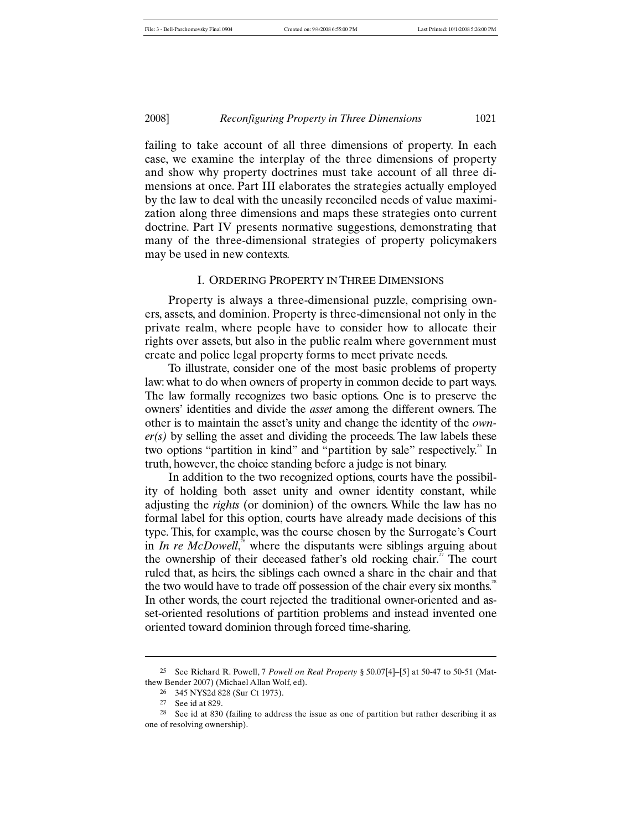failing to take account of all three dimensions of property. In each case, we examine the interplay of the three dimensions of property and show why property doctrines must take account of all three dimensions at once. Part III elaborates the strategies actually employed by the law to deal with the uneasily reconciled needs of value maximization along three dimensions and maps these strategies onto current doctrine. Part IV presents normative suggestions, demonstrating that many of the three-dimensional strategies of property policymakers may be used in new contexts.

## I. ORDERING PROPERTY IN THREE DIMENSIONS

Property is always a three-dimensional puzzle, comprising owners, assets, and dominion. Property is three-dimensional not only in the private realm, where people have to consider how to allocate their rights over assets, but also in the public realm where government must create and police legal property forms to meet private needs.

To illustrate, consider one of the most basic problems of property law: what to do when owners of property in common decide to part ways. The law formally recognizes two basic options. One is to preserve the owners' identities and divide the *asset* among the different owners. The other is to maintain the asset's unity and change the identity of the *owner(s)* by selling the asset and dividing the proceeds. The law labels these two options "partition in kind" and "partition by sale" respectively.<sup>25</sup> In truth, however, the choice standing before a judge is not binary.

In addition to the two recognized options, courts have the possibility of holding both asset unity and owner identity constant, while adjusting the *rights* (or dominion) of the owners. While the law has no formal label for this option, courts have already made decisions of this type. This, for example, was the course chosen by the Surrogate's Court in *In re McDowell*,<sup>26</sup> where the disputants were siblings arguing about the ownership of their deceased father's old rocking chair.<sup>27</sup> The court ruled that, as heirs, the siblings each owned a share in the chair and that the two would have to trade off possession of the chair every six months.<sup>28</sup> In other words, the court rejected the traditional owner-oriented and asset-oriented resolutions of partition problems and instead invented one oriented toward dominion through forced time-sharing.

<sup>25</sup> See Richard R. Powell, 7 *Powell on Real Property* § 50.07[4]–[5] at 50-47 to 50-51 (Matthew Bender 2007) (Michael Allan Wolf, ed).

<sup>26</sup> 345 NYS2d 828 (Sur Ct 1973).

<sup>27</sup> See id at 829.

<sup>28</sup> See id at 830 (failing to address the issue as one of partition but rather describing it as one of resolving ownership).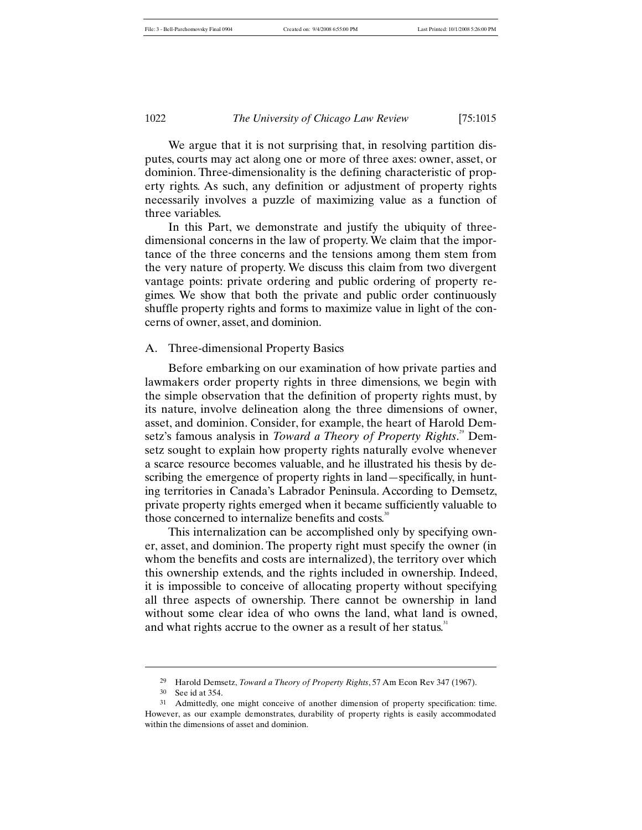We argue that it is not surprising that, in resolving partition disputes, courts may act along one or more of three axes: owner, asset, or dominion. Three-dimensionality is the defining characteristic of property rights. As such, any definition or adjustment of property rights necessarily involves a puzzle of maximizing value as a function of three variables.

In this Part, we demonstrate and justify the ubiquity of threedimensional concerns in the law of property. We claim that the importance of the three concerns and the tensions among them stem from the very nature of property. We discuss this claim from two divergent vantage points: private ordering and public ordering of property regimes. We show that both the private and public order continuously shuffle property rights and forms to maximize value in light of the concerns of owner, asset, and dominion.

## A. Three-dimensional Property Basics

Before embarking on our examination of how private parties and lawmakers order property rights in three dimensions, we begin with the simple observation that the definition of property rights must, by its nature, involve delineation along the three dimensions of owner, asset, and dominion. Consider, for example, the heart of Harold Demsetz's famous analysis in *Toward a Theory of Property Rights*.<sup>29</sup> Demsetz sought to explain how property rights naturally evolve whenever a scarce resource becomes valuable, and he illustrated his thesis by describing the emergence of property rights in land—specifically, in hunting territories in Canada's Labrador Peninsula. According to Demsetz, private property rights emerged when it became sufficiently valuable to those concerned to internalize benefits and costs.<sup>30</sup>

This internalization can be accomplished only by specifying owner, asset, and dominion. The property right must specify the owner (in whom the benefits and costs are internalized), the territory over which this ownership extends, and the rights included in ownership. Indeed, it is impossible to conceive of allocating property without specifying all three aspects of ownership. There cannot be ownership in land without some clear idea of who owns the land, what land is owned, and what rights accrue to the owner as a result of her status.<sup>31</sup>

<sup>&</sup>lt;sup>29</sup> Harold Demsetz, *Toward a Theory of Property Rights*, 57 Am Econ Rev 347 (1967).<br><sup>30</sup> See id at 354

See id at 354.

<sup>31</sup> Admittedly, one might conceive of another dimension of property specification: time. However, as our example demonstrates, durability of property rights is easily accommodated within the dimensions of asset and dominion.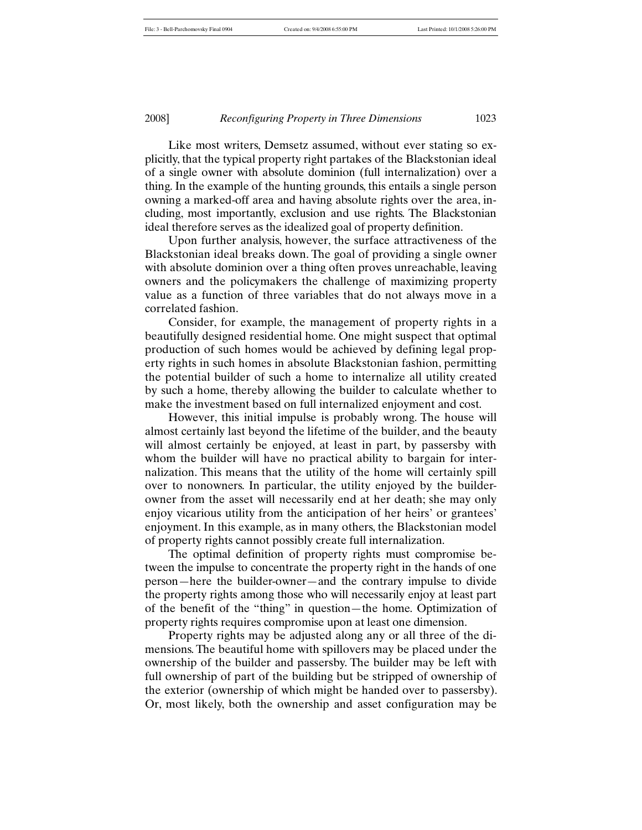Like most writers, Demsetz assumed, without ever stating so explicitly, that the typical property right partakes of the Blackstonian ideal of a single owner with absolute dominion (full internalization) over a thing. In the example of the hunting grounds, this entails a single person owning a marked-off area and having absolute rights over the area, including, most importantly, exclusion and use rights. The Blackstonian ideal therefore serves as the idealized goal of property definition.

Upon further analysis, however, the surface attractiveness of the Blackstonian ideal breaks down. The goal of providing a single owner with absolute dominion over a thing often proves unreachable, leaving owners and the policymakers the challenge of maximizing property value as a function of three variables that do not always move in a correlated fashion.

Consider, for example, the management of property rights in a beautifully designed residential home. One might suspect that optimal production of such homes would be achieved by defining legal property rights in such homes in absolute Blackstonian fashion, permitting the potential builder of such a home to internalize all utility created by such a home, thereby allowing the builder to calculate whether to make the investment based on full internalized enjoyment and cost.

However, this initial impulse is probably wrong. The house will almost certainly last beyond the lifetime of the builder, and the beauty will almost certainly be enjoyed, at least in part, by passersby with whom the builder will have no practical ability to bargain for internalization. This means that the utility of the home will certainly spill over to nonowners. In particular, the utility enjoyed by the builderowner from the asset will necessarily end at her death; she may only enjoy vicarious utility from the anticipation of her heirs' or grantees' enjoyment. In this example, as in many others, the Blackstonian model of property rights cannot possibly create full internalization.

The optimal definition of property rights must compromise between the impulse to concentrate the property right in the hands of one person—here the builder-owner—and the contrary impulse to divide the property rights among those who will necessarily enjoy at least part of the benefit of the "thing" in question—the home. Optimization of property rights requires compromise upon at least one dimension.

Property rights may be adjusted along any or all three of the dimensions. The beautiful home with spillovers may be placed under the ownership of the builder and passersby. The builder may be left with full ownership of part of the building but be stripped of ownership of the exterior (ownership of which might be handed over to passersby). Or, most likely, both the ownership and asset configuration may be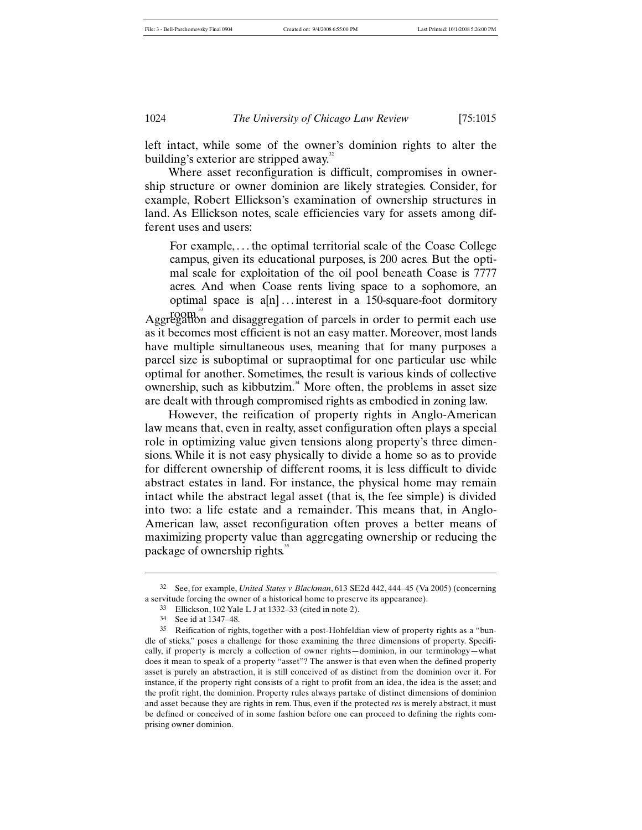left intact, while some of the owner's dominion rights to alter the building's exterior are stripped away.

Where asset reconfiguration is difficult, compromises in ownership structure or owner dominion are likely strategies. Consider, for example, Robert Ellickson's examination of ownership structures in land. As Ellickson notes, scale efficiencies vary for assets among different uses and users:

For example, . . . the optimal territorial scale of the Coase College campus, given its educational purposes, is 200 acres. But the optimal scale for exploitation of the oil pool beneath Coase is 7777 acres. And when Coase rents living space to a sophomore, an optimal space is  $a[n]$ ... interest in a 150-square-foot dormitory

Aggregation and disaggregation of parcels in order to permit each use as it becomes most efficient is not an easy matter. Moreover, most lands have multiple simultaneous uses, meaning that for many purposes a parcel size is suboptimal or supraoptimal for one particular use while optimal for another. Sometimes, the result is various kinds of collective ownership, such as kibbutzim.<sup>34</sup> More often, the problems in asset size are dealt with through compromised rights as embodied in zoning law.

However, the reification of property rights in Anglo-American law means that, even in realty, asset configuration often plays a special role in optimizing value given tensions along property's three dimensions. While it is not easy physically to divide a home so as to provide for different ownership of different rooms, it is less difficult to divide abstract estates in land. For instance, the physical home may remain intact while the abstract legal asset (that is, the fee simple) is divided into two: a life estate and a remainder. This means that, in Anglo-American law, asset reconfiguration often proves a better means of maximizing property value than aggregating ownership or reducing the package of ownership rights.<sup>35</sup>

<sup>32</sup> See, for example, *United States v Blackman*, 613 SE2d 442, 444–45 (Va 2005) (concerning a servitude forcing the owner of a historical home to preserve its appearance).

<sup>33</sup> Ellickson, 102 Yale L J at 1332–33 (cited in note 2).

<sup>34</sup> See id at 1347–48.

<sup>35</sup> Reification of rights, together with a post-Hohfeldian view of property rights as a "bundle of sticks," poses a challenge for those examining the three dimensions of property. Specifically, if property is merely a collection of owner rights—dominion, in our terminology—what does it mean to speak of a property "asset"? The answer is that even when the defined property asset is purely an abstraction, it is still conceived of as distinct from the dominion over it. For instance, if the property right consists of a right to profit from an idea, the idea is the asset; and the profit right, the dominion. Property rules always partake of distinct dimensions of dominion and asset because they are rights in rem. Thus, even if the protected *res* is merely abstract, it must be defined or conceived of in some fashion before one can proceed to defining the rights comprising owner dominion.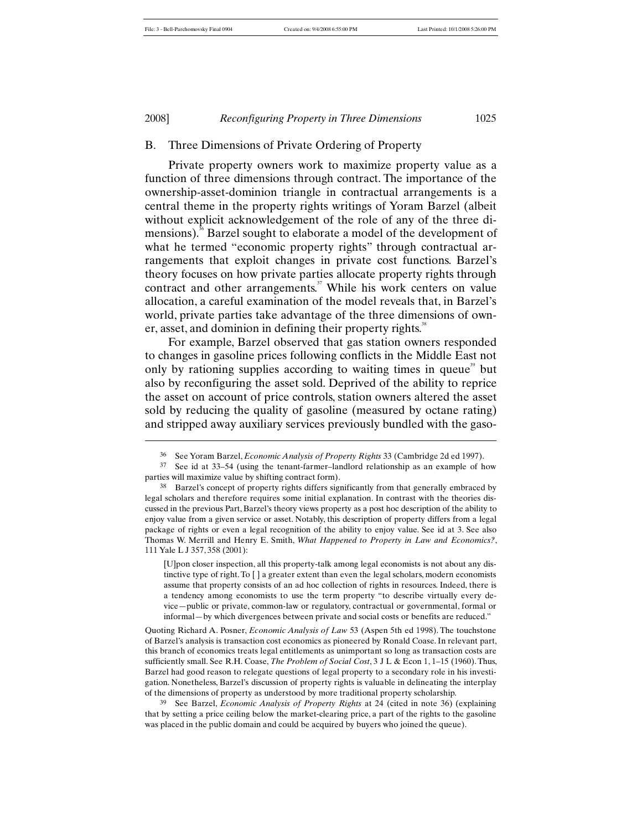# 2008] *Reconfiguring Property in Three Dimensions* 1025

# B. Three Dimensions of Private Ordering of Property

Private property owners work to maximize property value as a function of three dimensions through contract. The importance of the ownership-asset-dominion triangle in contractual arrangements is a central theme in the property rights writings of Yoram Barzel (albeit without explicit acknowledgement of the role of any of the three dimensions).<sup>36</sup> Barzel sought to elaborate a model of the development of what he termed "economic property rights" through contractual arrangements that exploit changes in private cost functions. Barzel's theory focuses on how private parties allocate property rights through contract and other arrangements.<sup>37</sup> While his work centers on value allocation, a careful examination of the model reveals that, in Barzel's world, private parties take advantage of the three dimensions of owner, asset, and dominion in defining their property rights.<sup>38</sup>

For example, Barzel observed that gas station owners responded to changes in gasoline prices following conflicts in the Middle East not only by rationing supplies according to waiting times in queue<sup>39</sup> but also by reconfiguring the asset sold. Deprived of the ability to reprice the asset on account of price controls, station owners altered the asset sold by reducing the quality of gasoline (measured by octane rating) and stripped away auxiliary services previously bundled with the gaso-

37 See id at 33–54 (using the tenant-farmer–landlord relationship as an example of how parties will maximize value by shifting contract form).

Quoting Richard A. Posner, *Economic Analysis of Law* 53 (Aspen 5th ed 1998). The touchstone of Barzel's analysis is transaction cost economics as pioneered by Ronald Coase. In relevant part, this branch of economics treats legal entitlements as unimportant so long as transaction costs are sufficiently small. See R.H. Coase, *The Problem of Social Cost*, 3 J L & Econ 1, 1–15 (1960). Thus, Barzel had good reason to relegate questions of legal property to a secondary role in his investigation. Nonetheless, Barzel's discussion of property rights is valuable in delineating the interplay of the dimensions of property as understood by more traditional property scholarship.

39 See Barzel, *Economic Analysis of Property Rights* at 24 (cited in note 36) (explaining that by setting a price ceiling below the market-clearing price, a part of the rights to the gasoline was placed in the public domain and could be acquired by buyers who joined the queue).

<sup>36</sup> See Yoram Barzel, *Economic Analysis of Property Rights* 33 (Cambridge 2d ed 1997).

<sup>&</sup>lt;sup>38</sup> Barzel's concept of property rights differs significantly from that generally embraced by legal scholars and therefore requires some initial explanation. In contrast with the theories discussed in the previous Part, Barzel's theory views property as a post hoc description of the ability to enjoy value from a given service or asset. Notably, this description of property differs from a legal package of rights or even a legal recognition of the ability to enjoy value. See id at 3. See also Thomas W. Merrill and Henry E. Smith, *What Happened to Property in Law and Economics?*, 111 Yale L J 357, 358 (2001):

<sup>[</sup>U]pon closer inspection, all this property-talk among legal economists is not about any distinctive type of right. To [ ] a greater extent than even the legal scholars, modern economists assume that property consists of an ad hoc collection of rights in resources. Indeed, there is a tendency among economists to use the term property "to describe virtually every device—public or private, common-law or regulatory, contractual or governmental, formal or informal—by which divergences between private and social costs or benefits are reduced."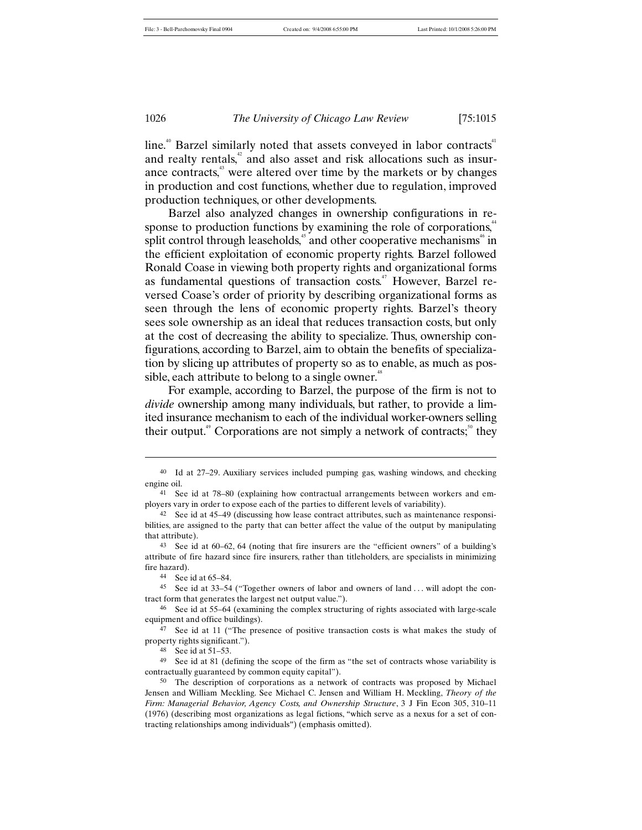line.<sup>40</sup> Barzel similarly noted that assets conveyed in labor contracts<sup>41</sup> and realty rentals, $42$  and also asset and risk allocations such as insurance contracts,<sup>43</sup> were altered over time by the markets or by changes in production and cost functions, whether due to regulation, improved production techniques, or other developments.

Barzel also analyzed changes in ownership configurations in response to production functions by examining the role of corporations, $44$ split control through leaseholds, $\alpha$ <sup>5</sup> and other cooperative mechanisms<sup> $\alpha$ </sup> in the efficient exploitation of economic property rights. Barzel followed Ronald Coase in viewing both property rights and organizational forms as fundamental questions of transaction costs.<sup>47</sup> However, Barzel reversed Coase's order of priority by describing organizational forms as seen through the lens of economic property rights. Barzel's theory sees sole ownership as an ideal that reduces transaction costs, but only at the cost of decreasing the ability to specialize. Thus, ownership configurations, according to Barzel, aim to obtain the benefits of specialization by slicing up attributes of property so as to enable, as much as possible, each attribute to belong to a single owner.<sup>48</sup>

For example, according to Barzel, the purpose of the firm is not to *divide* ownership among many individuals, but rather, to provide a limited insurance mechanism to each of the individual worker-owners selling their output.<sup>49</sup> Corporations are not simply a network of contracts;<sup>50</sup> they

<sup>40</sup> Id at 27–29. Auxiliary services included pumping gas, washing windows, and checking engine oil.

<sup>41</sup> See id at 78–80 (explaining how contractual arrangements between workers and employers vary in order to expose each of the parties to different levels of variability).

<sup>42</sup> See id at 45–49 (discussing how lease contract attributes, such as maintenance responsibilities, are assigned to the party that can better affect the value of the output by manipulating that attribute).

<sup>43</sup> See id at 60–62, 64 (noting that fire insurers are the "efficient owners" of a building's attribute of fire hazard since fire insurers, rather than titleholders, are specialists in minimizing fire hazard).

<sup>44</sup> See id at 65–84.

<sup>45</sup> See id at 33–54 ("Together owners of labor and owners of land . . . will adopt the contract form that generates the largest net output value.").

<sup>46</sup> See id at 55–64 (examining the complex structuring of rights associated with large-scale equipment and office buildings).

<sup>47</sup> See id at 11 ("The presence of positive transaction costs is what makes the study of property rights significant.").

<sup>48</sup> See id at 51–53.

<sup>&</sup>lt;sup>49</sup> See id at 81 (defining the scope of the firm as "the set of contracts whose variability is contractually guaranteed by common equity capital").

<sup>50</sup> The description of corporations as a network of contracts was proposed by Michael Jensen and William Meckling. See Michael C. Jensen and William H. Meckling, *Theory of the Firm: Managerial Behavior, Agency Costs, and Ownership Structure*, 3 J Fin Econ 305, 310–11 (1976) (describing most organizations as legal fictions, "which serve as a nexus for a set of contracting relationships among individuals") (emphasis omitted).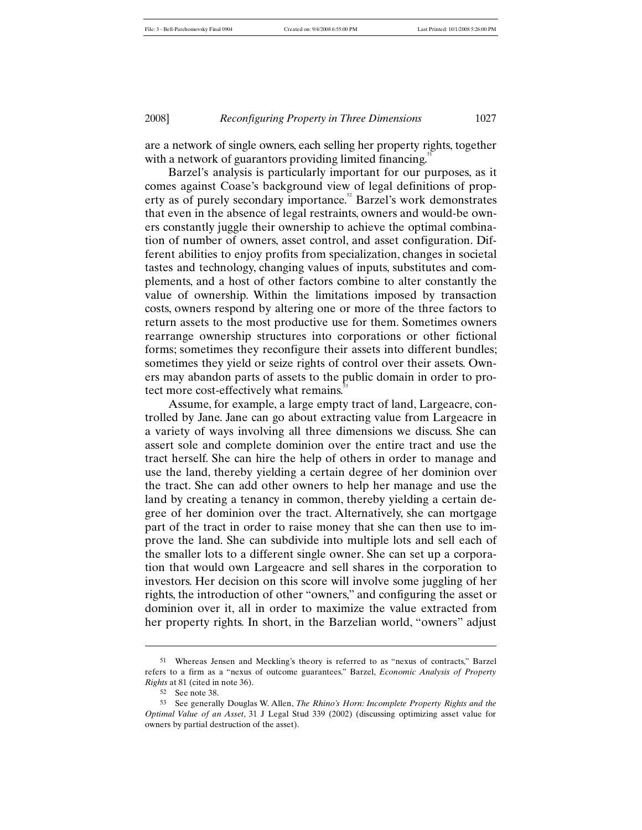are a network of single owners, each selling her property rights, together with a network of guarantors providing limited financing.

Barzel's analysis is particularly important for our purposes, as it comes against Coase's background view of legal definitions of property as of purely secondary importance.<sup>52</sup> Barzel's work demonstrates that even in the absence of legal restraints, owners and would-be owners constantly juggle their ownership to achieve the optimal combination of number of owners, asset control, and asset configuration. Different abilities to enjoy profits from specialization, changes in societal tastes and technology, changing values of inputs, substitutes and complements, and a host of other factors combine to alter constantly the value of ownership. Within the limitations imposed by transaction costs, owners respond by altering one or more of the three factors to return assets to the most productive use for them. Sometimes owners rearrange ownership structures into corporations or other fictional forms; sometimes they reconfigure their assets into different bundles; sometimes they yield or seize rights of control over their assets. Owners may abandon parts of assets to the public domain in order to protect more cost-effectively what remains.

Assume, for example, a large empty tract of land, Largeacre, controlled by Jane. Jane can go about extracting value from Largeacre in a variety of ways involving all three dimensions we discuss. She can assert sole and complete dominion over the entire tract and use the tract herself. She can hire the help of others in order to manage and use the land, thereby yielding a certain degree of her dominion over the tract. She can add other owners to help her manage and use the land by creating a tenancy in common, thereby yielding a certain degree of her dominion over the tract. Alternatively, she can mortgage part of the tract in order to raise money that she can then use to improve the land. She can subdivide into multiple lots and sell each of the smaller lots to a different single owner. She can set up a corporation that would own Largeacre and sell shares in the corporation to investors. Her decision on this score will involve some juggling of her rights, the introduction of other "owners," and configuring the asset or dominion over it, all in order to maximize the value extracted from her property rights. In short, in the Barzelian world, "owners" adjust

-

<sup>51</sup> Whereas Jensen and Meckling's theory is referred to as "nexus of contracts," Barzel refers to a firm as a "nexus of outcome guarantees." Barzel, *Economic Analysis of Property Rights* at 81 (cited in note 36).

<sup>52</sup> See note 38.

<sup>53</sup> See generally Douglas W. Allen, *The Rhino's Horn: Incomplete Property Rights and the Optimal Value of an Asset*, 31 J Legal Stud 339 (2002) (discussing optimizing asset value for owners by partial destruction of the asset).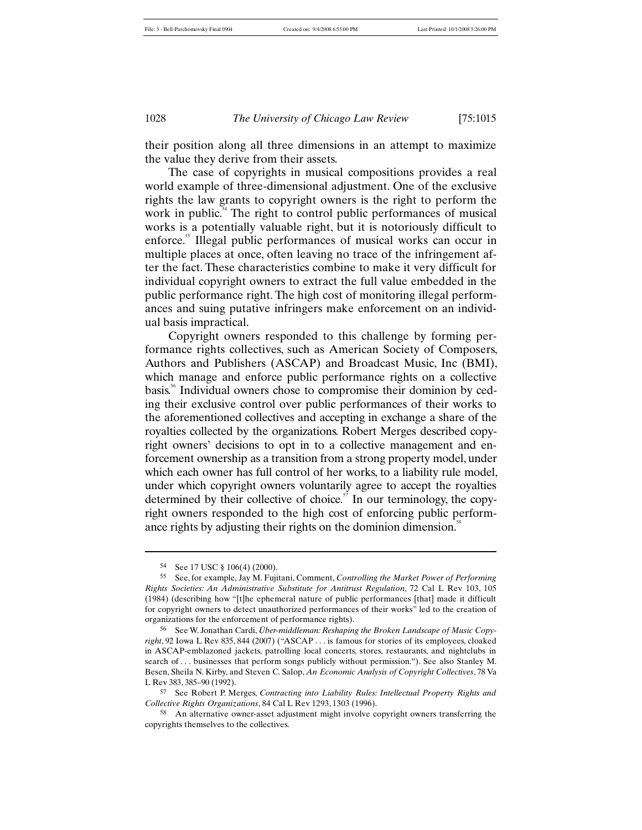their position along all three dimensions in an attempt to maximize the value they derive from their assets.

The case of copyrights in musical compositions provides a real world example of three-dimensional adjustment. One of the exclusive rights the law grants to copyright owners is the right to perform the work in public.<sup>54</sup> The right to control public performances of musical works is a potentially valuable right, but it is notoriously difficult to enforce.<sup>35</sup> Illegal public performances of musical works can occur in multiple places at once, often leaving no trace of the infringement after the fact. These characteristics combine to make it very difficult for individual copyright owners to extract the full value embedded in the public performance right. The high cost of monitoring illegal performances and suing putative infringers make enforcement on an individual basis impractical.

Copyright owners responded to this challenge by forming performance rights collectives, such as American Society of Composers, Authors and Publishers (ASCAP) and Broadcast Music, Inc (BMI), which manage and enforce public performance rights on a collective basis.<sup>36</sup> Individual owners chose to compromise their dominion by ceding their exclusive control over public performances of their works to the aforementioned collectives and accepting in exchange a share of the royalties collected by the organizations. Robert Merges described copyright owners' decisions to opt in to a collective management and enforcement ownership as a transition from a strong property model, under which each owner has full control of her works, to a liability rule model, under which copyright owners voluntarily agree to accept the royalties determined by their collective of choice.<sup>57</sup> In our terminology, the copyright owners responded to the high cost of enforcing public performance rights by adjusting their rights on the dominion dimension.<sup>88</sup>

<sup>54</sup> See 17 USC § 106(4) (2000).

<sup>55</sup> See, for example, Jay M. Fujitani, Comment, *Controlling the Market Power of Performing Rights Societies: An Administrative Substitute for Antitrust Regulation*, 72 Cal L Rev 103, 105 (1984) (describing how "[t]he ephemeral nature of public performances [that] made it difficult for copyright owners to detect unauthorized performances of their works" led to the creation of organizations for the enforcement of performance rights).

<sup>56</sup> See W. Jonathan Cardi, *Über-middleman: Reshaping the Broken Landscape of Music Copyright*, 92 Iowa L Rev 835, 844 (2007) ("ASCAP . . . is famous for stories of its employees, cloaked in ASCAP-emblazoned jackets, patrolling local concerts, stores, restaurants, and nightclubs in search of ... businesses that perform songs publicly without permission."). See also Stanley M. Besen, Sheila N. Kirby, and Steven C. Salop, *An Economic Analysis of Copyright Collectives*, 78 Va L Rev 383, 385–90 (1992).

<sup>57</sup> See Robert P. Merges, *Contracting into Liability Rules: Intellectual Property Rights and Collective Rights Organizations*, 84 Cal L Rev 1293, 1303 (1996).

<sup>&</sup>lt;sup>58</sup> An alternative owner-asset adjustment might involve copyright owners transferring the copyrights themselves to the collectives.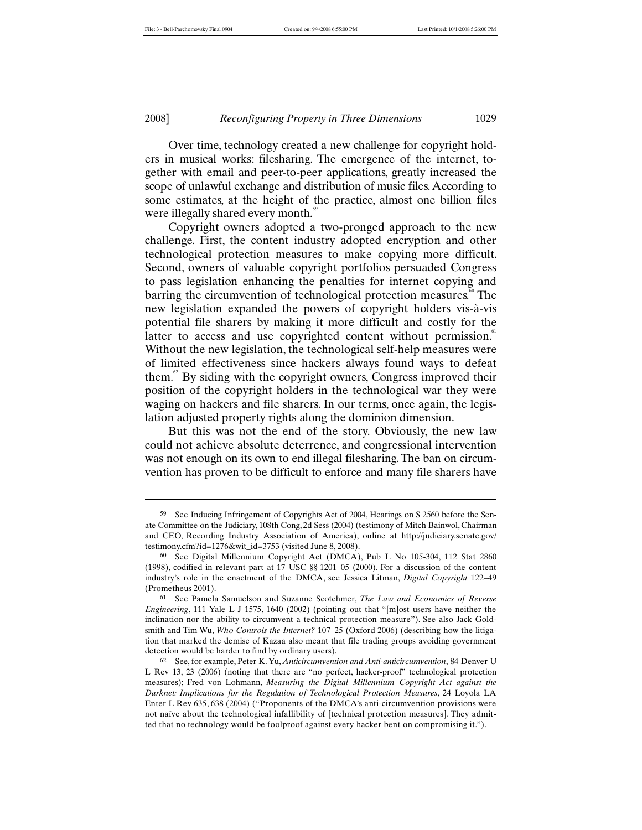-

## 2008] *Reconfiguring Property in Three Dimensions* 1029

Over time, technology created a new challenge for copyright holders in musical works: filesharing. The emergence of the internet, together with email and peer-to-peer applications, greatly increased the scope of unlawful exchange and distribution of music files. According to some estimates, at the height of the practice, almost one billion files were illegally shared every month.<sup>59</sup>

Copyright owners adopted a two-pronged approach to the new challenge. First, the content industry adopted encryption and other technological protection measures to make copying more difficult. Second, owners of valuable copyright portfolios persuaded Congress to pass legislation enhancing the penalties for internet copying and barring the circumvention of technological protection measures.<sup>60</sup> The new legislation expanded the powers of copyright holders vis-à-vis potential file sharers by making it more difficult and costly for the latter to access and use copyrighted content without permission.<sup>11</sup> Without the new legislation, the technological self-help measures were of limited effectiveness since hackers always found ways to defeat them.<sup>62</sup> By siding with the copyright owners, Congress improved their position of the copyright holders in the technological war they were waging on hackers and file sharers. In our terms, once again, the legislation adjusted property rights along the dominion dimension.

But this was not the end of the story. Obviously, the new law could not achieve absolute deterrence, and congressional intervention was not enough on its own to end illegal filesharing. The ban on circumvention has proven to be difficult to enforce and many file sharers have

<sup>59</sup> See Inducing Infringement of Copyrights Act of 2004, Hearings on S 2560 before the Senate Committee on the Judiciary, 108th Cong, 2d Sess (2004) (testimony of Mitch Bainwol, Chairman and CEO, Recording Industry Association of America), online at http://judiciary.senate.gov/ testimony.cfm?id=1276&wit\_id=3753 (visited June 8, 2008).

<sup>60</sup> See Digital Millennium Copyright Act (DMCA), Pub L No 105-304, 112 Stat 2860 (1998), codified in relevant part at 17 USC §§ 1201–05 (2000). For a discussion of the content industry's role in the enactment of the DMCA, see Jessica Litman, *Digital Copyright* 122–49 (Prometheus 2001).

<sup>61</sup> See Pamela Samuelson and Suzanne Scotchmer, *The Law and Economics of Reverse Engineering*, 111 Yale L J 1575, 1640 (2002) (pointing out that "[m]ost users have neither the inclination nor the ability to circumvent a technical protection measure"). See also Jack Goldsmith and Tim Wu, *Who Controls the Internet?* 107–25 (Oxford 2006) (describing how the litigation that marked the demise of Kazaa also meant that file trading groups avoiding government detection would be harder to find by ordinary users).

<sup>62</sup> See, for example, Peter K. Yu, *Anticircumvention and Anti-anticircumvention*, 84 Denver U L Rev 13, 23 (2006) (noting that there are "no perfect, hacker-proof" technological protection measures); Fred von Lohmann, *Measuring the Digital Millennium Copyright Act against the Darknet: Implications for the Regulation of Technological Protection Measures*, 24 Loyola LA Enter L Rev 635, 638 (2004) ("Proponents of the DMCA's anti-circumvention provisions were not naïve about the technological infallibility of [technical protection measures]. They admitted that no technology would be foolproof against every hacker bent on compromising it.").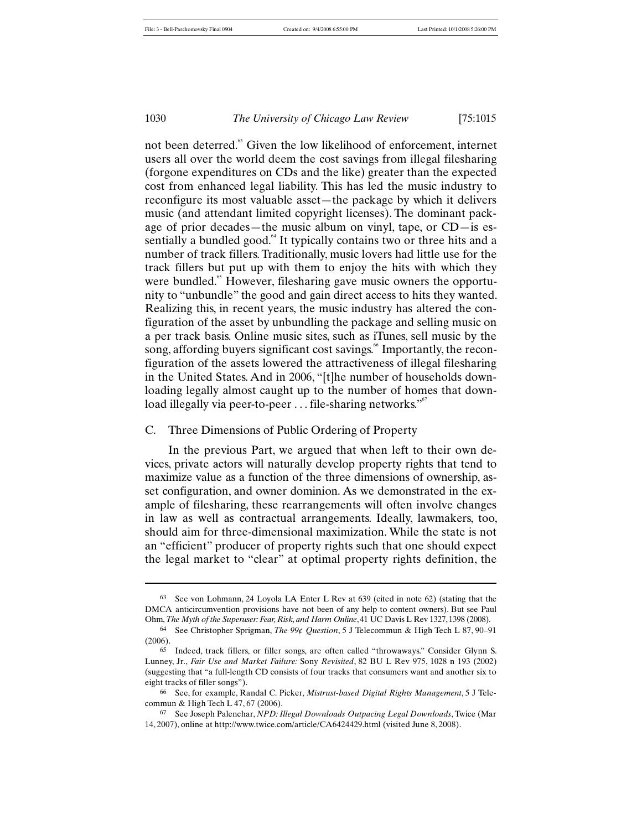1030 *The University of Chicago Law Review* [75:1015

not been deterred.<sup>63</sup> Given the low likelihood of enforcement, internet users all over the world deem the cost savings from illegal filesharing (forgone expenditures on CDs and the like) greater than the expected cost from enhanced legal liability. This has led the music industry to reconfigure its most valuable asset—the package by which it delivers music (and attendant limited copyright licenses). The dominant package of prior decades—the music album on vinyl, tape, or CD—is essentially a bundled good.<sup>64</sup> It typically contains two or three hits and a number of track fillers. Traditionally, music lovers had little use for the track fillers but put up with them to enjoy the hits with which they were bundled.<sup>65</sup> However, filesharing gave music owners the opportunity to "unbundle" the good and gain direct access to hits they wanted. Realizing this, in recent years, the music industry has altered the configuration of the asset by unbundling the package and selling music on a per track basis. Online music sites, such as iTunes, sell music by the song, affording buyers significant cost savings.<sup>66</sup> Importantly, the reconfiguration of the assets lowered the attractiveness of illegal filesharing in the United States. And in 2006, "[t]he number of households downloading legally almost caught up to the number of homes that download illegally via peer-to-peer ... file-sharing networks."<sup>67</sup>

# C. Three Dimensions of Public Ordering of Property

In the previous Part, we argued that when left to their own devices, private actors will naturally develop property rights that tend to maximize value as a function of the three dimensions of ownership, asset configuration, and owner dominion. As we demonstrated in the example of filesharing, these rearrangements will often involve changes in law as well as contractual arrangements. Ideally, lawmakers, too, should aim for three-dimensional maximization. While the state is not an "efficient" producer of property rights such that one should expect the legal market to "clear" at optimal property rights definition, the

<sup>63</sup> See von Lohmann, 24 Loyola LA Enter L Rev at 639 (cited in note 62) (stating that the DMCA anticircumvention provisions have not been of any help to content owners). But see Paul Ohm, *The Myth of the Superuser: Fear, Risk, and Harm Online*, 41 UC Davis L Rev 1327, 1398 (2008).

<sup>64</sup> See Christopher Sprigman, *The 99¢ Question*, 5 J Telecommun & High Tech L 87, 90–91 (2006).

<sup>65</sup> Indeed, track fillers, or filler songs, are often called "throwaways." Consider Glynn S. Lunney, Jr., *Fair Use and Market Failure:* Sony *Revisited*, 82 BU L Rev 975, 1028 n 193 (2002) (suggesting that "a full-length CD consists of four tracks that consumers want and another six to eight tracks of filler songs").

<sup>66</sup> See, for example, Randal C. Picker, *Mistrust-based Digital Rights Management*, 5 J Telecommun & High Tech L 47, 67 (2006).

<sup>67</sup> See Joseph Palenchar, *NPD: Illegal Downloads Outpacing Legal Downloads*, Twice (Mar 14, 2007), online at http://www.twice.com/article/CA6424429.html (visited June 8, 2008).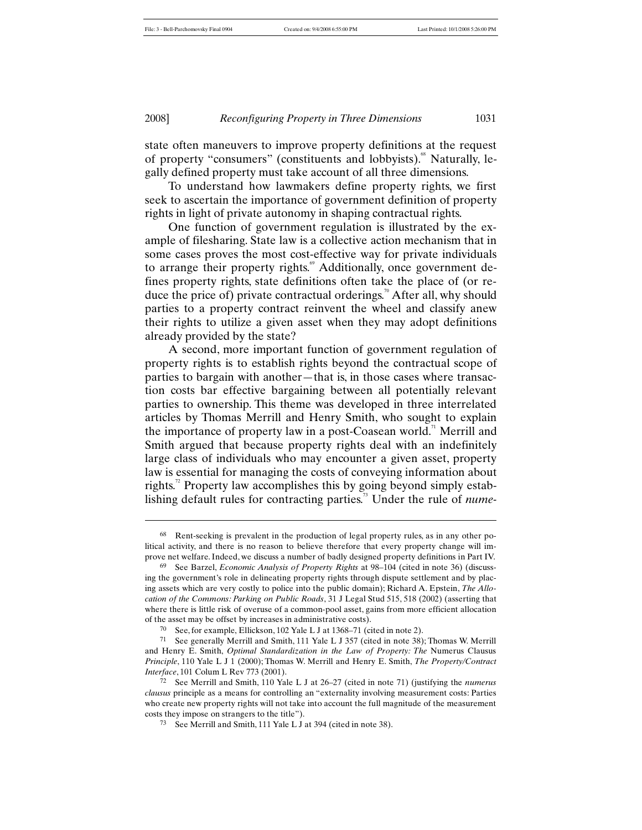#### 2008] *Reconfiguring Property in Three Dimensions* 1031

state often maneuvers to improve property definitions at the request of property "consumers" (constituents and lobbyists).<sup>88</sup> Naturally, legally defined property must take account of all three dimensions.

To understand how lawmakers define property rights, we first seek to ascertain the importance of government definition of property rights in light of private autonomy in shaping contractual rights.

One function of government regulation is illustrated by the example of filesharing. State law is a collective action mechanism that in some cases proves the most cost-effective way for private individuals to arrange their property rights.<sup>69</sup> Additionally, once government defines property rights, state definitions often take the place of (or reduce the price of) private contractual orderings.<sup>70</sup> After all, why should parties to a property contract reinvent the wheel and classify anew their rights to utilize a given asset when they may adopt definitions already provided by the state?

A second, more important function of government regulation of property rights is to establish rights beyond the contractual scope of parties to bargain with another—that is, in those cases where transaction costs bar effective bargaining between all potentially relevant parties to ownership. This theme was developed in three interrelated articles by Thomas Merrill and Henry Smith, who sought to explain the importance of property law in a post-Coasean world.<sup> $n$ </sup> Merrill and Smith argued that because property rights deal with an indefinitely large class of individuals who may encounter a given asset, property law is essential for managing the costs of conveying information about rights.<sup>72</sup> Property law accomplishes this by going beyond simply establishing default rules for contracting parties.<sup>73</sup> Under the rule of *nume*-

<sup>68</sup> Rent-seeking is prevalent in the production of legal property rules, as in any other political activity, and there is no reason to believe therefore that every property change will improve net welfare. Indeed, we discuss a number of badly designed property definitions in Part IV.

<sup>69</sup> See Barzel, *Economic Analysis of Property Rights* at 98–104 (cited in note 36) (discussing the government's role in delineating property rights through dispute settlement and by placing assets which are very costly to police into the public domain); Richard A. Epstein, *The Allocation of the Commons: Parking on Public Roads*, 31 J Legal Stud 515, 518 (2002) (asserting that where there is little risk of overuse of a common-pool asset, gains from more efficient allocation of the asset may be offset by increases in administrative costs).

<sup>70</sup> See, for example, Ellickson, 102 Yale L J at 1368–71 (cited in note 2).

<sup>71</sup> See generally Merrill and Smith, 111 Yale L J 357 (cited in note 38); Thomas W. Merrill and Henry E. Smith, *Optimal Standardization in the Law of Property: The* Numerus Clausus *Principle*, 110 Yale L J 1 (2000); Thomas W. Merrill and Henry E. Smith, *The Property/Contract Interface*, 101 Colum L Rev 773 (2001).

<sup>72</sup> See Merrill and Smith, 110 Yale L J at 26–27 (cited in note 71) (justifying the *numerus clausus* principle as a means for controlling an "externality involving measurement costs: Parties who create new property rights will not take into account the full magnitude of the measurement costs they impose on strangers to the title").

<sup>73</sup> See Merrill and Smith, 111 Yale L J at 394 (cited in note 38).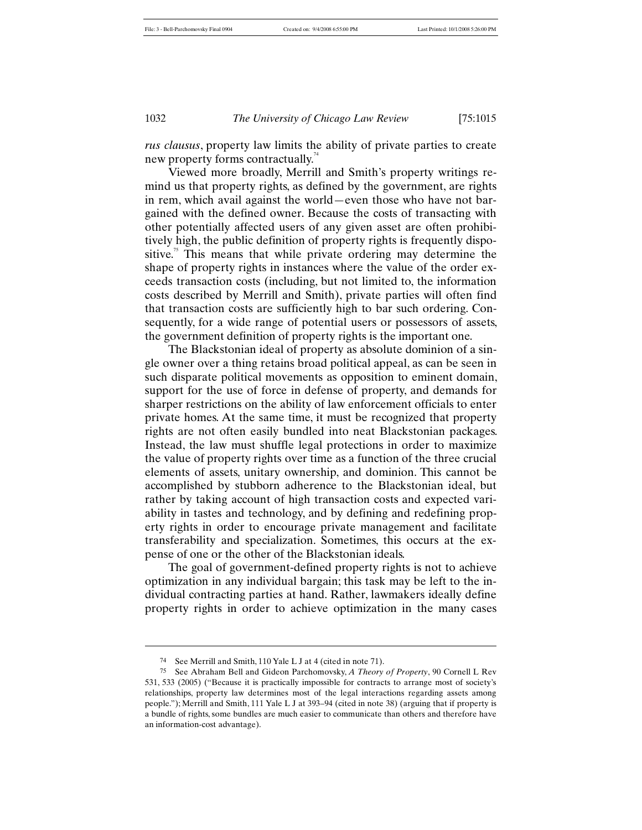*rus clausus*, property law limits the ability of private parties to create new property forms contractually.<sup>74</sup>

Viewed more broadly, Merrill and Smith's property writings remind us that property rights, as defined by the government, are rights in rem, which avail against the world—even those who have not bargained with the defined owner. Because the costs of transacting with other potentially affected users of any given asset are often prohibitively high, the public definition of property rights is frequently dispositive.<sup> $35$ </sup> This means that while private ordering may determine the shape of property rights in instances where the value of the order exceeds transaction costs (including, but not limited to, the information costs described by Merrill and Smith), private parties will often find that transaction costs are sufficiently high to bar such ordering. Consequently, for a wide range of potential users or possessors of assets, the government definition of property rights is the important one.

The Blackstonian ideal of property as absolute dominion of a single owner over a thing retains broad political appeal, as can be seen in such disparate political movements as opposition to eminent domain, support for the use of force in defense of property, and demands for sharper restrictions on the ability of law enforcement officials to enter private homes. At the same time, it must be recognized that property rights are not often easily bundled into neat Blackstonian packages. Instead, the law must shuffle legal protections in order to maximize the value of property rights over time as a function of the three crucial elements of assets, unitary ownership, and dominion. This cannot be accomplished by stubborn adherence to the Blackstonian ideal, but rather by taking account of high transaction costs and expected variability in tastes and technology, and by defining and redefining property rights in order to encourage private management and facilitate transferability and specialization. Sometimes, this occurs at the expense of one or the other of the Blackstonian ideals.

The goal of government-defined property rights is not to achieve optimization in any individual bargain; this task may be left to the individual contracting parties at hand. Rather, lawmakers ideally define property rights in order to achieve optimization in the many cases

<sup>74</sup> See Merrill and Smith, 110 Yale L J at 4 (cited in note 71).

<sup>75</sup> See Abraham Bell and Gideon Parchomovsky, *A Theory of Property*, 90 Cornell L Rev 531, 533 (2005) ("Because it is practically impossible for contracts to arrange most of society's relationships, property law determines most of the legal interactions regarding assets among people."); Merrill and Smith, 111 Yale L J at 393–94 (cited in note 38) (arguing that if property is a bundle of rights, some bundles are much easier to communicate than others and therefore have an information-cost advantage).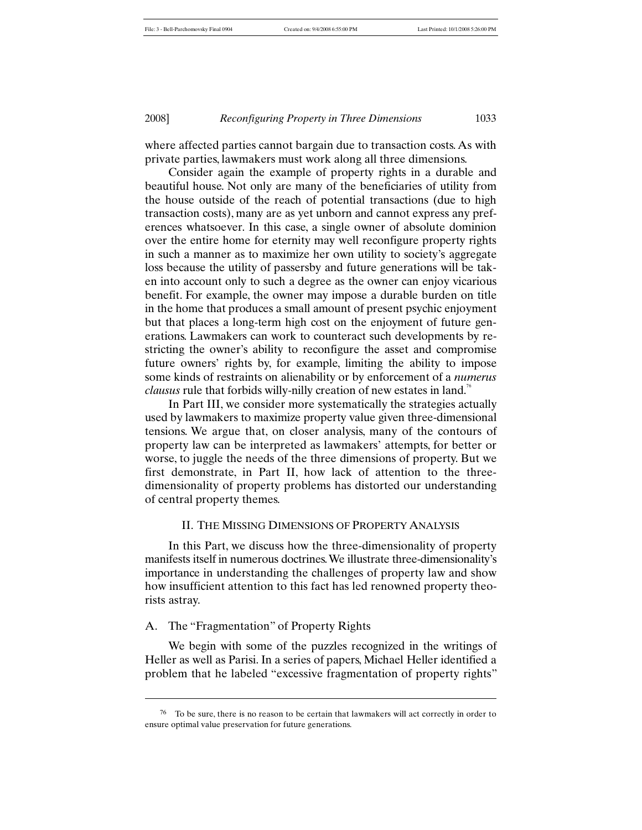where affected parties cannot bargain due to transaction costs. As with private parties, lawmakers must work along all three dimensions.

Consider again the example of property rights in a durable and beautiful house. Not only are many of the beneficiaries of utility from the house outside of the reach of potential transactions (due to high transaction costs), many are as yet unborn and cannot express any preferences whatsoever. In this case, a single owner of absolute dominion over the entire home for eternity may well reconfigure property rights in such a manner as to maximize her own utility to society's aggregate loss because the utility of passersby and future generations will be taken into account only to such a degree as the owner can enjoy vicarious benefit. For example, the owner may impose a durable burden on title in the home that produces a small amount of present psychic enjoyment but that places a long-term high cost on the enjoyment of future generations. Lawmakers can work to counteract such developments by restricting the owner's ability to reconfigure the asset and compromise future owners' rights by, for example, limiting the ability to impose some kinds of restraints on alienability or by enforcement of a *numerus clausus* rule that forbids willy-nilly creation of new estates in land.<sup>"</sup>

In Part III, we consider more systematically the strategies actually used by lawmakers to maximize property value given three-dimensional tensions. We argue that, on closer analysis, many of the contours of property law can be interpreted as lawmakers' attempts, for better or worse, to juggle the needs of the three dimensions of property. But we first demonstrate, in Part II, how lack of attention to the threedimensionality of property problems has distorted our understanding of central property themes.

#### II. THE MISSING DIMENSIONS OF PROPERTY ANALYSIS

In this Part, we discuss how the three-dimensionality of property manifests itself in numerous doctrines. We illustrate three-dimensionality's importance in understanding the challenges of property law and show how insufficient attention to this fact has led renowned property theorists astray.

# A. The "Fragmentation" of Property Rights

1

We begin with some of the puzzles recognized in the writings of Heller as well as Parisi. In a series of papers, Michael Heller identified a problem that he labeled "excessive fragmentation of property rights"

 $76$  To be sure, there is no reason to be certain that lawmakers will act correctly in order to ensure optimal value preservation for future generations.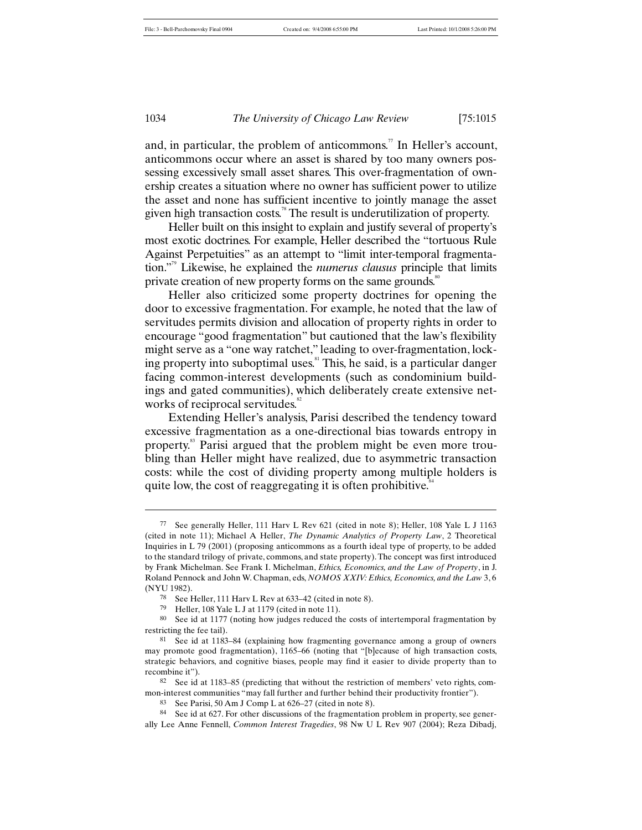and, in particular, the problem of anticommons.<sup> $\pi$ </sup> In Heller's account, anticommons occur where an asset is shared by too many owners possessing excessively small asset shares. This over-fragmentation of ownership creates a situation where no owner has sufficient power to utilize the asset and none has sufficient incentive to jointly manage the asset given high transaction costs.<sup>78</sup> The result is underutilization of property.

Heller built on this insight to explain and justify several of property's most exotic doctrines. For example, Heller described the "tortuous Rule Against Perpetuities" as an attempt to "limit inter-temporal fragmentation."<sup>79</sup> Likewise, he explained the *numerus clausus* principle that limits private creation of new property forms on the same grounds.<sup>80</sup>

Heller also criticized some property doctrines for opening the door to excessive fragmentation. For example, he noted that the law of servitudes permits division and allocation of property rights in order to encourage "good fragmentation" but cautioned that the law's flexibility might serve as a "one way ratchet," leading to over-fragmentation, locking property into suboptimal uses.<sup>81</sup> This, he said, is a particular danger facing common-interest developments (such as condominium buildings and gated communities), which deliberately create extensive networks of reciprocal servitudes.<sup>82</sup>

Extending Heller's analysis, Parisi described the tendency toward excessive fragmentation as a one-directional bias towards entropy in property.<sup>83</sup> Parisi argued that the problem might be even more troubling than Heller might have realized, due to asymmetric transaction costs: while the cost of dividing property among multiple holders is quite low, the cost of reaggregating it is often prohibitive. $\ddot{\ }$ 

<sup>77</sup> See generally Heller, 111 Harv L Rev 621 (cited in note 8); Heller, 108 Yale L J 1163 (cited in note 11); Michael A Heller, *The Dynamic Analytics of Property Law*, 2 Theoretical Inquiries in L 79 (2001) (proposing anticommons as a fourth ideal type of property, to be added to the standard trilogy of private, commons, and state property). The concept was first introduced by Frank Michelman. See Frank I. Michelman, *Ethics, Economics, and the Law of Property*, in J. Roland Pennock and John W. Chapman, eds, *NOMOS XXIV: Ethics, Economics, and the Law* 3, 6 (NYU 1982).

<sup>78</sup> See Heller, 111 Harv L Rev at 633–42 (cited in note 8).

<sup>79</sup> Heller, 108 Yale L J at 1179 (cited in note 11).

<sup>80</sup> See id at 1177 (noting how judges reduced the costs of intertemporal fragmentation by restricting the fee tail).

<sup>81</sup> See id at 1183–84 (explaining how fragmenting governance among a group of owners may promote good fragmentation), 1165–66 (noting that "[b]ecause of high transaction costs, strategic behaviors, and cognitive biases, people may find it easier to divide property than to recombine it").

<sup>82</sup> See id at 1183–85 (predicting that without the restriction of members' veto rights, common-interest communities "may fall further and further behind their productivity frontier").

<sup>83</sup> See Parisi, 50 Am J Comp L at 626–27 (cited in note 8).

<sup>84</sup> See id at 627. For other discussions of the fragmentation problem in property, see generally Lee Anne Fennell, *Common Interest Tragedies*, 98 Nw U L Rev 907 (2004); Reza Dibadj,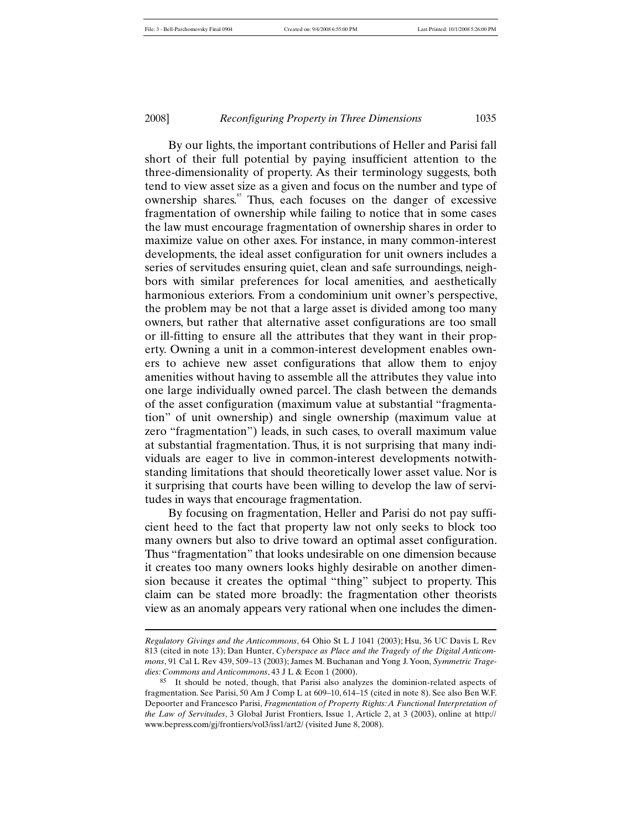$\overline{a}$ 

2008] *Reconfiguring Property in Three Dimensions* 1035

By our lights, the important contributions of Heller and Parisi fall short of their full potential by paying insufficient attention to the three-dimensionality of property. As their terminology suggests, both tend to view asset size as a given and focus on the number and type of ownership shares.<sup>85</sup> Thus, each focuses on the danger of excessive fragmentation of ownership while failing to notice that in some cases the law must encourage fragmentation of ownership shares in order to maximize value on other axes. For instance, in many common-interest developments, the ideal asset configuration for unit owners includes a series of servitudes ensuring quiet, clean and safe surroundings, neighbors with similar preferences for local amenities, and aesthetically harmonious exteriors. From a condominium unit owner's perspective, the problem may be not that a large asset is divided among too many owners, but rather that alternative asset configurations are too small or ill-fitting to ensure all the attributes that they want in their property. Owning a unit in a common-interest development enables owners to achieve new asset configurations that allow them to enjoy amenities without having to assemble all the attributes they value into one large individually owned parcel. The clash between the demands of the asset configuration (maximum value at substantial "fragmentation" of unit ownership) and single ownership (maximum value at zero "fragmentation") leads, in such cases, to overall maximum value at substantial fragmentation. Thus, it is not surprising that many individuals are eager to live in common-interest developments notwithstanding limitations that should theoretically lower asset value. Nor is it surprising that courts have been willing to develop the law of servitudes in ways that encourage fragmentation.

By focusing on fragmentation, Heller and Parisi do not pay sufficient heed to the fact that property law not only seeks to block too many owners but also to drive toward an optimal asset configuration. Thus "fragmentation" that looks undesirable on one dimension because it creates too many owners looks highly desirable on another dimension because it creates the optimal "thing" subject to property. This claim can be stated more broadly: the fragmentation other theorists view as an anomaly appears very rational when one includes the dimen-

*Regulatory Givings and the Anticommons*, 64 Ohio St L J 1041 (2003); Hsu, 36 UC Davis L Rev 813 (cited in note 13); Dan Hunter, *Cyberspace as Place and the Tragedy of the Digital Anticommons*, 91 Cal L Rev 439, 509–13 (2003); James M. Buchanan and Yong J. Yoon, *Symmetric Tragedies: Commons and Anticommons*, 43 J L & Econ 1 (2000).

It should be noted, though, that Parisi also analyzes the dominion-related aspects of fragmentation. See Parisi, 50 Am J Comp L at 609–10, 614–15 (cited in note 8). See also Ben W.F. Depoorter and Francesco Parisi, *Fragmentation of Property Rights: A Functional Interpretation of the Law of Servitudes*, 3 Global Jurist Frontiers, Issue 1, Article 2, at 3 (2003), online at http:// www.bepress.com/gj/frontiers/vol3/iss1/art2/ (visited June 8, 2008).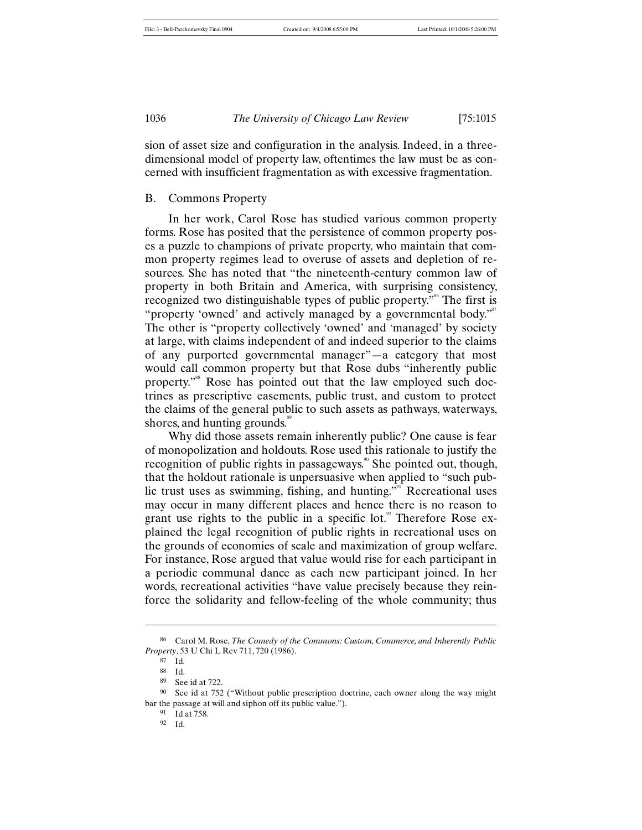sion of asset size and configuration in the analysis. Indeed, in a threedimensional model of property law, oftentimes the law must be as concerned with insufficient fragmentation as with excessive fragmentation.

#### B. Commons Property

In her work, Carol Rose has studied various common property forms. Rose has posited that the persistence of common property poses a puzzle to champions of private property, who maintain that common property regimes lead to overuse of assets and depletion of resources. She has noted that "the nineteenth-century common law of property in both Britain and America, with surprising consistency, recognized two distinguishable types of public property.<sup>36</sup> The first is "property 'owned' and actively managed by a governmental body." The other is "property collectively 'owned' and 'managed' by society at large, with claims independent of and indeed superior to the claims of any purported governmental manager"—a category that most would call common property but that Rose dubs "inherently public property."<sup>88</sup> Rose has pointed out that the law employed such doctrines as prescriptive easements, public trust, and custom to protect the claims of the general public to such assets as pathways, waterways, shores, and hunting grounds.

Why did those assets remain inherently public? One cause is fear of monopolization and holdouts. Rose used this rationale to justify the recognition of public rights in passageways.<sup>90</sup> She pointed out, though, that the holdout rationale is unpersuasive when applied to "such public trust uses as swimming, fishing, and hunting."<sup>91</sup> Recreational uses may occur in many different places and hence there is no reason to grant use rights to the public in a specific lot.<sup>92</sup> Therefore Rose explained the legal recognition of public rights in recreational uses on the grounds of economies of scale and maximization of group welfare. For instance, Rose argued that value would rise for each participant in a periodic communal dance as each new participant joined. In her words, recreational activities "have value precisely because they reinforce the solidarity and fellow-feeling of the whole community; thus

<sup>86</sup> Carol M. Rose, *The Comedy of the Commons: Custom, Commerce, and Inherently Public Property*, 53 U Chi L Rev 711, 720 (1986).

<sup>87</sup> Id.

<sup>88</sup> Id.

<sup>89</sup> See id at 722.

<sup>90</sup> See id at 752 ("Without public prescription doctrine, each owner along the way might bar the passage at will and siphon off its public value.").

<sup>91</sup> Id at 758.

<sup>92</sup> Id.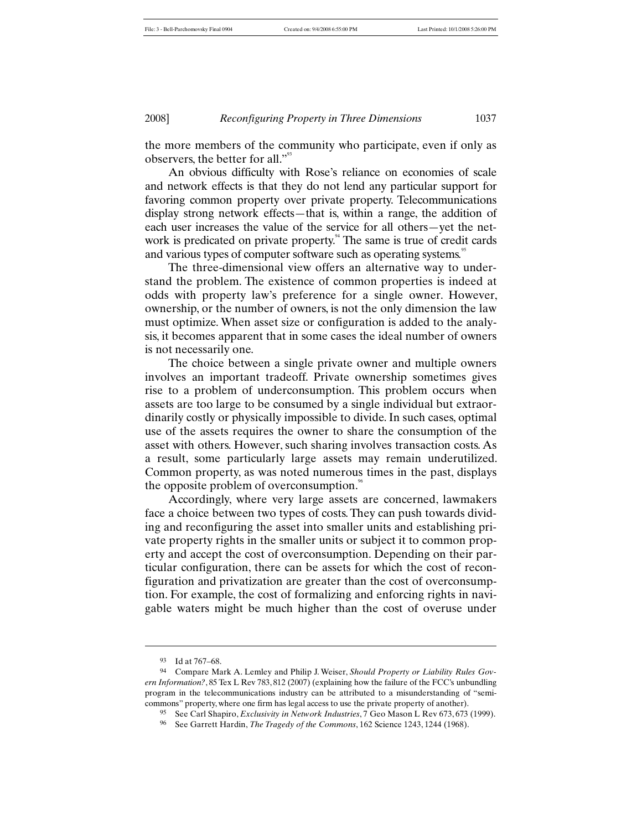the more members of the community who participate, even if only as observers, the better for all."

An obvious difficulty with Rose's reliance on economies of scale and network effects is that they do not lend any particular support for favoring common property over private property. Telecommunications display strong network effects—that is, within a range, the addition of each user increases the value of the service for all others—yet the network is predicated on private property.<sup>94</sup> The same is true of credit cards and various types of computer software such as operating systems.<sup>95</sup>

The three-dimensional view offers an alternative way to understand the problem. The existence of common properties is indeed at odds with property law's preference for a single owner. However, ownership, or the number of owners, is not the only dimension the law must optimize. When asset size or configuration is added to the analysis, it becomes apparent that in some cases the ideal number of owners is not necessarily one.

The choice between a single private owner and multiple owners involves an important tradeoff. Private ownership sometimes gives rise to a problem of underconsumption. This problem occurs when assets are too large to be consumed by a single individual but extraordinarily costly or physically impossible to divide. In such cases, optimal use of the assets requires the owner to share the consumption of the asset with others. However, such sharing involves transaction costs. As a result, some particularly large assets may remain underutilized. Common property, as was noted numerous times in the past, displays the opposite problem of overconsumption.<sup>86</sup>

Accordingly, where very large assets are concerned, lawmakers face a choice between two types of costs. They can push towards dividing and reconfiguring the asset into smaller units and establishing private property rights in the smaller units or subject it to common property and accept the cost of overconsumption. Depending on their particular configuration, there can be assets for which the cost of reconfiguration and privatization are greater than the cost of overconsumption. For example, the cost of formalizing and enforcing rights in navigable waters might be much higher than the cost of overuse under

<sup>93</sup> Id at 767–68.

<sup>94</sup> Compare Mark A. Lemley and Philip J. Weiser, *Should Property or Liability Rules Govern Information?*, 85 Tex L Rev 783, 812 (2007) (explaining how the failure of the FCC's unbundling program in the telecommunications industry can be attributed to a misunderstanding of "semicommons" property, where one firm has legal access to use the private property of another).

<sup>95</sup> See Carl Shapiro, *Exclusivity in Network Industries*, 7 Geo Mason L Rev 673, 673 (1999).

<sup>96</sup> See Garrett Hardin, *The Tragedy of the Commons*, 162 Science 1243, 1244 (1968).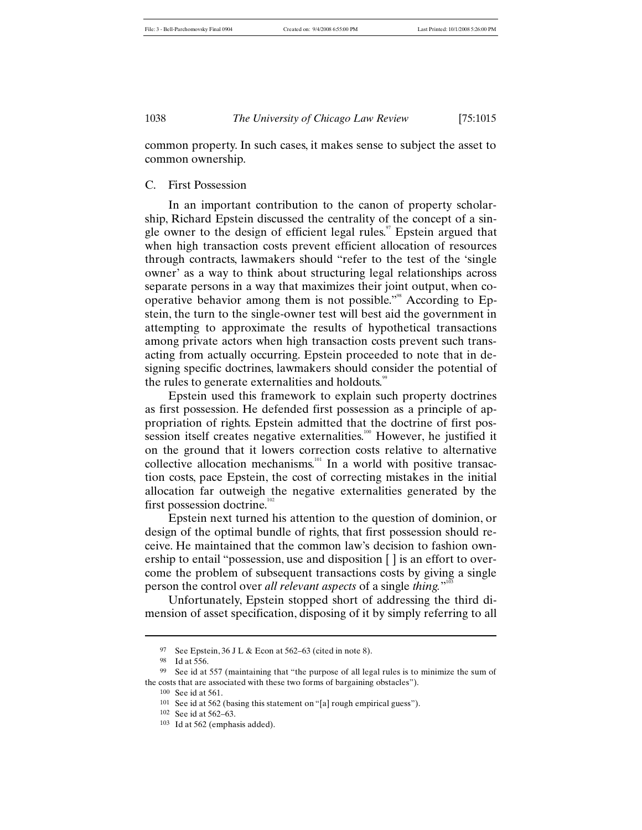common property. In such cases, it makes sense to subject the asset to common ownership.

# C. First Possession

In an important contribution to the canon of property scholarship, Richard Epstein discussed the centrality of the concept of a single owner to the design of efficient legal rules.<sup>97</sup> Epstein argued that when high transaction costs prevent efficient allocation of resources through contracts, lawmakers should "refer to the test of the 'single owner' as a way to think about structuring legal relationships across separate persons in a way that maximizes their joint output, when cooperative behavior among them is not possible."<sup>98</sup> According to Epstein, the turn to the single-owner test will best aid the government in attempting to approximate the results of hypothetical transactions among private actors when high transaction costs prevent such transacting from actually occurring. Epstein proceeded to note that in designing specific doctrines, lawmakers should consider the potential of the rules to generate externalities and holdouts.<sup>99</sup>

Epstein used this framework to explain such property doctrines as first possession. He defended first possession as a principle of appropriation of rights. Epstein admitted that the doctrine of first possession itself creates negative externalities.<sup>100</sup> However, he justified it on the ground that it lowers correction costs relative to alternative collective allocation mechanisms.<sup>101</sup> In a world with positive transaction costs, pace Epstein, the cost of correcting mistakes in the initial allocation far outweigh the negative externalities generated by the first possession doctrine. $102$ 

Epstein next turned his attention to the question of dominion, or design of the optimal bundle of rights, that first possession should receive. He maintained that the common law's decision to fashion ownership to entail "possession, use and disposition [ ] is an effort to overcome the problem of subsequent transactions costs by giving a single person the control over *all relevant aspects* of a single *thing.*"<sup>103</sup>

Unfortunately, Epstein stopped short of addressing the third dimension of asset specification, disposing of it by simply referring to all

<sup>97</sup> See Epstein, 36 J L & Econ at 562–63 (cited in note 8).

<sup>98</sup> Id at 556.

<sup>99</sup> See id at 557 (maintaining that "the purpose of all legal rules is to minimize the sum of the costs that are associated with these two forms of bargaining obstacles").

<sup>100</sup> See id at 561.

<sup>101</sup> See id at 562 (basing this statement on "[a] rough empirical guess").

<sup>102</sup> See id at 562–63.

<sup>103</sup> Id at 562 (emphasis added).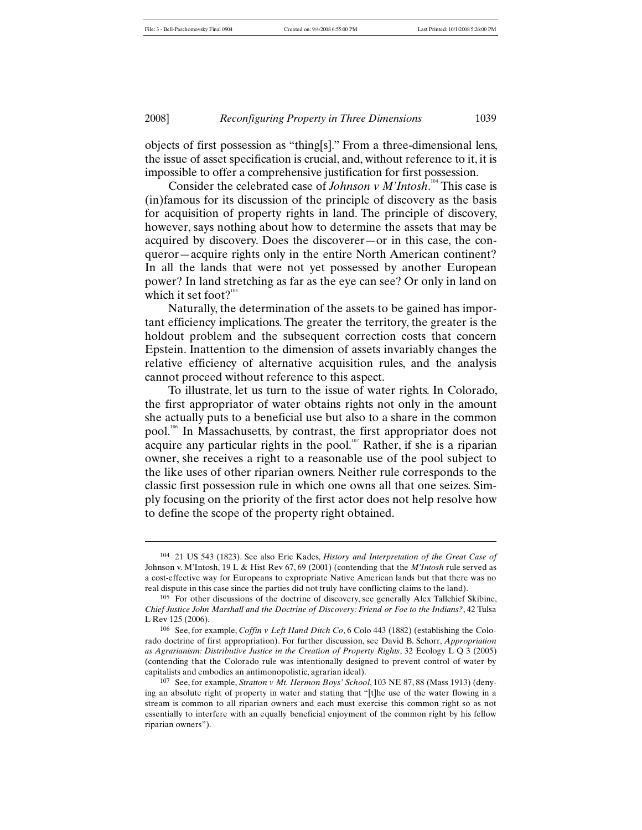#### 2008] *Reconfiguring Property in Three Dimensions* 1039

objects of first possession as "thing[s]." From a three-dimensional lens, the issue of asset specification is crucial, and, without reference to it, it is impossible to offer a comprehensive justification for first possession.

Consider the celebrated case of *Johnson v M'Intosh*.<sup>104</sup> This case is (in)famous for its discussion of the principle of discovery as the basis for acquisition of property rights in land. The principle of discovery, however, says nothing about how to determine the assets that may be acquired by discovery. Does the discoverer—or in this case, the conqueror—acquire rights only in the entire North American continent? In all the lands that were not yet possessed by another European power? In land stretching as far as the eye can see? Or only in land on which it set foot? $105$ 

Naturally, the determination of the assets to be gained has important efficiency implications. The greater the territory, the greater is the holdout problem and the subsequent correction costs that concern Epstein. Inattention to the dimension of assets invariably changes the relative efficiency of alternative acquisition rules, and the analysis cannot proceed without reference to this aspect.

To illustrate, let us turn to the issue of water rights. In Colorado, the first appropriator of water obtains rights not only in the amount she actually puts to a beneficial use but also to a share in the common pool.<sup>106</sup> In Massachusetts, by contrast, the first appropriator does not acquire any particular rights in the pool.<sup>107</sup> Rather, if she is a riparian owner, she receives a right to a reasonable use of the pool subject to the like uses of other riparian owners. Neither rule corresponds to the classic first possession rule in which one owns all that one seizes. Simply focusing on the priority of the first actor does not help resolve how to define the scope of the property right obtained.

<sup>104</sup> 21 US 543 (1823). See also Eric Kades, *History and Interpretation of the Great Case of*  Johnson v. M'Intosh, 19 L & Hist Rev 67, 69 (2001) (contending that the *M'Intosh* rule served as a cost-effective way for Europeans to expropriate Native American lands but that there was no real dispute in this case since the parties did not truly have conflicting claims to the land).

<sup>&</sup>lt;sup>105</sup> For other discussions of the doctrine of discovery, see generally Alex Tallchief Skibine, *Chief Justice John Marshall and the Doctrine of Discovery: Friend or Foe to the Indians?*, 42 Tulsa L Rev 125 (2006).

<sup>106</sup> See, for example, *Coffin v Left Hand Ditch Co*, 6 Colo 443 (1882) (establishing the Colorado doctrine of first appropriation). For further discussion, see David B. Schorr, *Appropriation as Agrarianism: Distributive Justice in the Creation of Property Rights*, 32 Ecology L Q 3 (2005) (contending that the Colorado rule was intentionally designed to prevent control of water by capitalists and embodies an antimonopolistic, agrarian ideal).

<sup>107</sup> See, for example, *Stratton v Mt. Hermon Boys' School*, 103 NE 87, 88 (Mass 1913) (denying an absolute right of property in water and stating that "[t]he use of the water flowing in a stream is common to all riparian owners and each must exercise this common right so as not essentially to interfere with an equally beneficial enjoyment of the common right by his fellow riparian owners").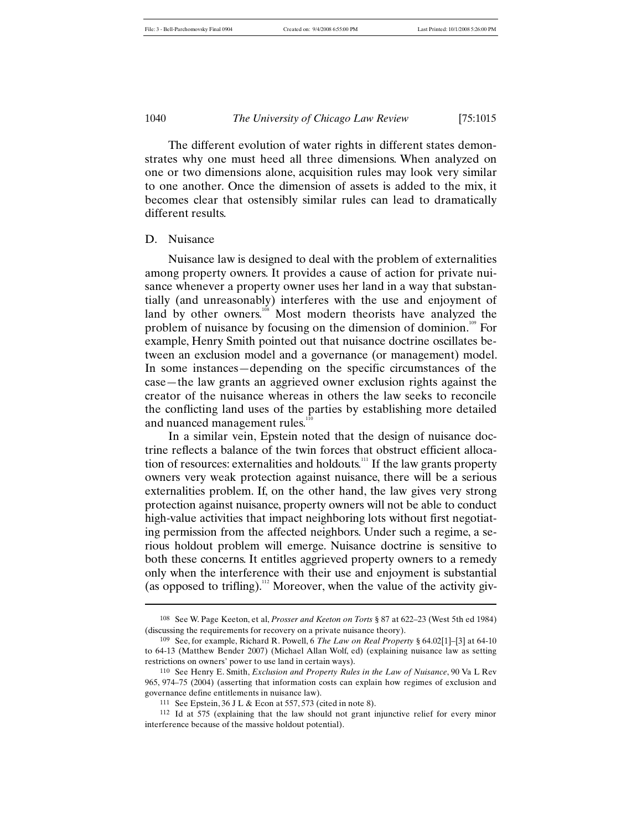The different evolution of water rights in different states demonstrates why one must heed all three dimensions. When analyzed on one or two dimensions alone, acquisition rules may look very similar to one another. Once the dimension of assets is added to the mix, it becomes clear that ostensibly similar rules can lead to dramatically different results.

## D. Nuisance

1

Nuisance law is designed to deal with the problem of externalities among property owners. It provides a cause of action for private nuisance whenever a property owner uses her land in a way that substantially (and unreasonably) interferes with the use and enjoyment of land by other owners.<sup>108</sup> Most modern theorists have analyzed the problem of nuisance by focusing on the dimension of dominion.<sup>109</sup> For example, Henry Smith pointed out that nuisance doctrine oscillates between an exclusion model and a governance (or management) model. In some instances—depending on the specific circumstances of the case—the law grants an aggrieved owner exclusion rights against the creator of the nuisance whereas in others the law seeks to reconcile the conflicting land uses of the parties by establishing more detailed and nuanced management rules.

In a similar vein, Epstein noted that the design of nuisance doctrine reflects a balance of the twin forces that obstruct efficient allocation of resources: externalities and holdouts.<sup>111</sup> If the law grants property owners very weak protection against nuisance, there will be a serious externalities problem. If, on the other hand, the law gives very strong protection against nuisance, property owners will not be able to conduct high-value activities that impact neighboring lots without first negotiating permission from the affected neighbors. Under such a regime, a serious holdout problem will emerge. Nuisance doctrine is sensitive to both these concerns. It entitles aggrieved property owners to a remedy only when the interference with their use and enjoyment is substantial (as opposed to trifling).<sup>112</sup> Moreover, when the value of the activity giv-

<sup>108</sup> See W. Page Keeton, et al, *Prosser and Keeton on Torts* § 87 at 622–23 (West 5th ed 1984) (discussing the requirements for recovery on a private nuisance theory).

<sup>109</sup> See, for example, Richard R. Powell, 6 *The Law on Real Property* § 64.02[1]–[3] at 64-10 to 64-13 (Matthew Bender 2007) (Michael Allan Wolf, ed) (explaining nuisance law as setting restrictions on owners' power to use land in certain ways).

<sup>110</sup> See Henry E. Smith, *Exclusion and Property Rules in the Law of Nuisance*, 90 Va L Rev 965, 974–75 (2004) (asserting that information costs can explain how regimes of exclusion and governance define entitlements in nuisance law).

<sup>111</sup> See Epstein, 36 J L & Econ at 557, 573 (cited in note 8).

<sup>112</sup> Id at 575 (explaining that the law should not grant injunctive relief for every minor interference because of the massive holdout potential).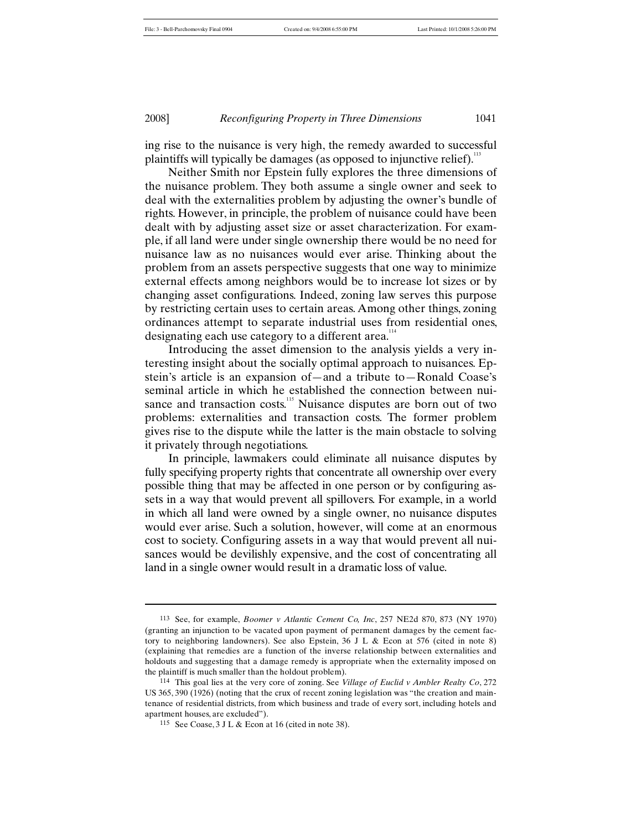ing rise to the nuisance is very high, the remedy awarded to successful plaintiffs will typically be damages (as opposed to injunctive relief). $\overline{1}$ 

Neither Smith nor Epstein fully explores the three dimensions of the nuisance problem. They both assume a single owner and seek to deal with the externalities problem by adjusting the owner's bundle of rights. However, in principle, the problem of nuisance could have been dealt with by adjusting asset size or asset characterization. For example, if all land were under single ownership there would be no need for nuisance law as no nuisances would ever arise. Thinking about the problem from an assets perspective suggests that one way to minimize external effects among neighbors would be to increase lot sizes or by changing asset configurations. Indeed, zoning law serves this purpose by restricting certain uses to certain areas. Among other things, zoning ordinances attempt to separate industrial uses from residential ones, designating each use category to a different area.<sup>114</sup>

Introducing the asset dimension to the analysis yields a very interesting insight about the socially optimal approach to nuisances. Epstein's article is an expansion of—and a tribute to—Ronald Coase's seminal article in which he established the connection between nuisance and transaction costs.<sup>115</sup> Nuisance disputes are born out of two problems: externalities and transaction costs. The former problem gives rise to the dispute while the latter is the main obstacle to solving it privately through negotiations.

In principle, lawmakers could eliminate all nuisance disputes by fully specifying property rights that concentrate all ownership over every possible thing that may be affected in one person or by configuring assets in a way that would prevent all spillovers. For example, in a world in which all land were owned by a single owner, no nuisance disputes would ever arise. Such a solution, however, will come at an enormous cost to society. Configuring assets in a way that would prevent all nuisances would be devilishly expensive, and the cost of concentrating all land in a single owner would result in a dramatic loss of value.

<sup>113</sup> See, for example, *Boomer v Atlantic Cement Co, Inc*, 257 NE2d 870, 873 (NY 1970) (granting an injunction to be vacated upon payment of permanent damages by the cement factory to neighboring landowners). See also Epstein, 36 J L & Econ at 576 (cited in note 8) (explaining that remedies are a function of the inverse relationship between externalities and holdouts and suggesting that a damage remedy is appropriate when the externality imposed on the plaintiff is much smaller than the holdout problem).

<sup>114</sup> This goal lies at the very core of zoning. See *Village of Euclid v Ambler Realty Co*, 272 US 365, 390 (1926) (noting that the crux of recent zoning legislation was "the creation and maintenance of residential districts, from which business and trade of every sort, including hotels and apartment houses, are excluded").

<sup>115</sup> See Coase, 3 J L & Econ at 16 (cited in note 38).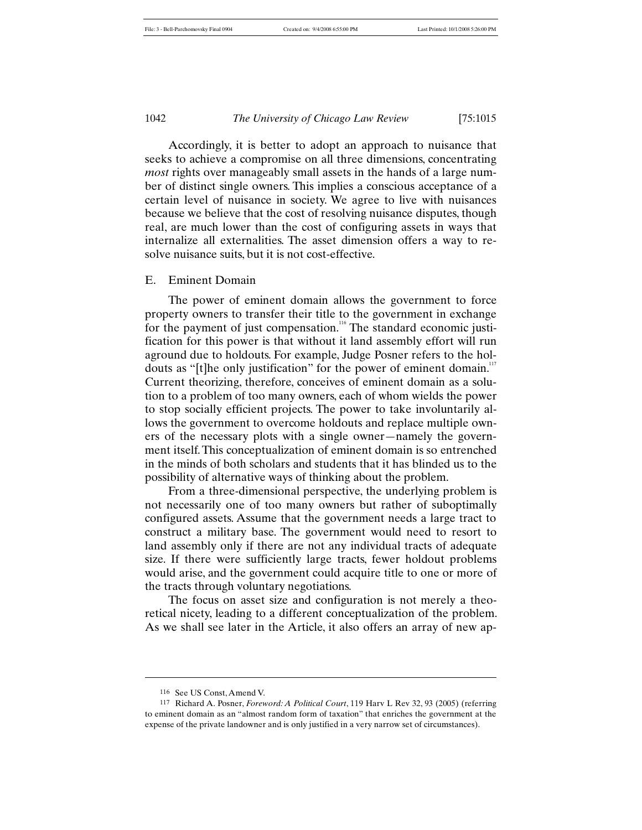Accordingly, it is better to adopt an approach to nuisance that seeks to achieve a compromise on all three dimensions, concentrating *most* rights over manageably small assets in the hands of a large number of distinct single owners. This implies a conscious acceptance of a certain level of nuisance in society. We agree to live with nuisances because we believe that the cost of resolving nuisance disputes, though real, are much lower than the cost of configuring assets in ways that internalize all externalities. The asset dimension offers a way to resolve nuisance suits, but it is not cost-effective.

### E. Eminent Domain

The power of eminent domain allows the government to force property owners to transfer their title to the government in exchange for the payment of just compensation.<sup>116</sup> The standard economic justification for this power is that without it land assembly effort will run aground due to holdouts. For example, Judge Posner refers to the holdouts as "[t]he only justification" for the power of eminent domain.<sup>117</sup> Current theorizing, therefore, conceives of eminent domain as a solution to a problem of too many owners, each of whom wields the power to stop socially efficient projects. The power to take involuntarily allows the government to overcome holdouts and replace multiple owners of the necessary plots with a single owner—namely the government itself. This conceptualization of eminent domain is so entrenched in the minds of both scholars and students that it has blinded us to the possibility of alternative ways of thinking about the problem.

From a three-dimensional perspective, the underlying problem is not necessarily one of too many owners but rather of suboptimally configured assets. Assume that the government needs a large tract to construct a military base. The government would need to resort to land assembly only if there are not any individual tracts of adequate size. If there were sufficiently large tracts, fewer holdout problems would arise, and the government could acquire title to one or more of the tracts through voluntary negotiations.

The focus on asset size and configuration is not merely a theoretical nicety, leading to a different conceptualization of the problem. As we shall see later in the Article, it also offers an array of new ap-

<sup>116</sup> See US Const, Amend V.

<sup>117</sup> Richard A. Posner, *Foreword: A Political Court*, 119 Harv L Rev 32, 93 (2005) (referring to eminent domain as an "almost random form of taxation" that enriches the government at the expense of the private landowner and is only justified in a very narrow set of circumstances).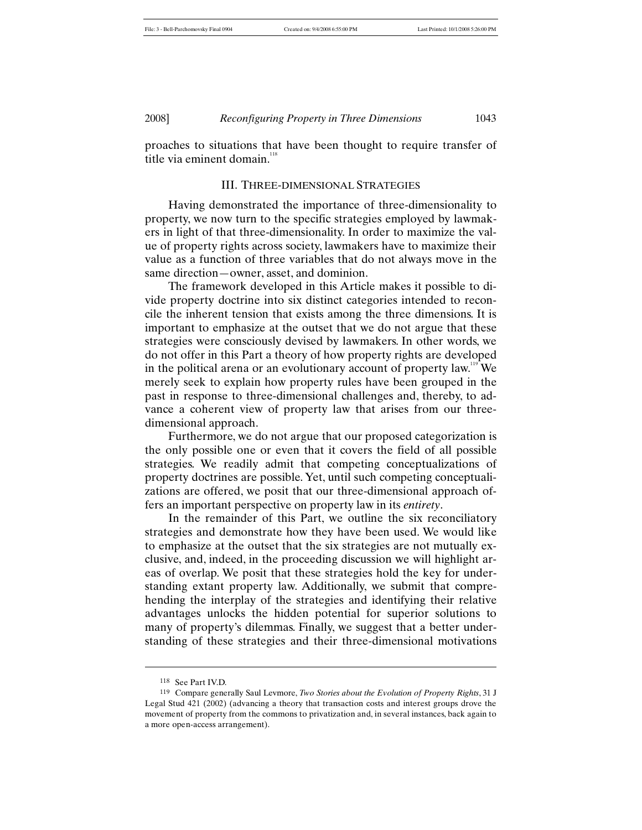proaches to situations that have been thought to require transfer of title via eminent domain. $11$ 

# III. THREE-DIMENSIONAL STRATEGIES

Having demonstrated the importance of three-dimensionality to property, we now turn to the specific strategies employed by lawmakers in light of that three-dimensionality. In order to maximize the value of property rights across society, lawmakers have to maximize their value as a function of three variables that do not always move in the same direction—owner, asset, and dominion.

The framework developed in this Article makes it possible to divide property doctrine into six distinct categories intended to reconcile the inherent tension that exists among the three dimensions. It is important to emphasize at the outset that we do not argue that these strategies were consciously devised by lawmakers. In other words, we do not offer in this Part a theory of how property rights are developed in the political arena or an evolutionary account of property law.<sup>119</sup> We merely seek to explain how property rules have been grouped in the past in response to three-dimensional challenges and, thereby, to advance a coherent view of property law that arises from our threedimensional approach.

Furthermore, we do not argue that our proposed categorization is the only possible one or even that it covers the field of all possible strategies. We readily admit that competing conceptualizations of property doctrines are possible. Yet, until such competing conceptualizations are offered, we posit that our three-dimensional approach offers an important perspective on property law in its *entirety*.

In the remainder of this Part, we outline the six reconciliatory strategies and demonstrate how they have been used. We would like to emphasize at the outset that the six strategies are not mutually exclusive, and, indeed, in the proceeding discussion we will highlight areas of overlap. We posit that these strategies hold the key for understanding extant property law. Additionally, we submit that comprehending the interplay of the strategies and identifying their relative advantages unlocks the hidden potential for superior solutions to many of property's dilemmas. Finally, we suggest that a better understanding of these strategies and their three-dimensional motivations

<sup>118</sup> See Part IV.D.

<sup>119</sup> Compare generally Saul Levmore, *Two Stories about the Evolution of Property Rights*, 31 J Legal Stud 421 (2002) (advancing a theory that transaction costs and interest groups drove the movement of property from the commons to privatization and, in several instances, back again to a more open-access arrangement).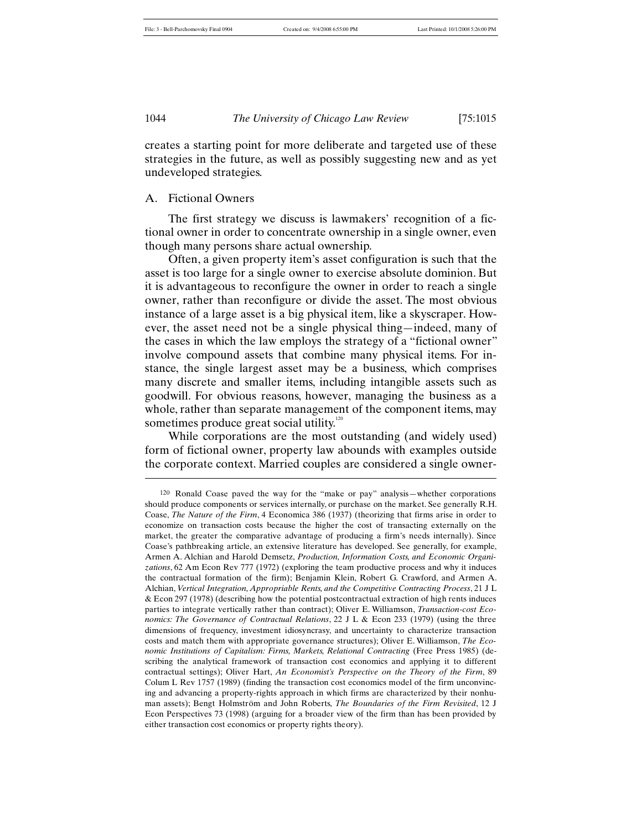creates a starting point for more deliberate and targeted use of these strategies in the future, as well as possibly suggesting new and as yet undeveloped strategies.

# A. Fictional Owners

1

The first strategy we discuss is lawmakers' recognition of a fictional owner in order to concentrate ownership in a single owner, even though many persons share actual ownership.

Often, a given property item's asset configuration is such that the asset is too large for a single owner to exercise absolute dominion. But it is advantageous to reconfigure the owner in order to reach a single owner, rather than reconfigure or divide the asset. The most obvious instance of a large asset is a big physical item, like a skyscraper. However, the asset need not be a single physical thing—indeed, many of the cases in which the law employs the strategy of a "fictional owner" involve compound assets that combine many physical items. For instance, the single largest asset may be a business, which comprises many discrete and smaller items, including intangible assets such as goodwill. For obvious reasons, however, managing the business as a whole, rather than separate management of the component items, may sometimes produce great social utility. $12$ 

While corporations are the most outstanding (and widely used) form of fictional owner, property law abounds with examples outside the corporate context. Married couples are considered a single owner-

<sup>120</sup> Ronald Coase paved the way for the "make or pay" analysis—whether corporations should produce components or services internally, or purchase on the market. See generally R.H. Coase, *The Nature of the Firm*, 4 Economica 386 (1937) (theorizing that firms arise in order to economize on transaction costs because the higher the cost of transacting externally on the market, the greater the comparative advantage of producing a firm's needs internally). Since Coase's pathbreaking article, an extensive literature has developed. See generally, for example, Armen A. Alchian and Harold Demsetz, *Production, Information Costs, and Economic Organizations*, 62 Am Econ Rev 777 (1972) (exploring the team productive process and why it induces the contractual formation of the firm); Benjamin Klein, Robert G. Crawford, and Armen A. Alchian, *Vertical Integration, Appropriable Rents, and the Competitive Contracting Process*, 21 J L & Econ 297 (1978) (describing how the potential postcontractual extraction of high rents induces parties to integrate vertically rather than contract); Oliver E. Williamson, *Transaction-cost Economics: The Governance of Contractual Relations*, 22 J L & Econ 233 (1979) (using the three dimensions of frequency, investment idiosyncrasy, and uncertainty to characterize transaction costs and match them with appropriate governance structures); Oliver E. Williamson, *The Economic Institutions of Capitalism: Firms, Markets, Relational Contracting* (Free Press 1985) (describing the analytical framework of transaction cost economics and applying it to different contractual settings); Oliver Hart, *An Economist's Perspective on the Theory of the Firm*, 89 Colum L Rev 1757 (1989) (finding the transaction cost economics model of the firm unconvincing and advancing a property-rights approach in which firms are characterized by their nonhuman assets); Bengt Holmström and John Roberts, *The Boundaries of the Firm Revisited*, 12 J Econ Perspectives 73 (1998) (arguing for a broader view of the firm than has been provided by either transaction cost economics or property rights theory).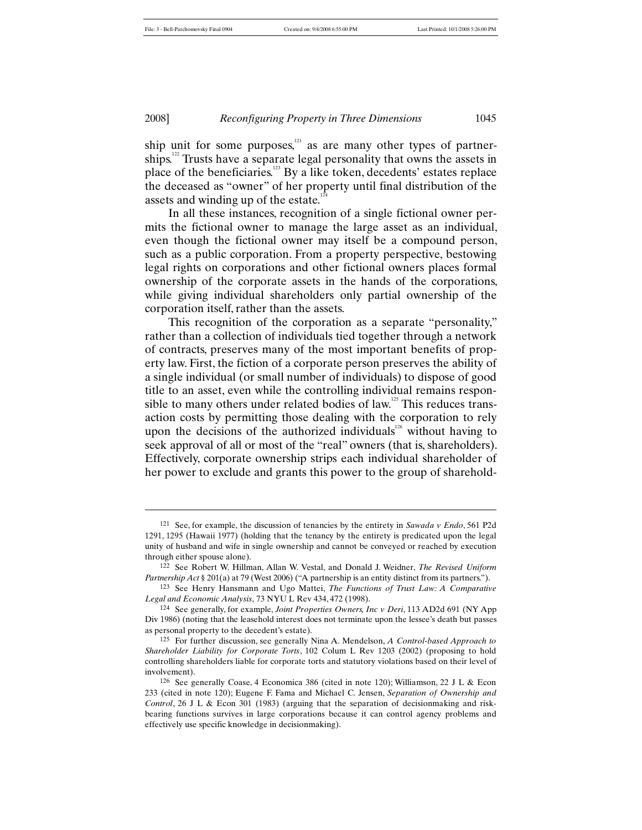2008] *Reconfiguring Property in Three Dimensions* 1045

ship unit for some purposes, $121$  as are many other types of partnerships.<sup>122</sup> Trusts have a separate legal personality that owns the assets in place of the beneficiaries.<sup>123</sup> By a like token, decedents' estates replace the deceased as "owner" of her property until final distribution of the assets and winding up of the estate. $\overline{1}$ 

In all these instances, recognition of a single fictional owner permits the fictional owner to manage the large asset as an individual, even though the fictional owner may itself be a compound person, such as a public corporation. From a property perspective, bestowing legal rights on corporations and other fictional owners places formal ownership of the corporate assets in the hands of the corporations, while giving individual shareholders only partial ownership of the corporation itself, rather than the assets.

This recognition of the corporation as a separate "personality," rather than a collection of individuals tied together through a network of contracts, preserves many of the most important benefits of property law. First, the fiction of a corporate person preserves the ability of a single individual (or small number of individuals) to dispose of good title to an asset, even while the controlling individual remains responsible to many others under related bodies of law.<sup>125</sup> This reduces transaction costs by permitting those dealing with the corporation to rely upon the decisions of the authorized individuals<sup>126</sup> without having to seek approval of all or most of the "real" owners (that is, shareholders). Effectively, corporate ownership strips each individual shareholder of her power to exclude and grants this power to the group of sharehold-

<sup>121</sup> See, for example, the discussion of tenancies by the entirety in *Sawada v Endo*, 561 P2d 1291, 1295 (Hawaii 1977) (holding that the tenancy by the entirety is predicated upon the legal unity of husband and wife in single ownership and cannot be conveyed or reached by execution through either spouse alone).

<sup>122</sup> See Robert W. Hillman, Allan W. Vestal, and Donald J. Weidner, *The Revised Uniform Partnership Act* § 201(a) at 79 (West 2006) ("A partnership is an entity distinct from its partners.").

<sup>123</sup> See Henry Hansmann and Ugo Mattei, *The Functions of Trust Law: A Comparative Legal and Economic Analysis*, 73 NYU L Rev 434, 472 (1998).

<sup>124</sup> See generally, for example, *Joint Properties Owners, Inc v Deri*, 113 AD2d 691 (NY App Div 1986) (noting that the leasehold interest does not terminate upon the lessee's death but passes as personal property to the decedent's estate).

<sup>125</sup> For further discussion, see generally Nina A. Mendelson, *A Control-based Approach to Shareholder Liability for Corporate Torts*, 102 Colum L Rev 1203 (2002) (proposing to hold controlling shareholders liable for corporate torts and statutory violations based on their level of involvement).

<sup>126</sup> See generally Coase, 4 Economica 386 (cited in note 120); Williamson, 22 J L & Econ 233 (cited in note 120); Eugene F. Fama and Michael C. Jensen, *Separation of Ownership and Control*, 26 J L & Econ 301 (1983) (arguing that the separation of decisionmaking and riskbearing functions survives in large corporations because it can control agency problems and effectively use specific knowledge in decisionmaking).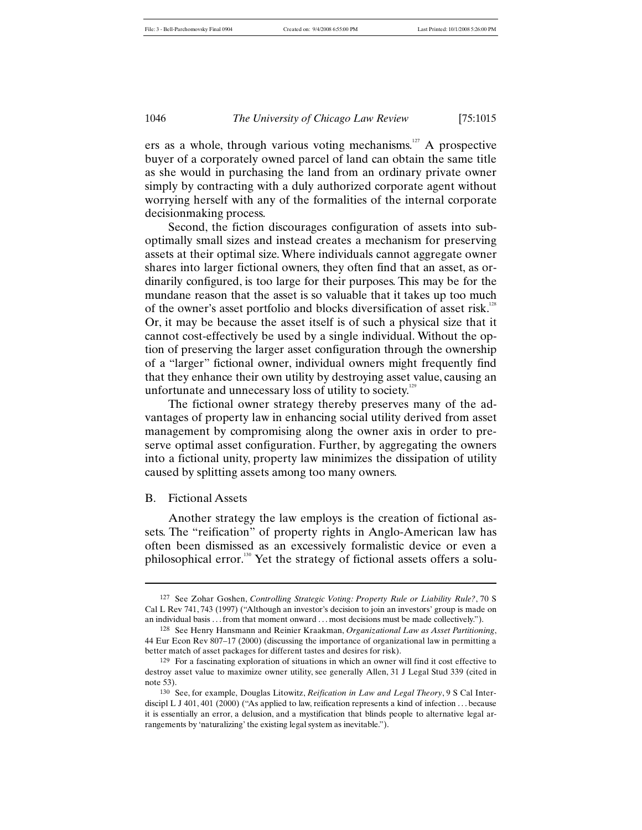ers as a whole, through various voting mechanisms.<sup>127</sup> A prospective buyer of a corporately owned parcel of land can obtain the same title as she would in purchasing the land from an ordinary private owner simply by contracting with a duly authorized corporate agent without worrying herself with any of the formalities of the internal corporate decisionmaking process.

Second, the fiction discourages configuration of assets into suboptimally small sizes and instead creates a mechanism for preserving assets at their optimal size. Where individuals cannot aggregate owner shares into larger fictional owners, they often find that an asset, as ordinarily configured, is too large for their purposes. This may be for the mundane reason that the asset is so valuable that it takes up too much of the owner's asset portfolio and blocks diversification of asset risk.<sup>128</sup> Or, it may be because the asset itself is of such a physical size that it cannot cost-effectively be used by a single individual. Without the option of preserving the larger asset configuration through the ownership of a "larger" fictional owner, individual owners might frequently find that they enhance their own utility by destroying asset value, causing an unfortunate and unnecessary loss of utility to society.<sup>139</sup>

The fictional owner strategy thereby preserves many of the advantages of property law in enhancing social utility derived from asset management by compromising along the owner axis in order to preserve optimal asset configuration. Further, by aggregating the owners into a fictional unity, property law minimizes the dissipation of utility caused by splitting assets among too many owners.

## B. Fictional Assets

1

Another strategy the law employs is the creation of fictional assets. The "reification" of property rights in Anglo-American law has often been dismissed as an excessively formalistic device or even a philosophical error.<sup>130</sup> Yet the strategy of fictional assets offers a solu-

<sup>127</sup> See Zohar Goshen, *Controlling Strategic Voting: Property Rule or Liability Rule?*, 70 S Cal L Rev 741, 743 (1997) ("Although an investor's decision to join an investors' group is made on an individual basis . . . from that moment onward . . . most decisions must be made collectively.").

<sup>128</sup> See Henry Hansmann and Reinier Kraakman, *Organizational Law as Asset Partitioning*, 44 Eur Econ Rev 807–17 (2000) (discussing the importance of organizational law in permitting a better match of asset packages for different tastes and desires for risk).

<sup>129</sup> For a fascinating exploration of situations in which an owner will find it cost effective to destroy asset value to maximize owner utility, see generally Allen, 31 J Legal Stud 339 (cited in note 53).

<sup>130</sup> See, for example, Douglas Litowitz, *Reification in Law and Legal Theory*, 9 S Cal Interdiscipl L J 401, 401 (2000) ("As applied to law, reification represents a kind of infection . . . because it is essentially an error, a delusion, and a mystification that blinds people to alternative legal arrangements by 'naturalizing' the existing legal system as inevitable.").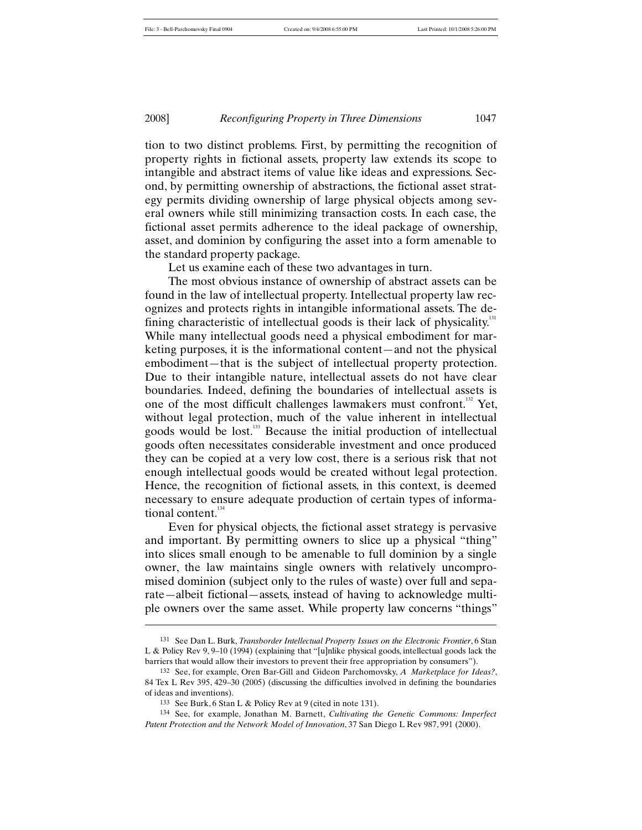tion to two distinct problems. First, by permitting the recognition of property rights in fictional assets, property law extends its scope to intangible and abstract items of value like ideas and expressions. Second, by permitting ownership of abstractions, the fictional asset strategy permits dividing ownership of large physical objects among several owners while still minimizing transaction costs. In each case, the fictional asset permits adherence to the ideal package of ownership, asset, and dominion by configuring the asset into a form amenable to the standard property package.

Let us examine each of these two advantages in turn.

The most obvious instance of ownership of abstract assets can be found in the law of intellectual property. Intellectual property law recognizes and protects rights in intangible informational assets. The defining characteristic of intellectual goods is their lack of physicality.<sup>13</sup> While many intellectual goods need a physical embodiment for marketing purposes, it is the informational content—and not the physical embodiment—that is the subject of intellectual property protection. Due to their intangible nature, intellectual assets do not have clear boundaries. Indeed, defining the boundaries of intellectual assets is one of the most difficult challenges lawmakers must confront.<sup>132</sup> Yet, without legal protection, much of the value inherent in intellectual goods would be lost.<sup>133</sup> Because the initial production of intellectual goods often necessitates considerable investment and once produced they can be copied at a very low cost, there is a serious risk that not enough intellectual goods would be created without legal protection. Hence, the recognition of fictional assets, in this context, is deemed necessary to ensure adequate production of certain types of informational content.<sup>134</sup>

Even for physical objects, the fictional asset strategy is pervasive and important. By permitting owners to slice up a physical "thing" into slices small enough to be amenable to full dominion by a single owner, the law maintains single owners with relatively uncompromised dominion (subject only to the rules of waste) over full and separate—albeit fictional—assets, instead of having to acknowledge multiple owners over the same asset. While property law concerns "things"

<sup>131</sup> See Dan L. Burk, *Transborder Intellectual Property Issues on the Electronic Frontier*, 6 Stan L & Policy Rev 9, 9–10 (1994) (explaining that "[u]nlike physical goods, intellectual goods lack the barriers that would allow their investors to prevent their free appropriation by consumers").

<sup>132</sup> See, for example, Oren Bar-Gill and Gideon Parchomovsky, *A Marketplace for Ideas?*, 84 Tex L Rev 395, 429–30 (2005) (discussing the difficulties involved in defining the boundaries of ideas and inventions).

<sup>133</sup> See Burk, 6 Stan L & Policy Rev at 9 (cited in note 131).

<sup>134</sup> See, for example, Jonathan M. Barnett, *Cultivating the Genetic Commons: Imperfect Patent Protection and the Network Model of Innovation*, 37 San Diego L Rev 987, 991 (2000).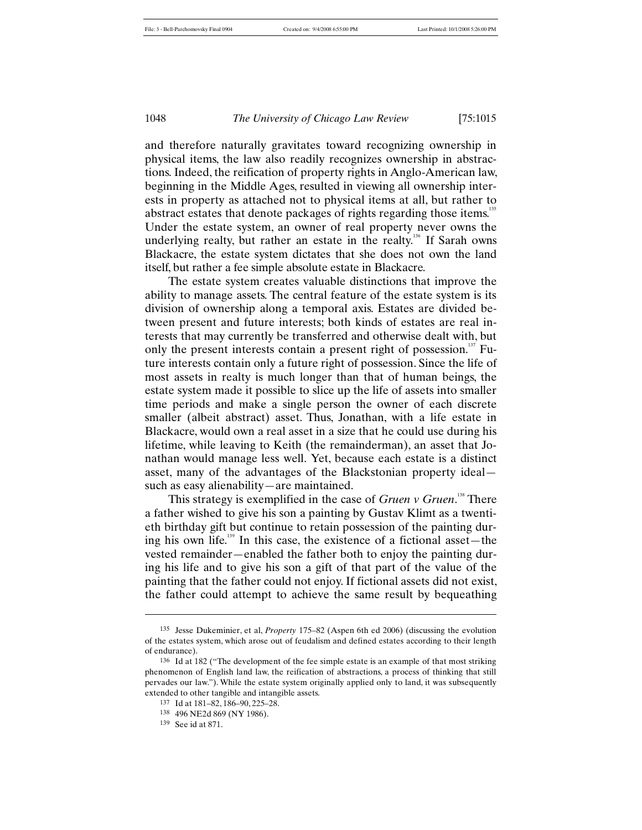and therefore naturally gravitates toward recognizing ownership in physical items, the law also readily recognizes ownership in abstractions. Indeed, the reification of property rights in Anglo-American law, beginning in the Middle Ages, resulted in viewing all ownership interests in property as attached not to physical items at all, but rather to abstract estates that denote packages of rights regarding those items.<sup>135</sup> Under the estate system, an owner of real property never owns the underlying realty, but rather an estate in the realty.<sup>136</sup> If Sarah owns Blackacre, the estate system dictates that she does not own the land itself, but rather a fee simple absolute estate in Blackacre.

The estate system creates valuable distinctions that improve the ability to manage assets. The central feature of the estate system is its division of ownership along a temporal axis. Estates are divided between present and future interests; both kinds of estates are real interests that may currently be transferred and otherwise dealt with, but only the present interests contain a present right of possession.<sup>137</sup> Future interests contain only a future right of possession. Since the life of most assets in realty is much longer than that of human beings, the estate system made it possible to slice up the life of assets into smaller time periods and make a single person the owner of each discrete smaller (albeit abstract) asset. Thus, Jonathan, with a life estate in Blackacre, would own a real asset in a size that he could use during his lifetime, while leaving to Keith (the remainderman), an asset that Jonathan would manage less well. Yet, because each estate is a distinct asset, many of the advantages of the Blackstonian property ideal such as easy alienability—are maintained.

This strategy is exemplified in the case of *Gruen v Gruen*. <sup>138</sup> There a father wished to give his son a painting by Gustav Klimt as a twentieth birthday gift but continue to retain possession of the painting during his own life.<sup>139</sup> In this case, the existence of a fictional asset—the vested remainder—enabled the father both to enjoy the painting during his life and to give his son a gift of that part of the value of the painting that the father could not enjoy. If fictional assets did not exist, the father could attempt to achieve the same result by bequeathing

<sup>135</sup> Jesse Dukeminier, et al, *Property* 175–82 (Aspen 6th ed 2006) (discussing the evolution of the estates system, which arose out of feudalism and defined estates according to their length of endurance).

<sup>136</sup> Id at 182 ("The development of the fee simple estate is an example of that most striking phenomenon of English land law, the reification of abstractions, a process of thinking that still pervades our law."). While the estate system originally applied only to land, it was subsequently extended to other tangible and intangible assets.

<sup>137</sup> Id at 181–82, 186–90, 225–28.

<sup>138</sup> 496 NE2d 869 (NY 1986).

<sup>139</sup> See id at 871.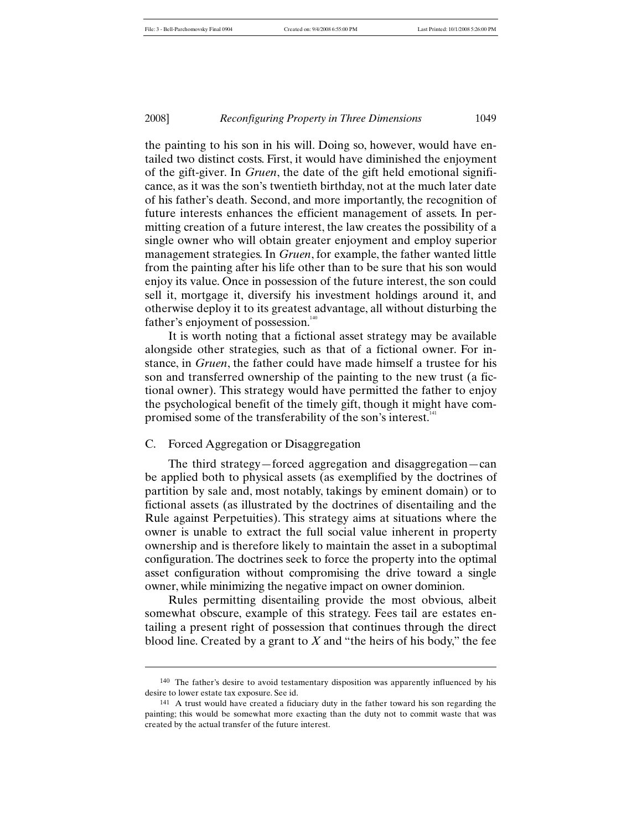the painting to his son in his will. Doing so, however, would have entailed two distinct costs. First, it would have diminished the enjoyment of the gift-giver. In *Gruen*, the date of the gift held emotional significance, as it was the son's twentieth birthday, not at the much later date of his father's death. Second, and more importantly, the recognition of future interests enhances the efficient management of assets. In permitting creation of a future interest, the law creates the possibility of a single owner who will obtain greater enjoyment and employ superior management strategies. In *Gruen*, for example, the father wanted little from the painting after his life other than to be sure that his son would enjoy its value. Once in possession of the future interest, the son could sell it, mortgage it, diversify his investment holdings around it, and otherwise deploy it to its greatest advantage, all without disturbing the father's enjoyment of possession. $140$ 

It is worth noting that a fictional asset strategy may be available alongside other strategies, such as that of a fictional owner. For instance, in *Gruen*, the father could have made himself a trustee for his son and transferred ownership of the painting to the new trust (a fictional owner). This strategy would have permitted the father to enjoy the psychological benefit of the timely gift, though it might have compromised some of the transferability of the son's interest.<sup>141</sup>

# C. Forced Aggregation or Disaggregation

-

The third strategy—forced aggregation and disaggregation—can be applied both to physical assets (as exemplified by the doctrines of partition by sale and, most notably, takings by eminent domain) or to fictional assets (as illustrated by the doctrines of disentailing and the Rule against Perpetuities). This strategy aims at situations where the owner is unable to extract the full social value inherent in property ownership and is therefore likely to maintain the asset in a suboptimal configuration. The doctrines seek to force the property into the optimal asset configuration without compromising the drive toward a single owner, while minimizing the negative impact on owner dominion.

Rules permitting disentailing provide the most obvious, albeit somewhat obscure, example of this strategy. Fees tail are estates entailing a present right of possession that continues through the direct blood line. Created by a grant to *X* and "the heirs of his body," the fee

<sup>140</sup> The father's desire to avoid testamentary disposition was apparently influenced by his desire to lower estate tax exposure. See id.

<sup>141</sup> A trust would have created a fiduciary duty in the father toward his son regarding the painting; this would be somewhat more exacting than the duty not to commit waste that was created by the actual transfer of the future interest.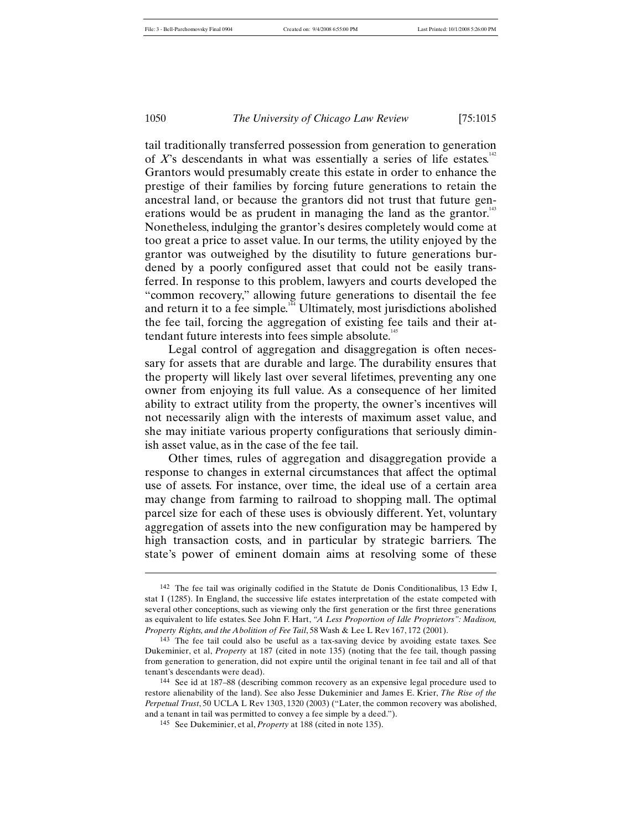1050 *The University of Chicago Law Review* [75:1015

tail traditionally transferred possession from generation to generation of  $X$ 's descendants in what was essentially a series of life estates.<sup>142</sup> Grantors would presumably create this estate in order to enhance the prestige of their families by forcing future generations to retain the ancestral land, or because the grantors did not trust that future generations would be as prudent in managing the land as the grantor. $143$ Nonetheless, indulging the grantor's desires completely would come at too great a price to asset value. In our terms, the utility enjoyed by the grantor was outweighed by the disutility to future generations burdened by a poorly configured asset that could not be easily transferred. In response to this problem, lawyers and courts developed the "common recovery," allowing future generations to disentail the fee and return it to a fee simple.<sup>144</sup> Ultimately, most jurisdictions abolished the fee tail, forcing the aggregation of existing fee tails and their attendant future interests into fees simple absolute.<sup>145</sup>

Legal control of aggregation and disaggregation is often necessary for assets that are durable and large. The durability ensures that the property will likely last over several lifetimes, preventing any one owner from enjoying its full value. As a consequence of her limited ability to extract utility from the property, the owner's incentives will not necessarily align with the interests of maximum asset value, and she may initiate various property configurations that seriously diminish asset value, as in the case of the fee tail.

Other times, rules of aggregation and disaggregation provide a response to changes in external circumstances that affect the optimal use of assets. For instance, over time, the ideal use of a certain area may change from farming to railroad to shopping mall. The optimal parcel size for each of these uses is obviously different. Yet, voluntary aggregation of assets into the new configuration may be hampered by high transaction costs, and in particular by strategic barriers. The state's power of eminent domain aims at resolving some of these

<sup>142</sup> The fee tail was originally codified in the Statute de Donis Conditionalibus, 13 Edw I, stat I (1285). In England, the successive life estates interpretation of the estate competed with several other conceptions, such as viewing only the first generation or the first three generations as equivalent to life estates. See John F. Hart, *"A Less Proportion of Idle Proprietors": Madison, Property Rights, and the Abolition of Fee Tail*, 58 Wash & Lee L Rev 167, 172 (2001).

<sup>143</sup> The fee tail could also be useful as a tax-saving device by avoiding estate taxes. See Dukeminier, et al, *Property* at 187 (cited in note 135) (noting that the fee tail, though passing from generation to generation, did not expire until the original tenant in fee tail and all of that tenant's descendants were dead).

<sup>144</sup> See id at 187–88 (describing common recovery as an expensive legal procedure used to restore alienability of the land). See also Jesse Dukeminier and James E. Krier, *The Rise of the Perpetual Trust*, 50 UCLA L Rev 1303, 1320 (2003) ("Later, the common recovery was abolished, and a tenant in tail was permitted to convey a fee simple by a deed.").

<sup>145</sup> See Dukeminier, et al, *Property* at 188 (cited in note 135).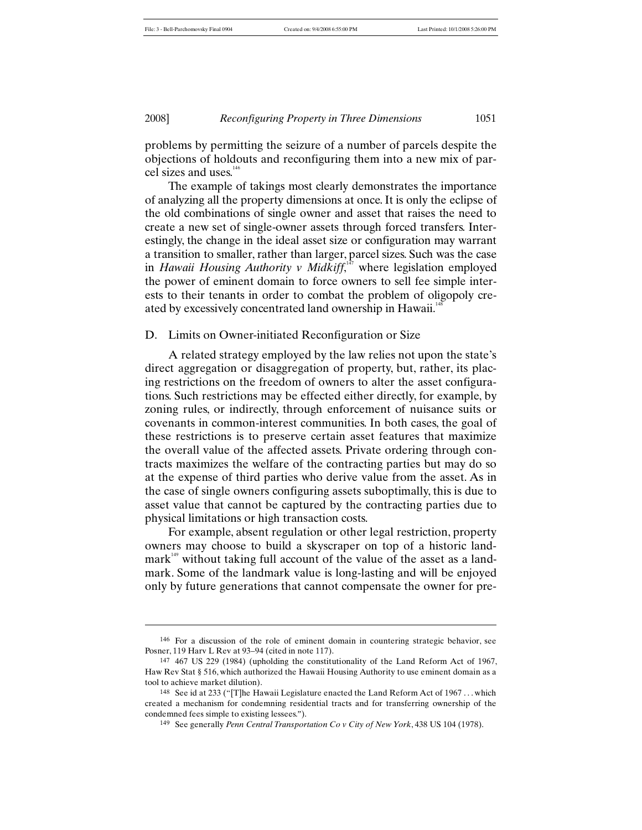#### 2008] *Reconfiguring Property in Three Dimensions* 1051

problems by permitting the seizure of a number of parcels despite the objections of holdouts and reconfiguring them into a new mix of parcel sizes and uses.<sup>146</sup>

The example of takings most clearly demonstrates the importance of analyzing all the property dimensions at once. It is only the eclipse of the old combinations of single owner and asset that raises the need to create a new set of single-owner assets through forced transfers. Interestingly, the change in the ideal asset size or configuration may warrant a transition to smaller, rather than larger, parcel sizes. Such was the case in *Hawaii Housing Authority v Midkiff*,<sup>147</sup> where legislation employed the power of eminent domain to force owners to sell fee simple interests to their tenants in order to combat the problem of oligopoly created by excessively concentrated land ownership in Hawaii.<sup>4</sup>

# D. Limits on Owner-initiated Reconfiguration or Size

A related strategy employed by the law relies not upon the state's direct aggregation or disaggregation of property, but, rather, its placing restrictions on the freedom of owners to alter the asset configurations. Such restrictions may be effected either directly, for example, by zoning rules, or indirectly, through enforcement of nuisance suits or covenants in common-interest communities. In both cases, the goal of these restrictions is to preserve certain asset features that maximize the overall value of the affected assets. Private ordering through contracts maximizes the welfare of the contracting parties but may do so at the expense of third parties who derive value from the asset. As in the case of single owners configuring assets suboptimally, this is due to asset value that cannot be captured by the contracting parties due to physical limitations or high transaction costs.

For example, absent regulation or other legal restriction, property owners may choose to build a skyscraper on top of a historic land $mark<sup>149</sup>$  without taking full account of the value of the asset as a landmark. Some of the landmark value is long-lasting and will be enjoyed only by future generations that cannot compensate the owner for pre-

<sup>146</sup> For a discussion of the role of eminent domain in countering strategic behavior, see Posner, 119 Harv L Rev at 93–94 (cited in note 117).

<sup>147</sup> 467 US 229 (1984) (upholding the constitutionality of the Land Reform Act of 1967, Haw Rev Stat § 516, which authorized the Hawaii Housing Authority to use eminent domain as a tool to achieve market dilution).

<sup>148</sup> See id at 233 ("[T]he Hawaii Legislature enacted the Land Reform Act of 1967 . . . which created a mechanism for condemning residential tracts and for transferring ownership of the condemned fees simple to existing lessees.").

<sup>149</sup> See generally *Penn Central Transportation Co v City of New York*, 438 US 104 (1978).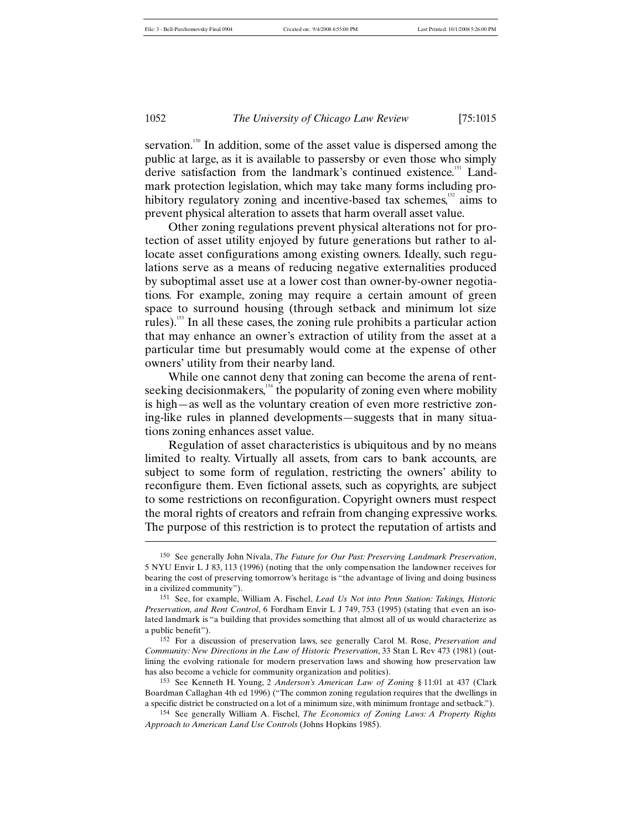1052 *The University of Chicago Law Review* [75:1015

servation.<sup>150</sup> In addition, some of the asset value is dispersed among the public at large, as it is available to passersby or even those who simply derive satisfaction from the landmark's continued existence.<sup>151</sup> Landmark protection legislation, which may take many forms including prohibitory regulatory zoning and incentive-based tax schemes, $\frac{152}{12}$  aims to prevent physical alteration to assets that harm overall asset value.

Other zoning regulations prevent physical alterations not for protection of asset utility enjoyed by future generations but rather to allocate asset configurations among existing owners. Ideally, such regulations serve as a means of reducing negative externalities produced by suboptimal asset use at a lower cost than owner-by-owner negotiations. For example, zoning may require a certain amount of green space to surround housing (through setback and minimum lot size rules).<sup>153</sup> In all these cases, the zoning rule prohibits a particular action that may enhance an owner's extraction of utility from the asset at a particular time but presumably would come at the expense of other owners' utility from their nearby land.

While one cannot deny that zoning can become the arena of rentseeking decisionmakers,<sup>154</sup> the popularity of zoning even where mobility is high—as well as the voluntary creation of even more restrictive zoning-like rules in planned developments—suggests that in many situations zoning enhances asset value.

Regulation of asset characteristics is ubiquitous and by no means limited to realty. Virtually all assets, from cars to bank accounts, are subject to some form of regulation, restricting the owners' ability to reconfigure them. Even fictional assets, such as copyrights, are subject to some restrictions on reconfiguration. Copyright owners must respect the moral rights of creators and refrain from changing expressive works. The purpose of this restriction is to protect the reputation of artists and

<sup>150</sup> See generally John Nivala, *The Future for Our Past: Preserving Landmark Preservation*, 5 NYU Envir L J 83, 113 (1996) (noting that the only compensation the landowner receives for bearing the cost of preserving tomorrow's heritage is "the advantage of living and doing business in a civilized community").

<sup>151</sup> See, for example, William A. Fischel, *Lead Us Not into Penn Station: Takings, Historic Preservation, and Rent Control*, 6 Fordham Envir L J 749, 753 (1995) (stating that even an isolated landmark is "a building that provides something that almost all of us would characterize as a public benefit").

<sup>152</sup> For a discussion of preservation laws, see generally Carol M. Rose, *Preservation and Community: New Directions in the Law of Historic Preservation*, 33 Stan L Rev 473 (1981) (outlining the evolving rationale for modern preservation laws and showing how preservation law has also become a vehicle for community organization and politics).

<sup>153</sup> See Kenneth H. Young, 2 *Anderson's American Law of Zoning* § 11:01 at 437 (Clark Boardman Callaghan 4th ed 1996) ("The common zoning regulation requires that the dwellings in a specific district be constructed on a lot of a minimum size, with minimum frontage and setback.").

<sup>154</sup> See generally William A. Fischel, *The Economics of Zoning Laws: A Property Rights Approach to American Land Use Controls* (Johns Hopkins 1985).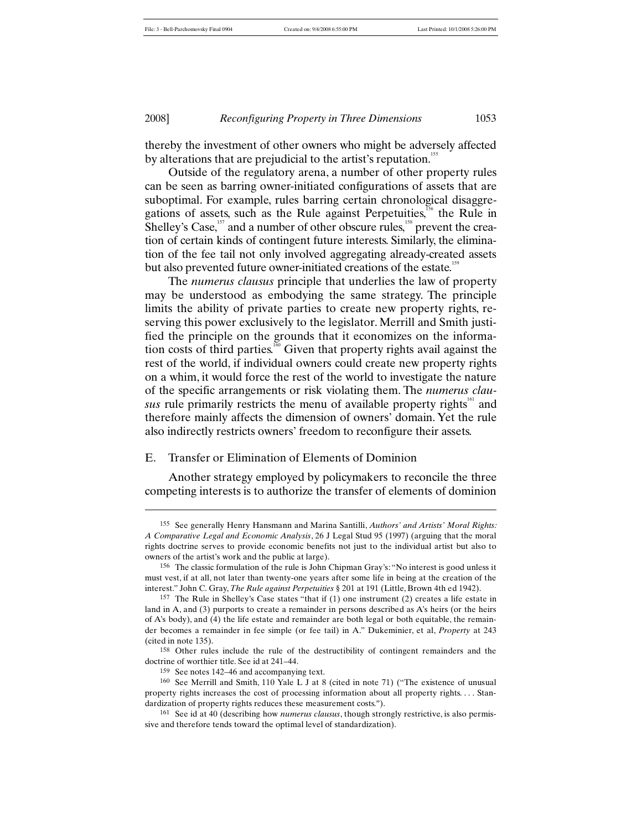thereby the investment of other owners who might be adversely affected by alterations that are prejudicial to the artist's reputation.<sup>15</sup>

Outside of the regulatory arena, a number of other property rules can be seen as barring owner-initiated configurations of assets that are suboptimal. For example, rules barring certain chronological disaggregations of assets, such as the Rule against Perpetuities,<sup>156</sup> the Rule in Shelley's Case, $157$  and a number of other obscure rules, $158$  prevent the creation of certain kinds of contingent future interests. Similarly, the elimination of the fee tail not only involved aggregating already-created assets but also prevented future owner-initiated creations of the estate.<sup>159</sup>

The *numerus clausus* principle that underlies the law of property may be understood as embodying the same strategy. The principle limits the ability of private parties to create new property rights, reserving this power exclusively to the legislator. Merrill and Smith justified the principle on the grounds that it economizes on the information costs of third parties.<sup>160</sup> Given that property rights avail against the rest of the world, if individual owners could create new property rights on a whim, it would force the rest of the world to investigate the nature of the specific arrangements or risk violating them. The *numerus clausus* rule primarily restricts the menu of available property rights<sup>161</sup> and therefore mainly affects the dimension of owners' domain. Yet the rule also indirectly restricts owners' freedom to reconfigure their assets.

#### E. Transfer or Elimination of Elements of Dominion

Another strategy employed by policymakers to reconcile the three competing interests is to authorize the transfer of elements of dominion

<sup>155</sup> See generally Henry Hansmann and Marina Santilli, *Authors' and Artists' Moral Rights: A Comparative Legal and Economic Analysis*, 26 J Legal Stud 95 (1997) (arguing that the moral rights doctrine serves to provide economic benefits not just to the individual artist but also to owners of the artist's work and the public at large).

<sup>156</sup> The classic formulation of the rule is John Chipman Gray's: "No interest is good unless it must vest, if at all, not later than twenty-one years after some life in being at the creation of the interest." John C. Gray, *The Rule against Perpetuities* § 201 at 191 (Little, Brown 4th ed 1942).

<sup>157</sup> The Rule in Shelley's Case states "that if (1) one instrument (2) creates a life estate in land in A, and (3) purports to create a remainder in persons described as A's heirs (or the heirs of A's body), and (4) the life estate and remainder are both legal or both equitable, the remainder becomes a remainder in fee simple (or fee tail) in A." Dukeminier, et al, *Property* at 243 (cited in note 135).

<sup>158</sup> Other rules include the rule of the destructibility of contingent remainders and the doctrine of worthier title. See id at 241–44.

<sup>159</sup> See notes 142–46 and accompanying text.

<sup>160</sup> See Merrill and Smith, 110 Yale L J at 8 (cited in note 71) ("The existence of unusual property rights increases the cost of processing information about all property rights. . . . Standardization of property rights reduces these measurement costs.").

<sup>161</sup> See id at 40 (describing how *numerus clausus*, though strongly restrictive, is also permissive and therefore tends toward the optimal level of standardization).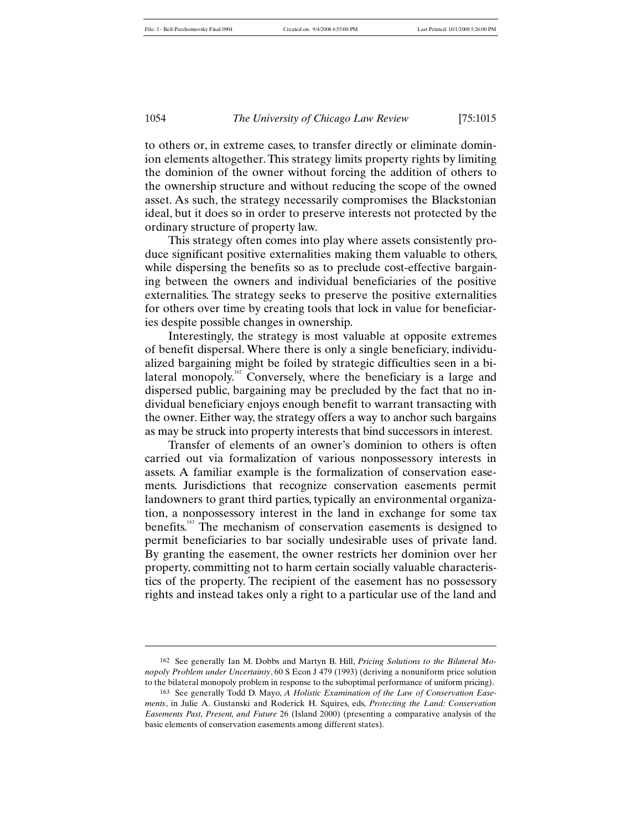1054 *The University of Chicago Law Review* [75:1015

to others or, in extreme cases, to transfer directly or eliminate dominion elements altogether. This strategy limits property rights by limiting the dominion of the owner without forcing the addition of others to the ownership structure and without reducing the scope of the owned asset. As such, the strategy necessarily compromises the Blackstonian ideal, but it does so in order to preserve interests not protected by the ordinary structure of property law.

This strategy often comes into play where assets consistently produce significant positive externalities making them valuable to others, while dispersing the benefits so as to preclude cost-effective bargaining between the owners and individual beneficiaries of the positive externalities. The strategy seeks to preserve the positive externalities for others over time by creating tools that lock in value for beneficiaries despite possible changes in ownership.

Interestingly, the strategy is most valuable at opposite extremes of benefit dispersal. Where there is only a single beneficiary, individualized bargaining might be foiled by strategic difficulties seen in a bilateral monopoly.<sup>162</sup> Conversely, where the beneficiary is a large and dispersed public, bargaining may be precluded by the fact that no individual beneficiary enjoys enough benefit to warrant transacting with the owner. Either way, the strategy offers a way to anchor such bargains as may be struck into property interests that bind successors in interest.

Transfer of elements of an owner's dominion to others is often carried out via formalization of various nonpossessory interests in assets. A familiar example is the formalization of conservation easements. Jurisdictions that recognize conservation easements permit landowners to grant third parties, typically an environmental organization, a nonpossessory interest in the land in exchange for some tax benefits.<sup>163</sup> The mechanism of conservation easements is designed to permit beneficiaries to bar socially undesirable uses of private land. By granting the easement, the owner restricts her dominion over her property, committing not to harm certain socially valuable characteristics of the property. The recipient of the easement has no possessory rights and instead takes only a right to a particular use of the land and

162 See generally Ian M. Dobbs and Martyn B. Hill, *Pricing Solutions to the Bilateral Monopoly Problem under Uncertainty*, 60 S Econ J 479 (1993) (deriving a nonuniform price solution to the bilateral monopoly problem in response to the suboptimal performance of uniform pricing).

<sup>163</sup> See generally Todd D. Mayo, *A Holistic Examination of the Law of Conservation Easements*, in Julie A. Gustanski and Roderick H. Squires, eds, *Protecting the Land: Conservation Easements Past, Present, and Future* 26 (Island 2000) (presenting a comparative analysis of the basic elements of conservation easements among different states).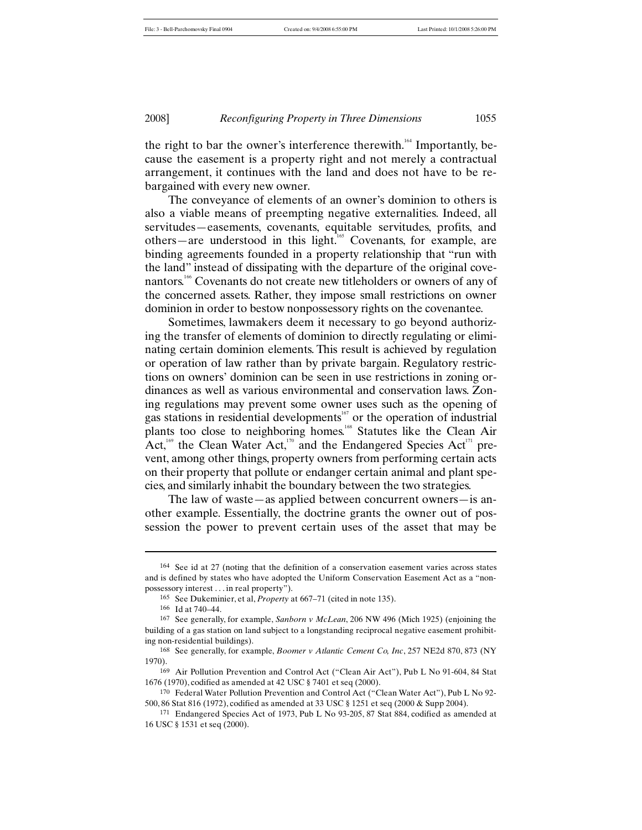the right to bar the owner's interference therewith.<sup>164</sup> Importantly, because the easement is a property right and not merely a contractual arrangement, it continues with the land and does not have to be rebargained with every new owner.

The conveyance of elements of an owner's dominion to others is also a viable means of preempting negative externalities. Indeed, all servitudes—easements, covenants, equitable servitudes, profits, and others—are understood in this light.<sup>165</sup> Covenants, for example, are binding agreements founded in a property relationship that "run with the land" instead of dissipating with the departure of the original covenantors.<sup>166</sup> Covenants do not create new titleholders or owners of any of the concerned assets. Rather, they impose small restrictions on owner dominion in order to bestow nonpossessory rights on the covenantee.

Sometimes, lawmakers deem it necessary to go beyond authorizing the transfer of elements of dominion to directly regulating or eliminating certain dominion elements. This result is achieved by regulation or operation of law rather than by private bargain. Regulatory restrictions on owners' dominion can be seen in use restrictions in zoning ordinances as well as various environmental and conservation laws. Zoning regulations may prevent some owner uses such as the opening of gas stations in residential developments<sup>167</sup> or the operation of industrial plants too close to neighboring homes.<sup>168</sup> Statutes like the Clean Air Act,<sup>169</sup> the Clean Water Act,<sup>170</sup> and the Endangered Species Act<sup>171</sup> prevent, among other things, property owners from performing certain acts on their property that pollute or endanger certain animal and plant species, and similarly inhabit the boundary between the two strategies.

The law of waste—as applied between concurrent owners—is another example. Essentially, the doctrine grants the owner out of possession the power to prevent certain uses of the asset that may be

<sup>164</sup> See id at 27 (noting that the definition of a conservation easement varies across states and is defined by states who have adopted the Uniform Conservation Easement Act as a "nonpossessory interest . . . in real property").

<sup>165</sup> See Dukeminier, et al, *Property* at 667–71 (cited in note 135).

<sup>166</sup> Id at 740–44.

<sup>167</sup> See generally, for example, *Sanborn v McLean*, 206 NW 496 (Mich 1925) (enjoining the building of a gas station on land subject to a longstanding reciprocal negative easement prohibiting non-residential buildings).

<sup>168</sup> See generally, for example, *Boomer v Atlantic Cement Co, Inc*, 257 NE2d 870, 873 (NY 1970).

<sup>169</sup> Air Pollution Prevention and Control Act ("Clean Air Act"), Pub L No 91-604, 84 Stat 1676 (1970), codified as amended at 42 USC § 7401 et seq (2000).

<sup>170</sup> Federal Water Pollution Prevention and Control Act ("Clean Water Act"), Pub L No 92- 500, 86 Stat 816 (1972), codified as amended at 33 USC § 1251 et seq (2000 & Supp 2004).

<sup>171</sup> Endangered Species Act of 1973, Pub L No 93-205, 87 Stat 884, codified as amended at 16 USC § 1531 et seq (2000).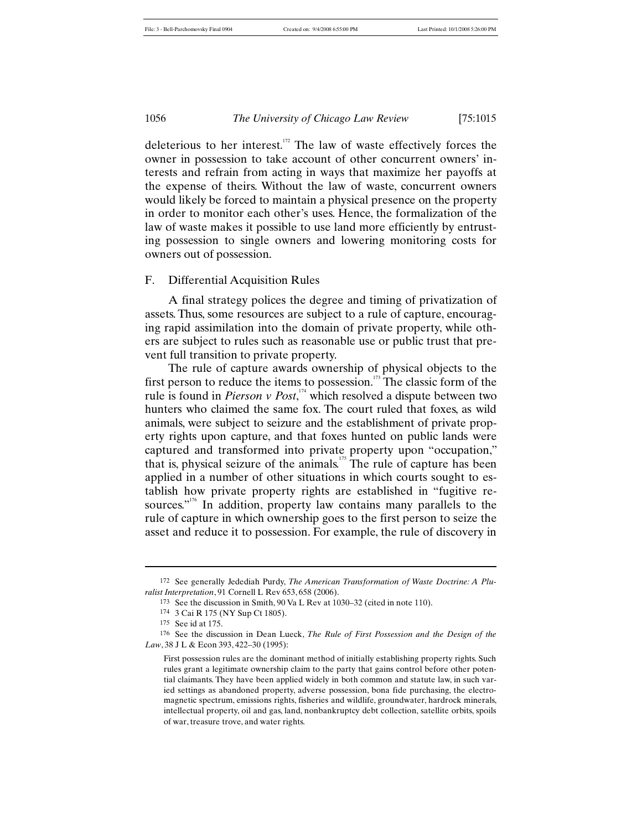deleterious to her interest. $172$  The law of waste effectively forces the owner in possession to take account of other concurrent owners' interests and refrain from acting in ways that maximize her payoffs at the expense of theirs. Without the law of waste, concurrent owners would likely be forced to maintain a physical presence on the property in order to monitor each other's uses. Hence, the formalization of the law of waste makes it possible to use land more efficiently by entrusting possession to single owners and lowering monitoring costs for owners out of possession.

## F. Differential Acquisition Rules

A final strategy polices the degree and timing of privatization of assets. Thus, some resources are subject to a rule of capture, encouraging rapid assimilation into the domain of private property, while others are subject to rules such as reasonable use or public trust that prevent full transition to private property.

The rule of capture awards ownership of physical objects to the first person to reduce the items to possession.<sup>173</sup> The classic form of the rule is found in *Pierson v Post*,<sup> $174$ </sup> which resolved a dispute between two hunters who claimed the same fox. The court ruled that foxes, as wild animals, were subject to seizure and the establishment of private property rights upon capture, and that foxes hunted on public lands were captured and transformed into private property upon "occupation," that is, physical seizure of the animals.<sup>175</sup> The rule of capture has been applied in a number of other situations in which courts sought to establish how private property rights are established in "fugitive resources."<sup>176</sup> In addition, property law contains many parallels to the rule of capture in which ownership goes to the first person to seize the asset and reduce it to possession. For example, the rule of discovery in

<sup>172</sup> See generally Jedediah Purdy, *The American Transformation of Waste Doctrine: A Pluralist Interpretation*, 91 Cornell L Rev 653, 658 (2006).

<sup>173</sup> See the discussion in Smith, 90 Va L Rev at 1030–32 (cited in note 110).

<sup>174</sup> 3 Cai R 175 (NY Sup Ct 1805).

<sup>175</sup> See id at 175.

<sup>176</sup> See the discussion in Dean Lueck, *The Rule of First Possession and the Design of the Law*, 38 J L & Econ 393, 422–30 (1995):

First possession rules are the dominant method of initially establishing property rights. Such rules grant a legitimate ownership claim to the party that gains control before other potential claimants. They have been applied widely in both common and statute law, in such varied settings as abandoned property, adverse possession, bona fide purchasing, the electromagnetic spectrum, emissions rights, fisheries and wildlife, groundwater, hardrock minerals, intellectual property, oil and gas, land, nonbankruptcy debt collection, satellite orbits, spoils of war, treasure trove, and water rights.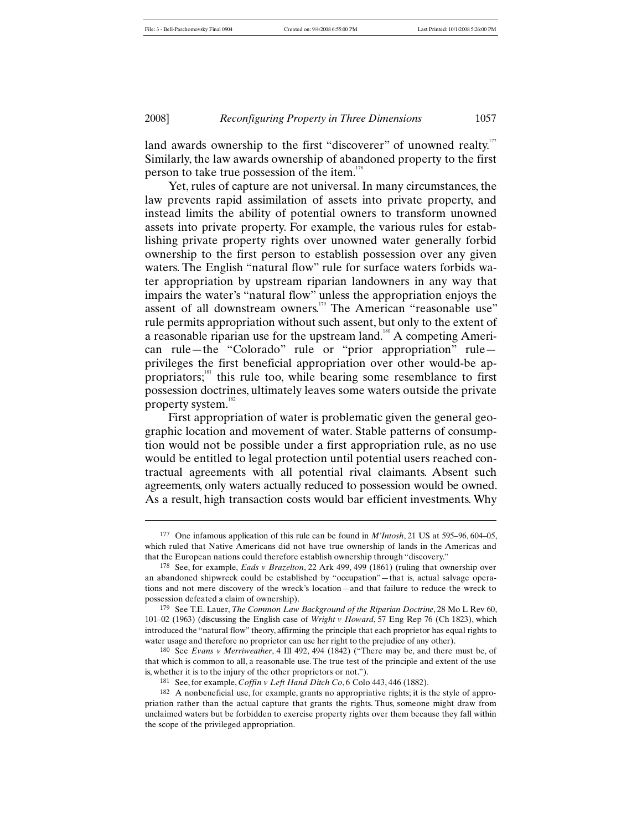#### 2008] *Reconfiguring Property in Three Dimensions* 1057

land awards ownership to the first "discoverer" of unowned realty.<sup>177</sup> Similarly, the law awards ownership of abandoned property to the first person to take true possession of the item.<sup>178</sup>

Yet, rules of capture are not universal. In many circumstances, the law prevents rapid assimilation of assets into private property, and instead limits the ability of potential owners to transform unowned assets into private property. For example, the various rules for establishing private property rights over unowned water generally forbid ownership to the first person to establish possession over any given waters. The English "natural flow" rule for surface waters forbids water appropriation by upstream riparian landowners in any way that impairs the water's "natural flow" unless the appropriation enjoys the assent of all downstream owners.<sup>179</sup> The American "reasonable use" rule permits appropriation without such assent, but only to the extent of a reasonable riparian use for the upstream land.<sup>180</sup> A competing American rule—the "Colorado" rule or "prior appropriation" rule privileges the first beneficial appropriation over other would-be appropriators; $\frac{181}{181}$  this rule too, while bearing some resemblance to first possession doctrines, ultimately leaves some waters outside the private property system.<sup>182</sup>

First appropriation of water is problematic given the general geographic location and movement of water. Stable patterns of consumption would not be possible under a first appropriation rule, as no use would be entitled to legal protection until potential users reached contractual agreements with all potential rival claimants. Absent such agreements, only waters actually reduced to possession would be owned. As a result, high transaction costs would bar efficient investments. Why

180 See *Evans v Merriweather*, 4 Ill 492, 494 (1842) ("There may be, and there must be, of that which is common to all, a reasonable use. The true test of the principle and extent of the use is, whether it is to the injury of the other proprietors or not.").

<sup>177</sup> One infamous application of this rule can be found in *M'Intosh*, 21 US at 595–96, 604–05, which ruled that Native Americans did not have true ownership of lands in the Americas and that the European nations could therefore establish ownership through "discovery."

<sup>178</sup> See, for example, *Eads v Brazelton*, 22 Ark 499, 499 (1861) (ruling that ownership over an abandoned shipwreck could be established by "occupation"—that is, actual salvage operations and not mere discovery of the wreck's location—and that failure to reduce the wreck to possession defeated a claim of ownership).

<sup>179</sup> See T.E. Lauer, *The Common Law Background of the Riparian Doctrine*, 28 Mo L Rev 60, 101–02 (1963) (discussing the English case of *Wright v Howard*, 57 Eng Rep 76 (Ch 1823), which introduced the "natural flow" theory, affirming the principle that each proprietor has equal rights to water usage and therefore no proprietor can use her right to the prejudice of any other).

<sup>181</sup> See, for example, *Coffin v Left Hand Ditch Co*, 6 Colo 443, 446 (1882).

<sup>182</sup> A nonbeneficial use, for example, grants no appropriative rights; it is the style of appropriation rather than the actual capture that grants the rights. Thus, someone might draw from unclaimed waters but be forbidden to exercise property rights over them because they fall within the scope of the privileged appropriation.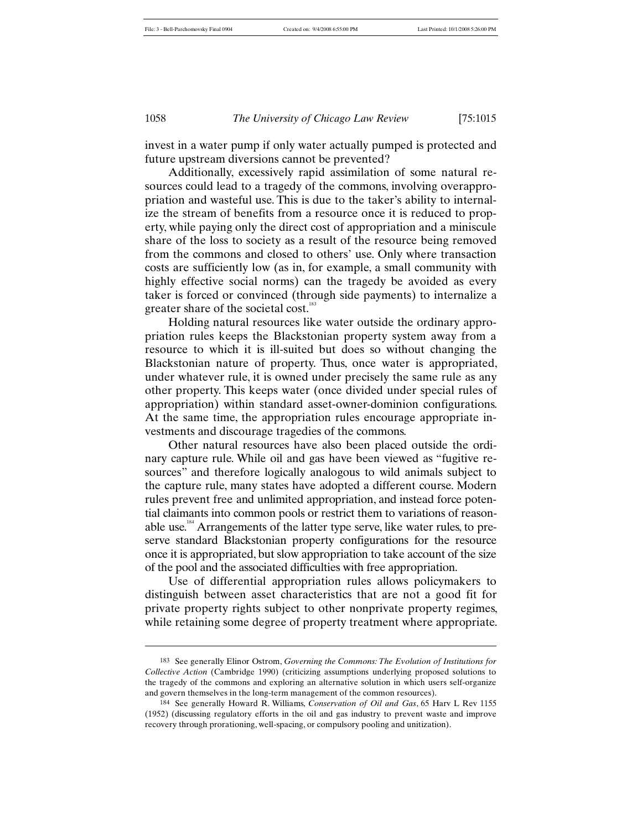invest in a water pump if only water actually pumped is protected and future upstream diversions cannot be prevented?

Additionally, excessively rapid assimilation of some natural resources could lead to a tragedy of the commons, involving overappropriation and wasteful use. This is due to the taker's ability to internalize the stream of benefits from a resource once it is reduced to property, while paying only the direct cost of appropriation and a miniscule share of the loss to society as a result of the resource being removed from the commons and closed to others' use. Only where transaction costs are sufficiently low (as in, for example, a small community with highly effective social norms) can the tragedy be avoided as every taker is forced or convinced (through side payments) to internalize a greater share of the societal cost.<sup>183</sup>

Holding natural resources like water outside the ordinary appropriation rules keeps the Blackstonian property system away from a resource to which it is ill-suited but does so without changing the Blackstonian nature of property. Thus, once water is appropriated, under whatever rule, it is owned under precisely the same rule as any other property. This keeps water (once divided under special rules of appropriation) within standard asset-owner-dominion configurations. At the same time, the appropriation rules encourage appropriate investments and discourage tragedies of the commons.

Other natural resources have also been placed outside the ordinary capture rule. While oil and gas have been viewed as "fugitive resources" and therefore logically analogous to wild animals subject to the capture rule, many states have adopted a different course. Modern rules prevent free and unlimited appropriation, and instead force potential claimants into common pools or restrict them to variations of reasonable use.<sup>184</sup> Arrangements of the latter type serve, like water rules, to preserve standard Blackstonian property configurations for the resource once it is appropriated, but slow appropriation to take account of the size of the pool and the associated difficulties with free appropriation.

Use of differential appropriation rules allows policymakers to distinguish between asset characteristics that are not a good fit for private property rights subject to other nonprivate property regimes, while retaining some degree of property treatment where appropriate.

<sup>183</sup> See generally Elinor Ostrom, *Governing the Commons: The Evolution of Institutions for Collective Action* (Cambridge 1990) (criticizing assumptions underlying proposed solutions to the tragedy of the commons and exploring an alternative solution in which users self-organize and govern themselves in the long-term management of the common resources).

<sup>184</sup> See generally Howard R. Williams, *Conservation of Oil and Gas*, 65 Harv L Rev 1155 (1952) (discussing regulatory efforts in the oil and gas industry to prevent waste and improve recovery through prorationing, well-spacing, or compulsory pooling and unitization).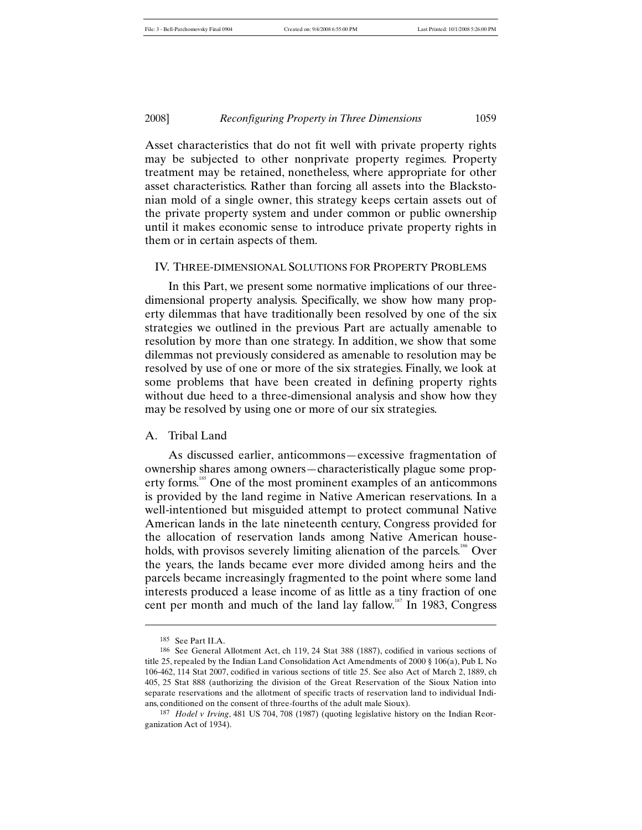Asset characteristics that do not fit well with private property rights may be subjected to other nonprivate property regimes. Property treatment may be retained, nonetheless, where appropriate for other asset characteristics. Rather than forcing all assets into the Blackstonian mold of a single owner, this strategy keeps certain assets out of the private property system and under common or public ownership until it makes economic sense to introduce private property rights in them or in certain aspects of them.

# IV. THREE-DIMENSIONAL SOLUTIONS FOR PROPERTY PROBLEMS

In this Part, we present some normative implications of our threedimensional property analysis. Specifically, we show how many property dilemmas that have traditionally been resolved by one of the six strategies we outlined in the previous Part are actually amenable to resolution by more than one strategy. In addition, we show that some dilemmas not previously considered as amenable to resolution may be resolved by use of one or more of the six strategies. Finally, we look at some problems that have been created in defining property rights without due heed to a three-dimensional analysis and show how they may be resolved by using one or more of our six strategies.

## A. Tribal Land

As discussed earlier, anticommons—excessive fragmentation of ownership shares among owners—characteristically plague some property forms.<sup>185</sup> One of the most prominent examples of an anticommons is provided by the land regime in Native American reservations. In a well-intentioned but misguided attempt to protect communal Native American lands in the late nineteenth century, Congress provided for the allocation of reservation lands among Native American households, with provisos severely limiting alienation of the parcels.<sup>186</sup> Over the years, the lands became ever more divided among heirs and the parcels became increasingly fragmented to the point where some land interests produced a lease income of as little as a tiny fraction of one cent per month and much of the land lay fallow.<sup>187</sup> In 1983, Congress

<sup>185</sup> See Part II.A.

<sup>186</sup> See General Allotment Act, ch 119, 24 Stat 388 (1887), codified in various sections of title 25, repealed by the Indian Land Consolidation Act Amendments of 2000 § 106(a), Pub L No 106-462, 114 Stat 2007, codified in various sections of title 25. See also Act of March 2, 1889, ch 405, 25 Stat 888 (authorizing the division of the Great Reservation of the Sioux Nation into separate reservations and the allotment of specific tracts of reservation land to individual Indians, conditioned on the consent of three-fourths of the adult male Sioux).

<sup>187</sup> *Hodel v Irving*, 481 US 704, 708 (1987) (quoting legislative history on the Indian Reorganization Act of 1934).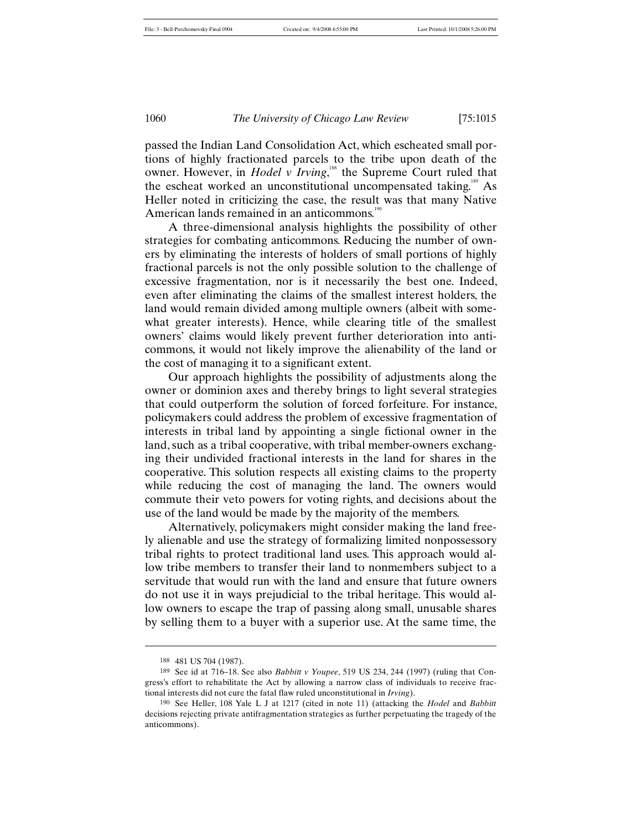passed the Indian Land Consolidation Act, which escheated small portions of highly fractionated parcels to the tribe upon death of the owner. However, in *Hodel v Irving*,<sup>188</sup> the Supreme Court ruled that the escheat worked an unconstitutional uncompensated taking.<sup>189</sup> As Heller noted in criticizing the case, the result was that many Native American lands remained in an anticommons.<sup>190</sup>

A three-dimensional analysis highlights the possibility of other strategies for combating anticommons. Reducing the number of owners by eliminating the interests of holders of small portions of highly fractional parcels is not the only possible solution to the challenge of excessive fragmentation, nor is it necessarily the best one. Indeed, even after eliminating the claims of the smallest interest holders, the land would remain divided among multiple owners (albeit with somewhat greater interests). Hence, while clearing title of the smallest owners' claims would likely prevent further deterioration into anticommons, it would not likely improve the alienability of the land or the cost of managing it to a significant extent.

Our approach highlights the possibility of adjustments along the owner or dominion axes and thereby brings to light several strategies that could outperform the solution of forced forfeiture. For instance, policymakers could address the problem of excessive fragmentation of interests in tribal land by appointing a single fictional owner in the land, such as a tribal cooperative, with tribal member-owners exchanging their undivided fractional interests in the land for shares in the cooperative. This solution respects all existing claims to the property while reducing the cost of managing the land. The owners would commute their veto powers for voting rights, and decisions about the use of the land would be made by the majority of the members.

Alternatively, policymakers might consider making the land freely alienable and use the strategy of formalizing limited nonpossessory tribal rights to protect traditional land uses. This approach would allow tribe members to transfer their land to nonmembers subject to a servitude that would run with the land and ensure that future owners do not use it in ways prejudicial to the tribal heritage. This would allow owners to escape the trap of passing along small, unusable shares by selling them to a buyer with a superior use. At the same time, the

<sup>188</sup> 481 US 704 (1987).

<sup>189</sup> See id at 716–18. See also *Babbitt v Youpee*, 519 US 234, 244 (1997) (ruling that Congress's effort to rehabilitate the Act by allowing a narrow class of individuals to receive fractional interests did not cure the fatal flaw ruled unconstitutional in *Irving*).

<sup>190</sup> See Heller, 108 Yale L J at 1217 (cited in note 11) (attacking the *Hodel* and *Babbitt* decisions rejecting private antifragmentation strategies as further perpetuating the tragedy of the anticommons).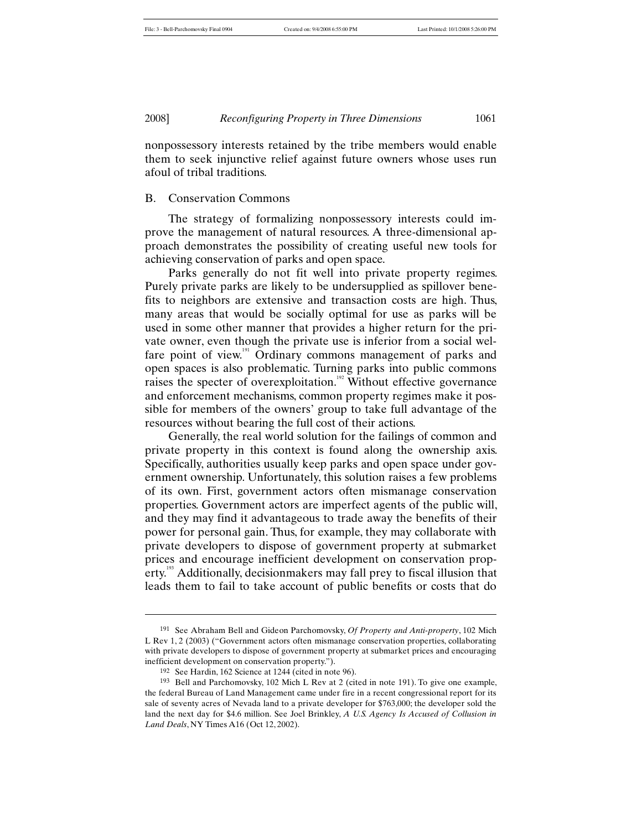nonpossessory interests retained by the tribe members would enable them to seek injunctive relief against future owners whose uses run afoul of tribal traditions.

# B. Conservation Commons

The strategy of formalizing nonpossessory interests could improve the management of natural resources. A three-dimensional approach demonstrates the possibility of creating useful new tools for achieving conservation of parks and open space.

Parks generally do not fit well into private property regimes. Purely private parks are likely to be undersupplied as spillover benefits to neighbors are extensive and transaction costs are high. Thus, many areas that would be socially optimal for use as parks will be used in some other manner that provides a higher return for the private owner, even though the private use is inferior from a social welfare point of view.<sup>191</sup> Ordinary commons management of parks and open spaces is also problematic. Turning parks into public commons raises the specter of overexploitation.<sup>192</sup> Without effective governance and enforcement mechanisms, common property regimes make it possible for members of the owners' group to take full advantage of the resources without bearing the full cost of their actions.

Generally, the real world solution for the failings of common and private property in this context is found along the ownership axis. Specifically, authorities usually keep parks and open space under government ownership. Unfortunately, this solution raises a few problems of its own. First, government actors often mismanage conservation properties. Government actors are imperfect agents of the public will, and they may find it advantageous to trade away the benefits of their power for personal gain. Thus, for example, they may collaborate with private developers to dispose of government property at submarket prices and encourage inefficient development on conservation property.<sup>193</sup> Additionally, decisionmakers may fall prey to fiscal illusion that leads them to fail to take account of public benefits or costs that do

<sup>191</sup> See Abraham Bell and Gideon Parchomovsky, *Of Property and Anti-property*, 102 Mich L Rev 1, 2 (2003) ("Government actors often mismanage conservation properties, collaborating with private developers to dispose of government property at submarket prices and encouraging inefficient development on conservation property.").

<sup>192</sup> See Hardin, 162 Science at 1244 (cited in note 96).

<sup>193</sup> Bell and Parchomovsky, 102 Mich L Rev at 2 (cited in note 191). To give one example, the federal Bureau of Land Management came under fire in a recent congressional report for its sale of seventy acres of Nevada land to a private developer for \$763,000; the developer sold the land the next day for \$4.6 million. See Joel Brinkley, *A U.S. Agency Is Accused of Collusion in Land Deals*, NY Times A16 (Oct 12, 2002).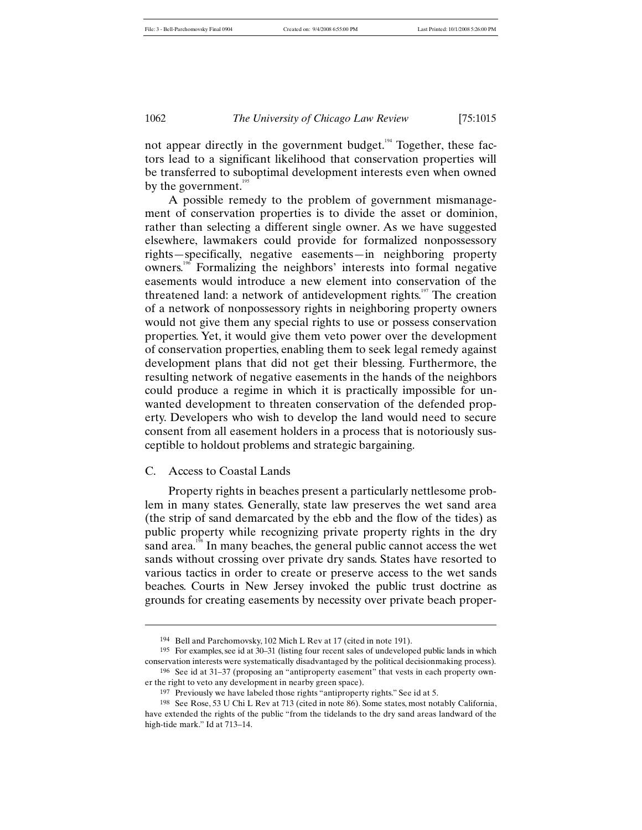not appear directly in the government budget.<sup>194</sup> Together, these factors lead to a significant likelihood that conservation properties will be transferred to suboptimal development interests even when owned by the government. $195$ 

A possible remedy to the problem of government mismanagement of conservation properties is to divide the asset or dominion, rather than selecting a different single owner. As we have suggested elsewhere, lawmakers could provide for formalized nonpossessory rights—specifically, negative easements—in neighboring property owners.<sup>196</sup> Formalizing the neighbors' interests into formal negative easements would introduce a new element into conservation of the threatened land: a network of antidevelopment rights.<sup>197</sup> The creation of a network of nonpossessory rights in neighboring property owners would not give them any special rights to use or possess conservation properties. Yet, it would give them veto power over the development of conservation properties, enabling them to seek legal remedy against development plans that did not get their blessing. Furthermore, the resulting network of negative easements in the hands of the neighbors could produce a regime in which it is practically impossible for unwanted development to threaten conservation of the defended property. Developers who wish to develop the land would need to secure consent from all easement holders in a process that is notoriously susceptible to holdout problems and strategic bargaining.

# C. Access to Coastal Lands

1

Property rights in beaches present a particularly nettlesome problem in many states. Generally, state law preserves the wet sand area (the strip of sand demarcated by the ebb and the flow of the tides) as public property while recognizing private property rights in the dry sand area.<sup>198</sup> In many beaches, the general public cannot access the wet sands without crossing over private dry sands. States have resorted to various tactics in order to create or preserve access to the wet sands beaches. Courts in New Jersey invoked the public trust doctrine as grounds for creating easements by necessity over private beach proper-

<sup>194</sup> Bell and Parchomovsky, 102 Mich L Rev at 17 (cited in note 191).

<sup>195</sup> For examples, see id at 30–31 (listing four recent sales of undeveloped public lands in which conservation interests were systematically disadvantaged by the political decisionmaking process).

<sup>196</sup> See id at 31–37 (proposing an "antiproperty easement" that vests in each property owner the right to veto any development in nearby green space).

<sup>197</sup> Previously we have labeled those rights "antiproperty rights." See id at 5.

<sup>198</sup> See Rose, 53 U Chi L Rev at 713 (cited in note 86). Some states, most notably California, have extended the rights of the public "from the tidelands to the dry sand areas landward of the high-tide mark." Id at 713–14.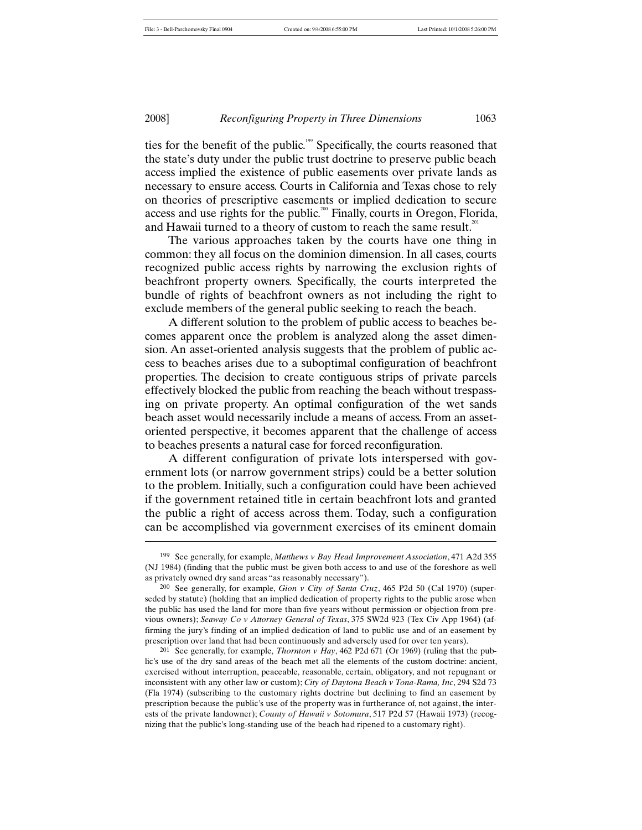#### 2008] *Reconfiguring Property in Three Dimensions* 1063

ties for the benefit of the public.<sup>199</sup> Specifically, the courts reasoned that the state's duty under the public trust doctrine to preserve public beach access implied the existence of public easements over private lands as necessary to ensure access. Courts in California and Texas chose to rely on theories of prescriptive easements or implied dedication to secure access and use rights for the public.<sup>200</sup> Finally, courts in Oregon, Florida, and Hawaii turned to a theory of custom to reach the same result.<sup>201</sup>

The various approaches taken by the courts have one thing in common: they all focus on the dominion dimension. In all cases, courts recognized public access rights by narrowing the exclusion rights of beachfront property owners. Specifically, the courts interpreted the bundle of rights of beachfront owners as not including the right to exclude members of the general public seeking to reach the beach.

A different solution to the problem of public access to beaches becomes apparent once the problem is analyzed along the asset dimension. An asset-oriented analysis suggests that the problem of public access to beaches arises due to a suboptimal configuration of beachfront properties. The decision to create contiguous strips of private parcels effectively blocked the public from reaching the beach without trespassing on private property. An optimal configuration of the wet sands beach asset would necessarily include a means of access. From an assetoriented perspective, it becomes apparent that the challenge of access to beaches presents a natural case for forced reconfiguration.

A different configuration of private lots interspersed with government lots (or narrow government strips) could be a better solution to the problem. Initially, such a configuration could have been achieved if the government retained title in certain beachfront lots and granted the public a right of access across them. Today, such a configuration can be accomplished via government exercises of its eminent domain

<sup>199</sup> See generally, for example, *Matthews v Bay Head Improvement Association*, 471 A2d 355 (NJ 1984) (finding that the public must be given both access to and use of the foreshore as well as privately owned dry sand areas "as reasonably necessary").

<sup>200</sup> See generally, for example, *Gion v City of Santa Cruz*, 465 P2d 50 (Cal 1970) (superseded by statute) (holding that an implied dedication of property rights to the public arose when the public has used the land for more than five years without permission or objection from previous owners); *Seaway Co v Attorney General of Texas*, 375 SW2d 923 (Tex Civ App 1964) (affirming the jury's finding of an implied dedication of land to public use and of an easement by prescription over land that had been continuously and adversely used for over ten years).

<sup>201</sup> See generally, for example, *Thornton v Hay*, 462 P2d 671 (Or 1969) (ruling that the public's use of the dry sand areas of the beach met all the elements of the custom doctrine: ancient, exercised without interruption, peaceable, reasonable, certain, obligatory, and not repugnant or inconsistent with any other law or custom); *City of Daytona Beach v Tona-Rama, Inc*, 294 S2d 73 (Fla 1974) (subscribing to the customary rights doctrine but declining to find an easement by prescription because the public's use of the property was in furtherance of, not against, the interests of the private landowner); *County of Hawaii v Sotomura*, 517 P2d 57 (Hawaii 1973) (recognizing that the public's long-standing use of the beach had ripened to a customary right).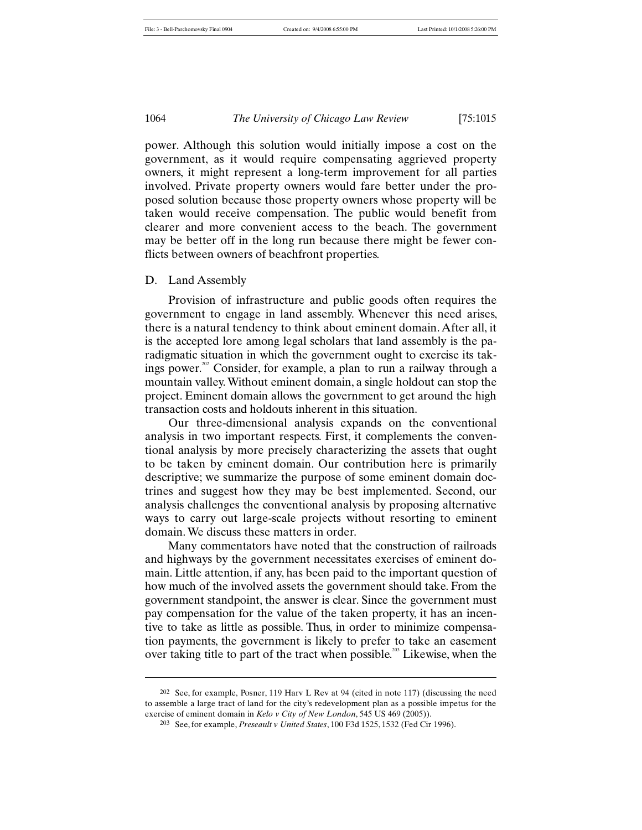power. Although this solution would initially impose a cost on the government, as it would require compensating aggrieved property owners, it might represent a long-term improvement for all parties involved. Private property owners would fare better under the proposed solution because those property owners whose property will be taken would receive compensation. The public would benefit from clearer and more convenient access to the beach. The government may be better off in the long run because there might be fewer conflicts between owners of beachfront properties.

# D. Land Assembly

1

Provision of infrastructure and public goods often requires the government to engage in land assembly. Whenever this need arises, there is a natural tendency to think about eminent domain. After all, it is the accepted lore among legal scholars that land assembly is the paradigmatic situation in which the government ought to exercise its takings power.<sup>202</sup> Consider, for example, a plan to run a railway through a mountain valley. Without eminent domain, a single holdout can stop the project. Eminent domain allows the government to get around the high transaction costs and holdouts inherent in this situation.

Our three-dimensional analysis expands on the conventional analysis in two important respects. First, it complements the conventional analysis by more precisely characterizing the assets that ought to be taken by eminent domain. Our contribution here is primarily descriptive; we summarize the purpose of some eminent domain doctrines and suggest how they may be best implemented. Second, our analysis challenges the conventional analysis by proposing alternative ways to carry out large-scale projects without resorting to eminent domain. We discuss these matters in order.

Many commentators have noted that the construction of railroads and highways by the government necessitates exercises of eminent domain. Little attention, if any, has been paid to the important question of how much of the involved assets the government should take. From the government standpoint, the answer is clear. Since the government must pay compensation for the value of the taken property, it has an incentive to take as little as possible. Thus, in order to minimize compensation payments, the government is likely to prefer to take an easement over taking title to part of the tract when possible. <sup>203</sup> Likewise, when the

<sup>202</sup> See, for example, Posner, 119 Harv L Rev at 94 (cited in note 117) (discussing the need to assemble a large tract of land for the city's redevelopment plan as a possible impetus for the exercise of eminent domain in *Kelo v City of New London*, 545 US 469 (2005)).

<sup>203</sup> See, for example, *Preseault v United States*, 100 F3d 1525, 1532 (Fed Cir 1996).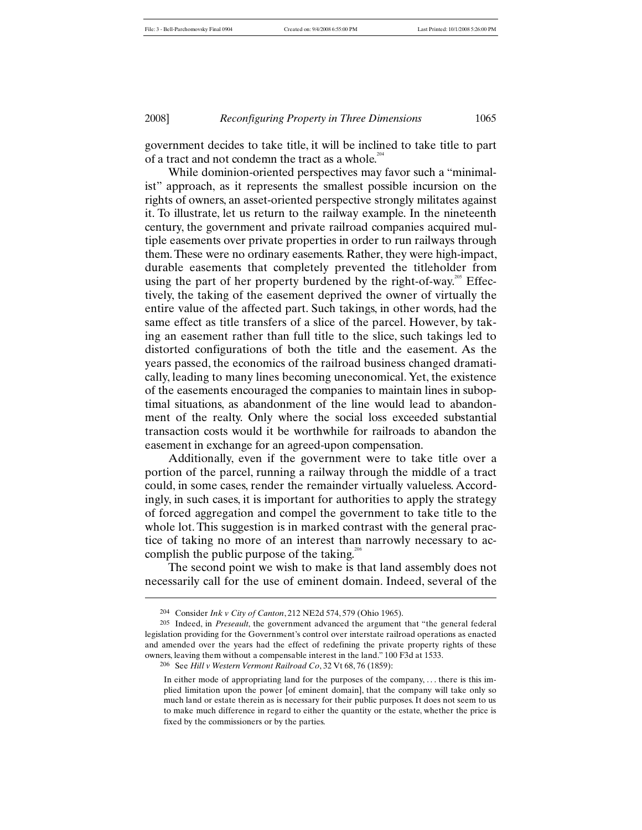government decides to take title, it will be inclined to take title to part of a tract and not condemn the tract as a whole.<sup>20</sup>

While dominion-oriented perspectives may favor such a "minimalist" approach, as it represents the smallest possible incursion on the rights of owners, an asset-oriented perspective strongly militates against it. To illustrate, let us return to the railway example. In the nineteenth century, the government and private railroad companies acquired multiple easements over private properties in order to run railways through them. These were no ordinary easements. Rather, they were high-impact, durable easements that completely prevented the titleholder from using the part of her property burdened by the right-of-way.<sup>205</sup> Effectively, the taking of the easement deprived the owner of virtually the entire value of the affected part. Such takings, in other words, had the same effect as title transfers of a slice of the parcel. However, by taking an easement rather than full title to the slice, such takings led to distorted configurations of both the title and the easement. As the years passed, the economics of the railroad business changed dramatically, leading to many lines becoming uneconomical. Yet, the existence of the easements encouraged the companies to maintain lines in suboptimal situations, as abandonment of the line would lead to abandonment of the realty. Only where the social loss exceeded substantial transaction costs would it be worthwhile for railroads to abandon the easement in exchange for an agreed-upon compensation.

Additionally, even if the government were to take title over a portion of the parcel, running a railway through the middle of a tract could, in some cases, render the remainder virtually valueless. Accordingly, in such cases, it is important for authorities to apply the strategy of forced aggregation and compel the government to take title to the whole lot. This suggestion is in marked contrast with the general practice of taking no more of an interest than narrowly necessary to accomplish the public purpose of the taking.<sup>206</sup>

The second point we wish to make is that land assembly does not necessarily call for the use of eminent domain. Indeed, several of the

-

<sup>204</sup> Consider *Ink v City of Canton*, 212 NE2d 574, 579 (Ohio 1965).

<sup>205</sup> Indeed, in *Preseault*, the government advanced the argument that "the general federal legislation providing for the Government's control over interstate railroad operations as enacted and amended over the years had the effect of redefining the private property rights of these owners, leaving them without a compensable interest in the land." 100 F3d at 1533.

<sup>206</sup> See *Hill v Western Vermont Railroad Co*, 32 Vt 68, 76 (1859):

In either mode of appropriating land for the purposes of the company, . . . there is this implied limitation upon the power [of eminent domain], that the company will take only so much land or estate therein as is necessary for their public purposes. It does not seem to us to make much difference in regard to either the quantity or the estate, whether the price is fixed by the commissioners or by the parties.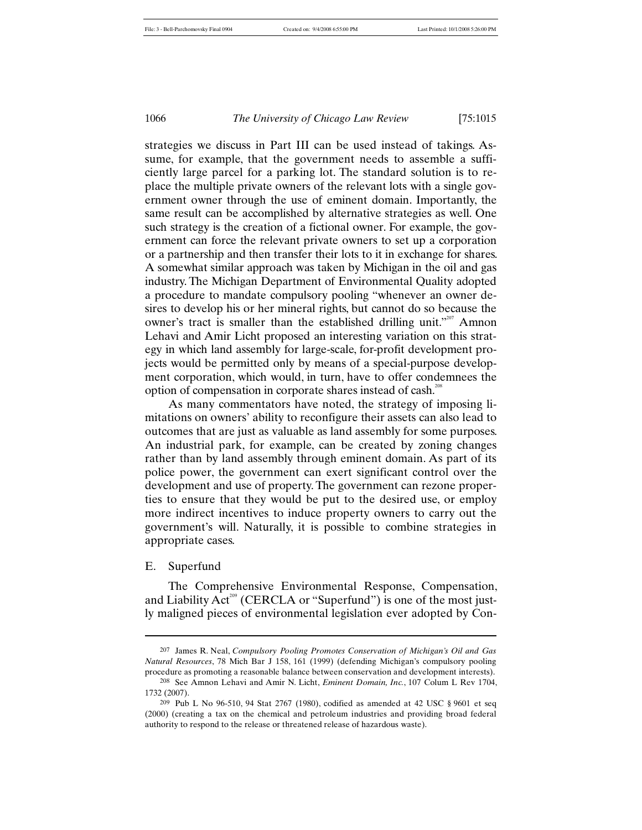strategies we discuss in Part III can be used instead of takings. Assume, for example, that the government needs to assemble a sufficiently large parcel for a parking lot. The standard solution is to replace the multiple private owners of the relevant lots with a single government owner through the use of eminent domain. Importantly, the same result can be accomplished by alternative strategies as well. One such strategy is the creation of a fictional owner. For example, the government can force the relevant private owners to set up a corporation or a partnership and then transfer their lots to it in exchange for shares. A somewhat similar approach was taken by Michigan in the oil and gas industry. The Michigan Department of Environmental Quality adopted a procedure to mandate compulsory pooling "whenever an owner desires to develop his or her mineral rights, but cannot do so because the owner's tract is smaller than the established drilling unit."<sup>207</sup> Amnon Lehavi and Amir Licht proposed an interesting variation on this strategy in which land assembly for large-scale, for-profit development projects would be permitted only by means of a special-purpose development corporation, which would, in turn, have to offer condemnees the option of compensation in corporate shares instead of cash.<sup>20</sup>

As many commentators have noted, the strategy of imposing limitations on owners' ability to reconfigure their assets can also lead to outcomes that are just as valuable as land assembly for some purposes. An industrial park, for example, can be created by zoning changes rather than by land assembly through eminent domain. As part of its police power, the government can exert significant control over the development and use of property. The government can rezone properties to ensure that they would be put to the desired use, or employ more indirect incentives to induce property owners to carry out the government's will. Naturally, it is possible to combine strategies in appropriate cases.

# E. Superfund

1

The Comprehensive Environmental Response, Compensation, and Liability Act<sup>209</sup> (CERCLA or "Superfund") is one of the most justly maligned pieces of environmental legislation ever adopted by Con-

<sup>207</sup> James R. Neal, *Compulsory Pooling Promotes Conservation of Michigan's Oil and Gas Natural Resources*, 78 Mich Bar J 158, 161 (1999) (defending Michigan's compulsory pooling procedure as promoting a reasonable balance between conservation and development interests).

<sup>208</sup> See Amnon Lehavi and Amir N. Licht, *Eminent Domain, Inc.*, 107 Colum L Rev 1704, 1732 (2007).

<sup>209</sup> Pub L No 96-510, 94 Stat 2767 (1980), codified as amended at 42 USC § 9601 et seq (2000) (creating a tax on the chemical and petroleum industries and providing broad federal authority to respond to the release or threatened release of hazardous waste).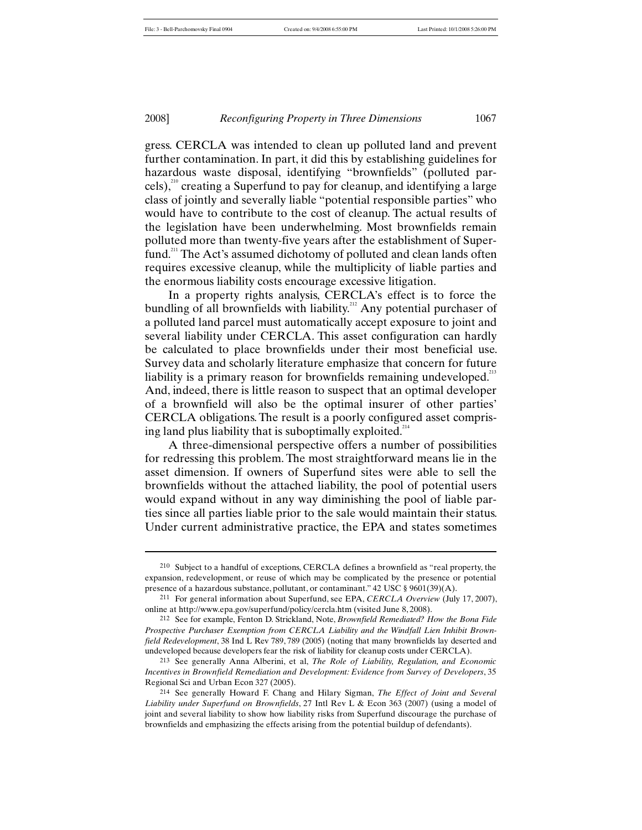#### 2008] *Reconfiguring Property in Three Dimensions* 1067

gress. CERCLA was intended to clean up polluted land and prevent further contamination. In part, it did this by establishing guidelines for hazardous waste disposal, identifying "brownfields" (polluted parcels), $^{210}$  creating a Superfund to pay for cleanup, and identifying a large class of jointly and severally liable "potential responsible parties" who would have to contribute to the cost of cleanup. The actual results of the legislation have been underwhelming. Most brownfields remain polluted more than twenty-five years after the establishment of Superfund.<sup>211</sup> The Act's assumed dichotomy of polluted and clean lands often requires excessive cleanup, while the multiplicity of liable parties and the enormous liability costs encourage excessive litigation.

In a property rights analysis, CERCLA's effect is to force the bundling of all brownfields with liability.<sup>212</sup> Any potential purchaser of a polluted land parcel must automatically accept exposure to joint and several liability under CERCLA. This asset configuration can hardly be calculated to place brownfields under their most beneficial use. Survey data and scholarly literature emphasize that concern for future liability is a primary reason for brownfields remaining undeveloped.<sup>213</sup> And, indeed, there is little reason to suspect that an optimal developer of a brownfield will also be the optimal insurer of other parties' CERCLA obligations. The result is a poorly configured asset comprising land plus liability that is suboptimally exploited.<sup>214</sup>

A three-dimensional perspective offers a number of possibilities for redressing this problem. The most straightforward means lie in the asset dimension. If owners of Superfund sites were able to sell the brownfields without the attached liability, the pool of potential users would expand without in any way diminishing the pool of liable parties since all parties liable prior to the sale would maintain their status. Under current administrative practice, the EPA and states sometimes

<sup>210</sup> Subject to a handful of exceptions, CERCLA defines a brownfield as "real property, the expansion, redevelopment, or reuse of which may be complicated by the presence or potential presence of a hazardous substance, pollutant, or contaminant." 42 USC § 9601(39)(A).

<sup>211</sup> For general information about Superfund, see EPA, *CERCLA Overview* (July 17, 2007), online at http://www.epa.gov/superfund/policy/cercla.htm (visited June 8, 2008).

<sup>212</sup> See for example, Fenton D. Strickland, Note, *Brownfield Remediated? How the Bona Fide Prospective Purchaser Exemption from CERCLA Liability and the Windfall Lien Inhibit Brownfield Redevelopment*, 38 Ind L Rev 789, 789 (2005) (noting that many brownfields lay deserted and undeveloped because developers fear the risk of liability for cleanup costs under CERCLA).

<sup>213</sup> See generally Anna Alberini, et al, *The Role of Liability, Regulation, and Economic Incentives in Brownfield Remediation and Development: Evidence from Survey of Developers*, 35 Regional Sci and Urban Econ 327 (2005).

<sup>214</sup> See generally Howard F. Chang and Hilary Sigman, *The Effect of Joint and Several Liability under Superfund on Brownfields*, 27 Intl Rev L & Econ 363 (2007) (using a model of joint and several liability to show how liability risks from Superfund discourage the purchase of brownfields and emphasizing the effects arising from the potential buildup of defendants).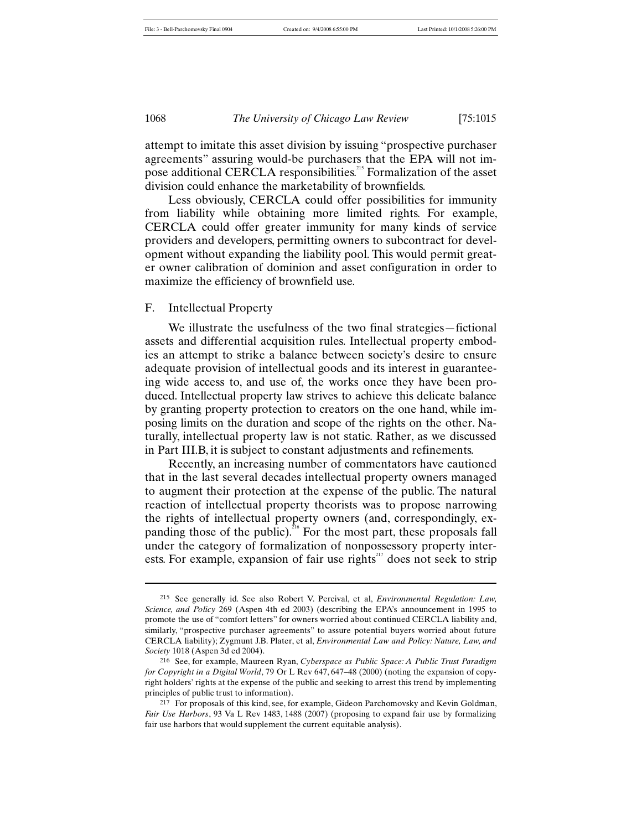attempt to imitate this asset division by issuing "prospective purchaser agreements" assuring would-be purchasers that the EPA will not impose additional CERCLA responsibilities.<sup>215</sup> Formalization of the asset division could enhance the marketability of brownfields.

Less obviously, CERCLA could offer possibilities for immunity from liability while obtaining more limited rights. For example, CERCLA could offer greater immunity for many kinds of service providers and developers, permitting owners to subcontract for development without expanding the liability pool. This would permit greater owner calibration of dominion and asset configuration in order to maximize the efficiency of brownfield use.

### F. Intellectual Property

We illustrate the usefulness of the two final strategies—fictional assets and differential acquisition rules. Intellectual property embodies an attempt to strike a balance between society's desire to ensure adequate provision of intellectual goods and its interest in guaranteeing wide access to, and use of, the works once they have been produced. Intellectual property law strives to achieve this delicate balance by granting property protection to creators on the one hand, while imposing limits on the duration and scope of the rights on the other. Naturally, intellectual property law is not static. Rather, as we discussed in Part III.B, it is subject to constant adjustments and refinements.

Recently, an increasing number of commentators have cautioned that in the last several decades intellectual property owners managed to augment their protection at the expense of the public. The natural reaction of intellectual property theorists was to propose narrowing the rights of intellectual property owners (and, correspondingly, expanding those of the public).<sup>216</sup> For the most part, these proposals fall under the category of formalization of nonpossessory property interests. For example, expansion of fair use rights $^{217}$  does not seek to strip

<sup>215</sup> See generally id. See also Robert V. Percival, et al, *Environmental Regulation: Law, Science, and Policy* 269 (Aspen 4th ed 2003) (describing the EPA's announcement in 1995 to promote the use of "comfort letters" for owners worried about continued CERCLA liability and, similarly, "prospective purchaser agreements" to assure potential buyers worried about future CERCLA liability); Zygmunt J.B. Plater, et al, *Environmental Law and Policy: Nature, Law, and Society* 1018 (Aspen 3d ed 2004).

<sup>216</sup> See, for example, Maureen Ryan, *Cyberspace as Public Space: A Public Trust Paradigm for Copyright in a Digital World*, 79 Or L Rev 647, 647–48 (2000) (noting the expansion of copyright holders' rights at the expense of the public and seeking to arrest this trend by implementing principles of public trust to information).

<sup>217</sup> For proposals of this kind, see, for example, Gideon Parchomovsky and Kevin Goldman, *Fair Use Harbors*, 93 Va L Rev 1483, 1488 (2007) (proposing to expand fair use by formalizing fair use harbors that would supplement the current equitable analysis).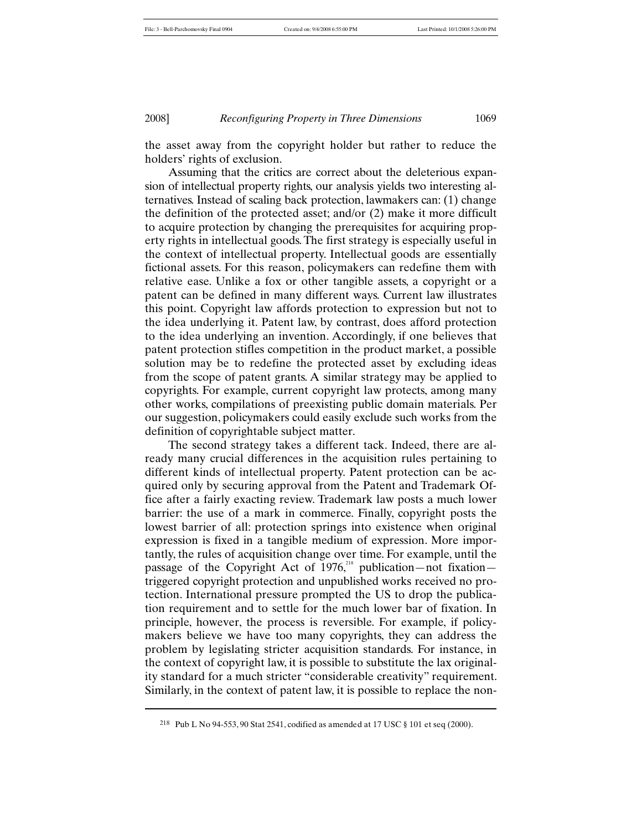the asset away from the copyright holder but rather to reduce the holders' rights of exclusion.

Assuming that the critics are correct about the deleterious expansion of intellectual property rights, our analysis yields two interesting alternatives. Instead of scaling back protection, lawmakers can: (1) change the definition of the protected asset; and/or (2) make it more difficult to acquire protection by changing the prerequisites for acquiring property rights in intellectual goods. The first strategy is especially useful in the context of intellectual property. Intellectual goods are essentially fictional assets. For this reason, policymakers can redefine them with relative ease. Unlike a fox or other tangible assets, a copyright or a patent can be defined in many different ways. Current law illustrates this point. Copyright law affords protection to expression but not to the idea underlying it. Patent law, by contrast, does afford protection to the idea underlying an invention. Accordingly, if one believes that patent protection stifles competition in the product market, a possible solution may be to redefine the protected asset by excluding ideas from the scope of patent grants. A similar strategy may be applied to copyrights. For example, current copyright law protects, among many other works, compilations of preexisting public domain materials. Per our suggestion, policymakers could easily exclude such works from the definition of copyrightable subject matter.

The second strategy takes a different tack. Indeed, there are already many crucial differences in the acquisition rules pertaining to different kinds of intellectual property. Patent protection can be acquired only by securing approval from the Patent and Trademark Office after a fairly exacting review. Trademark law posts a much lower barrier: the use of a mark in commerce. Finally, copyright posts the lowest barrier of all: protection springs into existence when original expression is fixed in a tangible medium of expression. More importantly, the rules of acquisition change over time. For example, until the passage of the Copyright Act of  $1976$ ,<sup>218</sup> publication—not fixation triggered copyright protection and unpublished works received no protection. International pressure prompted the US to drop the publication requirement and to settle for the much lower bar of fixation. In principle, however, the process is reversible. For example, if policymakers believe we have too many copyrights, they can address the problem by legislating stricter acquisition standards. For instance, in the context of copyright law, it is possible to substitute the lax originality standard for a much stricter "considerable creativity" requirement. Similarly, in the context of patent law, it is possible to replace the non-

<sup>218</sup> Pub L No 94-553, 90 Stat 2541, codified as amended at 17 USC § 101 et seq (2000).